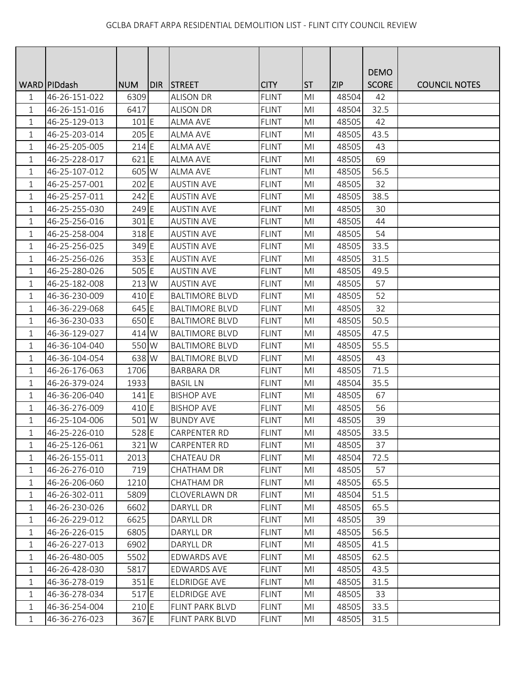|              |                |            |       |                       |              |                |            | <b>DEMO</b>  |                      |
|--------------|----------------|------------|-------|-----------------------|--------------|----------------|------------|--------------|----------------------|
|              | WARD   PIDdash | <b>NUM</b> | DIR I | <b>STREET</b>         | <b>CITY</b>  | <b>ST</b>      | <b>ZIP</b> | <b>SCORE</b> | <b>COUNCIL NOTES</b> |
| 1            | 46-26-151-022  | 6309       |       | <b>ALISON DR</b>      | <b>FLINT</b> | M <sub>l</sub> | 48504      | 42           |                      |
| 1            | 46-26-151-016  | 6417       |       | <b>ALISON DR</b>      | <b>FLINT</b> | M <sub>l</sub> | 48504      | 32.5         |                      |
| 1            | 46-25-129-013  | 101 E      |       | <b>ALMA AVE</b>       | <b>FLINT</b> | MI             | 48505      | 42           |                      |
| $\mathbf{1}$ | 46-25-203-014  | 205 E      |       | <b>ALMA AVE</b>       | <b>FLINT</b> | MI             | 48505      | 43.5         |                      |
| $\mathbf 1$  | 46-25-205-005  | $214$ E    |       | <b>ALMA AVE</b>       | <b>FLINT</b> | M <sub>l</sub> | 48505      | 43           |                      |
| $\mathbf{1}$ | 46-25-228-017  | 621 E      |       | <b>ALMA AVE</b>       | <b>FLINT</b> | M <sub>l</sub> | 48505      | 69           |                      |
| $\mathbf{1}$ | 46-25-107-012  | 605 W      |       | <b>ALMA AVE</b>       | <b>FLINT</b> | M <sub>l</sub> | 48505      | 56.5         |                      |
| $\mathbf{1}$ | 46-25-257-001  | $202$ E    |       | <b>AUSTIN AVE</b>     | <b>FLINT</b> | M <sub>l</sub> | 48505      | 32           |                      |
| $\mathbf{1}$ | 46-25-257-011  | 242 E      |       | <b>AUSTIN AVE</b>     | <b>FLINT</b> | M <sub>l</sub> | 48505      | 38.5         |                      |
| 1            | 46-25-255-030  | 249 E      |       | <b>AUSTIN AVE</b>     | <b>FLINT</b> | MI             | 48505      | 30           |                      |
| 1            | 46-25-256-016  | 301 E      |       | <b>AUSTIN AVE</b>     | <b>FLINT</b> | MI             | 48505      | 44           |                      |
| $\mathbf 1$  | 46-25-258-004  | 318 E      |       | <b>AUSTIN AVE</b>     | <b>FLINT</b> | M <sub>l</sub> | 48505      | 54           |                      |
| $\mathbf 1$  | 46-25-256-025  | 349 E      |       | <b>AUSTIN AVE</b>     | <b>FLINT</b> | MI             | 48505      | 33.5         |                      |
| 1            | 46-25-256-026  | 353 E      |       | <b>AUSTIN AVE</b>     | <b>FLINT</b> | M <sub>l</sub> | 48505      | 31.5         |                      |
| 1            | 46-25-280-026  | 505 E      |       | <b>AUSTIN AVE</b>     | <b>FLINT</b> | MI             | 48505      | 49.5         |                      |
| 1            | 46-25-182-008  | 213 W      |       | <b>AUSTIN AVE</b>     | <b>FLINT</b> | M <sub>l</sub> | 48505      | 57           |                      |
| 1            | 46-36-230-009  | 410 E      |       | <b>BALTIMORE BLVD</b> | <b>FLINT</b> | M <sub>l</sub> | 48505      | 52           |                      |
| $\mathbf{1}$ | 46-36-229-068  | 645 E      |       | <b>BALTIMORE BLVD</b> | <b>FLINT</b> | MI             | 48505      | 32           |                      |
| 1            | 46-36-230-033  | 650 E      |       | <b>BALTIMORE BLVD</b> | <b>FLINT</b> | M <sub>l</sub> | 48505      | 50.5         |                      |
| $\mathbf 1$  | 46-36-129-027  | 414 W      |       | <b>BALTIMORE BLVD</b> | <b>FLINT</b> | M <sub>l</sub> | 48505      | 47.5         |                      |
| 1            | 46-36-104-040  | 550 W      |       | <b>BALTIMORE BLVD</b> | <b>FLINT</b> | MI             | 48505      | 55.5         |                      |
| 1            | 46-36-104-054  | 638 W      |       | <b>BALTIMORE BLVD</b> | <b>FLINT</b> | M <sub>l</sub> | 48505      | 43           |                      |
| 1            | 46-26-176-063  | 1706       |       | <b>BARBARA DR</b>     | <b>FLINT</b> | MI             | 48505      | 71.5         |                      |
| 1            | 46-26-379-024  | 1933       |       | <b>BASIL LN</b>       | <b>FLINT</b> | M <sub>l</sub> | 48504      | 35.5         |                      |
| $\mathbf 1$  | 46-36-206-040  | $141$ E    |       | <b>BISHOP AVE</b>     | <b>FLINT</b> | MI             | 48505      | 67           |                      |
| 1            | 46-36-276-009  | 410 E      |       | <b>BISHOP AVE</b>     | <b>FLINT</b> | M <sub>l</sub> | 48505      | 56           |                      |
| $\mathbf{1}$ | 46-25-104-006  | 501 W      |       | <b>BUNDY AVE</b>      | <b>FLINT</b> | M <sub>l</sub> | 48505      | 39           |                      |
| 1            | 46-25-226-010  | 528 E      |       | <b>CARPENTER RD</b>   | <b>FLINT</b> | MI             | 48505      | 33.5         |                      |
| $\mathbf 1$  | 46-25-126-061  | 321 W      |       | CARPENTER RD          | <b>FLINT</b> | MI             | 48505      | 37           |                      |
| 1            | 46-26-155-011  | 2013       |       | CHATEAU DR            | <b>FLINT</b> | MI             | 48504      | 72.5         |                      |
| $\mathbf 1$  | 46-26-276-010  | 719        |       | <b>CHATHAM DR</b>     | <b>FLINT</b> | MI             | 48505      | 57           |                      |
| $\mathbf 1$  | 46-26-206-060  | 1210       |       | CHATHAM DR            | <b>FLINT</b> | MI             | 48505      | 65.5         |                      |
| 1            | 46-26-302-011  | 5809       |       | <b>CLOVERLAWN DR</b>  | <b>FLINT</b> | M <sub>l</sub> | 48504      | 51.5         |                      |
| $\mathbf 1$  | 46-26-230-026  | 6602       |       | DARYLL DR             | <b>FLINT</b> | M <sub>l</sub> | 48505      | 65.5         |                      |
| 1            | 46-26-229-012  | 6625       |       | DARYLL DR             | <b>FLINT</b> | MI             | 48505      | 39           |                      |
| 1            | 46-26-226-015  | 6805       |       | DARYLL DR             | <b>FLINT</b> | MI             | 48505      | 56.5         |                      |
| 1            | 46-26-227-013  | 6902       |       | DARYLL DR             | <b>FLINT</b> | MI             | 48505      | 41.5         |                      |
| $\mathbf{1}$ | 46-26-480-005  | 5502       |       | <b>EDWARDS AVE</b>    | <b>FLINT</b> | M <sub>l</sub> | 48505      | 62.5         |                      |
| 1            | 46-26-428-030  | 5817       |       | <b>EDWARDS AVE</b>    | <b>FLINT</b> | M <sub>l</sub> | 48505      | 43.5         |                      |
| 1            | 46-36-278-019  | $351$ E    |       | ELDRIDGE AVE          | <b>FLINT</b> | MI             | 48505      | 31.5         |                      |
| 1            | 46-36-278-034  | 517E       |       | <b>ELDRIDGE AVE</b>   | <b>FLINT</b> | M <sub>l</sub> | 48505      | 33           |                      |
| 1            | 46-36-254-004  | $210$ E    |       | FLINT PARK BLVD       | <b>FLINT</b> | MI             | 48505      | 33.5         |                      |
| $\mathbf 1$  | 46-36-276-023  | 367 E      |       | FLINT PARK BLVD       | <b>FLINT</b> | MI             | 48505      | 31.5         |                      |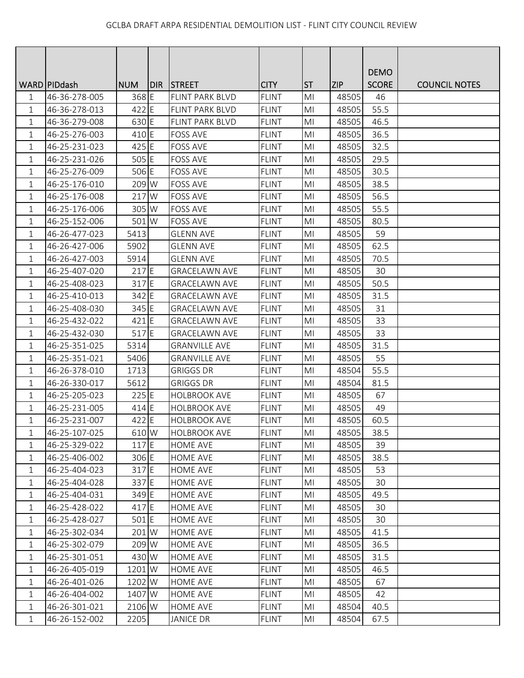|              |               |            |     |                        |              |                |            | <b>DEMO</b>  |                      |
|--------------|---------------|------------|-----|------------------------|--------------|----------------|------------|--------------|----------------------|
|              | WARD PIDdash  | <b>NUM</b> | DIR | <b>STREET</b>          | <b>CITY</b>  | <b>ST</b>      | <b>ZIP</b> | <b>SCORE</b> | <b>COUNCIL NOTES</b> |
| 1            | 46-36-278-005 | 368 E      |     | FLINT PARK BLVD        | <b>FLINT</b> | M <sub>l</sub> | 48505      | 46           |                      |
| 1            | 46-36-278-013 | 422 E      |     | <b>FLINT PARK BLVD</b> | <b>FLINT</b> | M <sub>l</sub> | 48505      | 55.5         |                      |
| $\mathbf 1$  | 46-36-279-008 | 630 E      |     | <b>FLINT PARK BLVD</b> | <b>FLINT</b> | MI             | 48505      | 46.5         |                      |
| $\mathbf{1}$ | 46-25-276-003 | 410 E      |     | <b>FOSS AVE</b>        | <b>FLINT</b> | MI             | 48505      | 36.5         |                      |
| 1            | 46-25-231-023 | 425 E      |     | <b>FOSS AVE</b>        | <b>FLINT</b> | MI             | 48505      | 32.5         |                      |
| $\mathbf{1}$ | 46-25-231-026 | 505 E      |     | <b>FOSS AVE</b>        | <b>FLINT</b> | M <sub>l</sub> | 48505      | 29.5         |                      |
| $\mathbf 1$  | 46-25-276-009 | 506 E      |     | <b>FOSS AVE</b>        | <b>FLINT</b> | M <sub>l</sub> | 48505      | 30.5         |                      |
| $\mathbf 1$  | 46-25-176-010 | 209 W      |     | <b>FOSS AVE</b>        | <b>FLINT</b> | M <sub>l</sub> | 48505      | 38.5         |                      |
| $\mathbf{1}$ | 46-25-176-008 | 217 W      |     | <b>FOSS AVE</b>        | <b>FLINT</b> | MI             | 48505      | 56.5         |                      |
| 1            | 46-25-176-006 | 305 W      |     | <b>FOSS AVE</b>        | <b>FLINT</b> | MI             | 48505      | 55.5         |                      |
| 1            | 46-25-152-006 | 501 W      |     | <b>FOSS AVE</b>        | <b>FLINT</b> | MI             | 48505      | 80.5         |                      |
| $\mathbf 1$  | 46-26-477-023 | 5413       |     | <b>GLENN AVE</b>       | <b>FLINT</b> | M <sub>l</sub> | 48505      | 59           |                      |
| $\mathbf 1$  | 46-26-427-006 | 5902       |     | <b>GLENN AVE</b>       | <b>FLINT</b> | MI             | 48505      | 62.5         |                      |
| 1            | 46-26-427-003 | 5914       |     | <b>GLENN AVE</b>       | <b>FLINT</b> | M <sub>l</sub> | 48505      | 70.5         |                      |
| 1            | 46-25-407-020 | 217 E      |     | <b>GRACELAWN AVE</b>   | <b>FLINT</b> | MI             | 48505      | 30           |                      |
| $\mathbf 1$  | 46-25-408-023 | 317 E      |     | <b>GRACELAWN AVE</b>   | <b>FLINT</b> | MI             | 48505      | 50.5         |                      |
| 1            | 46-25-410-013 | 342 E      |     | <b>GRACELAWN AVE</b>   | <b>FLINT</b> | MI             | 48505      | 31.5         |                      |
| $\mathbf{1}$ | 46-25-408-030 | 345 E      |     | <b>GRACELAWN AVE</b>   | <b>FLINT</b> | MI             | 48505      | 31           |                      |
| 1            | 46-25-432-022 | 421 E      |     | <b>GRACELAWN AVE</b>   | <b>FLINT</b> | M <sub>l</sub> | 48505      | 33           |                      |
| 1            | 46-25-432-030 | 517 E      |     | <b>GRACELAWN AVE</b>   | <b>FLINT</b> | M <sub>l</sub> | 48505      | 33           |                      |
| 1            | 46-25-351-025 | 5314       |     | <b>GRANVILLE AVE</b>   | <b>FLINT</b> | MI             | 48505      | 31.5         |                      |
| $\mathbf{1}$ | 46-25-351-021 | 5406       |     | <b>GRANVILLE AVE</b>   | <b>FLINT</b> | MI             | 48505      | 55           |                      |
| 1            | 46-26-378-010 | 1713       |     | <b>GRIGGS DR</b>       | <b>FLINT</b> | MI             | 48504      | 55.5         |                      |
| 1            | 46-26-330-017 | 5612       |     | <b>GRIGGS DR</b>       | <b>FLINT</b> | MI             | 48504      | 81.5         |                      |
| $\mathbf 1$  | 46-25-205-023 | 225 E      |     | <b>HOLBROOK AVE</b>    | <b>FLINT</b> | M <sub>l</sub> | 48505      | 67           |                      |
| 1            | 46-25-231-005 | 414 E      |     | <b>HOLBROOK AVE</b>    | <b>FLINT</b> | M <sub>l</sub> | 48505      | 49           |                      |
| 1            | 46-25-231-007 | 422 E      |     | <b>HOLBROOK AVE</b>    | <b>FLINT</b> | MI             | 48505      | 60.5         |                      |
| 1            | 46-25-107-025 | 610 W      |     | <b>HOLBROOK AVE</b>    | <b>FLINT</b> | MI             | 48505      | 38.5         |                      |
| 1            | 46-25-329-022 | 117 E      |     | <b>HOME AVE</b>        | <b>FLINT</b> | M <sub>l</sub> | 48505      | 39           |                      |
| 1            | 46-25-406-002 | 306 E      |     | HOME AVE               | <b>FLINT</b> | MI             | 48505      | 38.5         |                      |
| $\mathbf 1$  | 46-25-404-023 | 317 E      |     | HOME AVE               | <b>FLINT</b> | M <sub>l</sub> | 48505      | 53           |                      |
| 1            | 46-25-404-028 | 337 E      |     | HOME AVE               | <b>FLINT</b> | M <sub>l</sub> | 48505      | 30           |                      |
| 1            | 46-25-404-031 | 349 E      |     | HOME AVE               | <b>FLINT</b> | M <sub>l</sub> | 48505      | 49.5         |                      |
| 1            | 46-25-428-022 | 417 E      |     | <b>HOME AVE</b>        | <b>FLINT</b> | MI             | 48505      | 30           |                      |
| 1            | 46-25-428-027 | 501 E      |     | HOME AVE               | <b>FLINT</b> | MI             | 48505      | 30           |                      |
| 1            | 46-25-302-034 | 201 W      |     | HOME AVE               | <b>FLINT</b> | MI             | 48505      | 41.5         |                      |
| 1            | 46-25-302-079 | 209 W      |     | HOME AVE               | <b>FLINT</b> | MI             | 48505      | 36.5         |                      |
| 1            | 46-25-301-051 | 430 W      |     | HOME AVE               | <b>FLINT</b> | M <sub>l</sub> | 48505      | 31.5         |                      |
| 1            | 46-26-405-019 | 1201 W     |     | HOME AVE               | <b>FLINT</b> | M <sub>l</sub> | 48505      | 46.5         |                      |
| 1            | 46-26-401-026 | 1202 W     |     | <b>HOME AVE</b>        | <b>FLINT</b> | MI             | 48505      | 67           |                      |
| 1            | 46-26-404-002 | 1407 W     |     | HOME AVE               | <b>FLINT</b> | MI             | 48505      | 42           |                      |
| 1            | 46-26-301-021 | 2106 W     |     | HOME AVE               | <b>FLINT</b> | MI             | 48504      | 40.5         |                      |
| $\mathbf{1}$ | 46-26-152-002 | 2205       |     | <b>JANICE DR</b>       | <b>FLINT</b> | M <sub>l</sub> | 48504      | 67.5         |                      |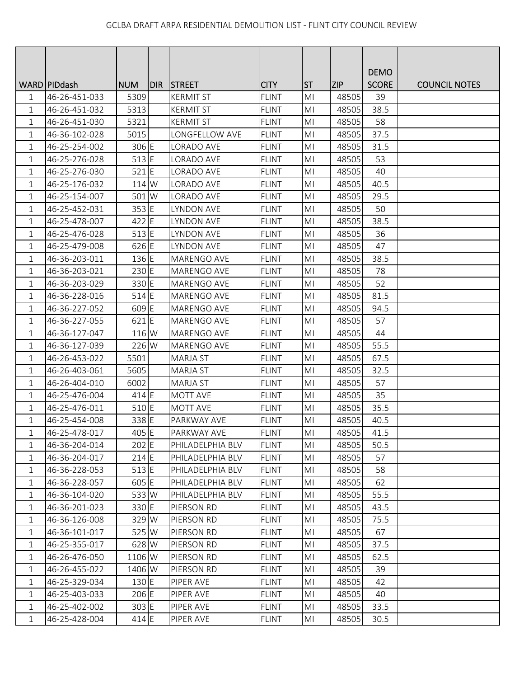|              |                 |                 |       |                    |              |                |            | <b>DEMO</b>  |                      |
|--------------|-----------------|-----------------|-------|--------------------|--------------|----------------|------------|--------------|----------------------|
|              | WARD   PID dash | <b>NUM</b>      | IDIR. | <b>STREET</b>      | <b>CITY</b>  | <b>ST</b>      | <b>ZIP</b> | <b>SCORE</b> | <b>COUNCIL NOTES</b> |
| 1            | 46-26-451-033   | 5309            |       | <b>KERMIT ST</b>   | <b>FLINT</b> | M <sub>l</sub> | 48505      | 39           |                      |
| 1            | 46-26-451-032   | 5313            |       | <b>KERMIT ST</b>   | <b>FLINT</b> | M <sub>l</sub> | 48505      | 38.5         |                      |
| $\mathbf{1}$ | 46-26-451-030   | 5321            |       | <b>KERMIT ST</b>   | <b>FLINT</b> | MI             | 48505      | 58           |                      |
| 1            | 46-36-102-028   | 5015            |       | LONGFELLOW AVE     | <b>FLINT</b> | MI             | 48505      | 37.5         |                      |
| 1            | 46-25-254-002   | 306 E           |       | <b>LORADO AVE</b>  | <b>FLINT</b> | MI             | 48505      | 31.5         |                      |
| $\mathbf{1}$ | 46-25-276-028   | 513 E           |       | LORADO AVE         | <b>FLINT</b> | M <sub>l</sub> | 48505      | 53           |                      |
| 1            | 46-25-276-030   | 521 E           |       | <b>LORADO AVE</b>  | <b>FLINT</b> | M <sub>l</sub> | 48505      | 40           |                      |
| 1            | 46-25-176-032   | 114 W           |       | LORADO AVE         | <b>FLINT</b> | M <sub>l</sub> | 48505      | 40.5         |                      |
| $\mathbf{1}$ | 46-25-154-007   | 501 W           |       | LORADO AVE         | <b>FLINT</b> | M <sub>l</sub> | 48505      | 29.5         |                      |
| 1            | 46-25-452-031   | 353 E           |       | <b>LYNDON AVE</b>  | <b>FLINT</b> | MI             | 48505      | 50           |                      |
| 1            | 46-25-478-007   | 422 E           |       | <b>LYNDON AVE</b>  | <b>FLINT</b> | MI             | 48505      | 38.5         |                      |
| $\mathbf 1$  | 46-25-476-028   | $513$ E         |       | <b>LYNDON AVE</b>  | <b>FLINT</b> | M <sub>l</sub> | 48505      | 36           |                      |
| $\mathbf 1$  | 46-25-479-008   | 626 E           |       | <b>LYNDON AVE</b>  | <b>FLINT</b> | M <sub>l</sub> | 48505      | 47           |                      |
| 1            | 46-36-203-011   | 136 E           |       | MARENGO AVE        | <b>FLINT</b> | M <sub>l</sub> | 48505      | 38.5         |                      |
| 1            | 46-36-203-021   | 230 E           |       | MARENGO AVE        | <b>FLINT</b> | MI             | 48505      | 78           |                      |
| $\mathbf 1$  | 46-36-203-029   | 330 E           |       | MARENGO AVE        | <b>FLINT</b> | MI             | 48505      | 52           |                      |
| 1            | 46-36-228-016   | 514 E           |       | <b>MARENGO AVE</b> | <b>FLINT</b> | M <sub>l</sub> | 48505      | 81.5         |                      |
| $\mathbf{1}$ | 46-36-227-052   | 609 E           |       | MARENGO AVE        | <b>FLINT</b> | MI             | 48505      | 94.5         |                      |
| 1            | 46-36-227-055   | 621 E           |       | MARENGO AVE        | <b>FLINT</b> | M <sub>l</sub> | 48505      | 57           |                      |
| 1            | 46-36-127-047   | 116 W           |       | MARENGO AVE        | <b>FLINT</b> | M <sub>l</sub> | 48505      | 44           |                      |
| 1            | 46-36-127-039   | 226 W           |       | MARENGO AVE        | <b>FLINT</b> | MI             | 48505      | 55.5         |                      |
| $\mathbf 1$  | 46-26-453-022   | 5501            |       | <b>MARJA ST</b>    | <b>FLINT</b> | M <sub>l</sub> | 48505      | 67.5         |                      |
| 1            | 46-26-403-061   | 5605            |       | <b>MARJA ST</b>    | <b>FLINT</b> | MI             | 48505      | 32.5         |                      |
| 1            | 46-26-404-010   | 6002            |       | <b>MARJA ST</b>    | <b>FLINT</b> | MI             | 48505      | 57           |                      |
| $\mathbf 1$  | 46-25-476-004   | 414 E           |       | MOTT AVE           | <b>FLINT</b> | M <sub>l</sub> | 48505      | 35           |                      |
| 1            | 46-25-476-011   | 510 E           |       | MOTT AVE           | <b>FLINT</b> | M <sub>l</sub> | 48505      | 35.5         |                      |
| 1            | 46-25-454-008   | 338 E           |       | PARKWAY AVE        | <b>FLINT</b> | MI             | 48505      | 40.5         |                      |
| 1            | 46-25-478-017   | 405 E           |       | PARKWAY AVE        | <b>FLINT</b> | MI             | 48505      | 41.5         |                      |
| 1            | 46-36-204-014   | 202 E           |       | PHILADELPHIA BLV   | <b>FLINT</b> | M <sub>l</sub> | 48505      | 50.5         |                      |
| 1            | 46-36-204-017   | $214$ E         |       | PHILADELPHIA BLV   | <b>FLINT</b> | MI             | 48505      | 57           |                      |
| 1            | 46-36-228-053   | $513$ E         |       | PHILADELPHIA BLV   | <b>FLINT</b> | M <sub>l</sub> | 48505      | 58           |                      |
| 1            | 46-36-228-057   | 605 E           |       | PHILADELPHIA BLV   | <b>FLINT</b> | MI             | 48505      | 62           |                      |
| 1            | 46-36-104-020   | 533 W           |       | PHILADELPHIA BLV   | <b>FLINT</b> | MI             | 48505      | 55.5         |                      |
| 1            | 46-36-201-023   | 330 E           |       | PIERSON RD         | <b>FLINT</b> | MI             | 48505      | 43.5         |                      |
| 1            | 46-36-126-008   | 329 W           |       | PIERSON RD         | <b>FLINT</b> | MI             | 48505      | 75.5         |                      |
| 1            | 46-36-101-017   | 525 W           |       | PIERSON RD         | <b>FLINT</b> | MI             | 48505      | 67           |                      |
| 1            | 46-25-355-017   | 628 W           |       | PIERSON RD         | <b>FLINT</b> | MI             | 48505      | 37.5         |                      |
| 1            | 46-26-476-050   | 1106 W          |       | PIERSON RD         | <b>FLINT</b> | M <sub>l</sub> | 48505      | 62.5         |                      |
| 1            | 46-26-455-022   | 1406 W          |       | PIERSON RD         | <b>FLINT</b> | M <sub>l</sub> | 48505      | 39           |                      |
| 1            | 46-25-329-034   | $130 \text{ E}$ |       | PIPER AVE          | <b>FLINT</b> | MI             | 48505      | 42           |                      |
| 1            | 46-25-403-033   | 206 E           |       | PIPER AVE          | <b>FLINT</b> | MI             | 48505      | 40           |                      |
| 1            | 46-25-402-002   | 303 E           |       | PIPER AVE          | <b>FLINT</b> | MI             | 48505      | 33.5         |                      |
| $\mathbf{1}$ | 46-25-428-004   | $414$ E         |       | PIPER AVE          | <b>FLINT</b> | M <sub>l</sub> | 48505      | 30.5         |                      |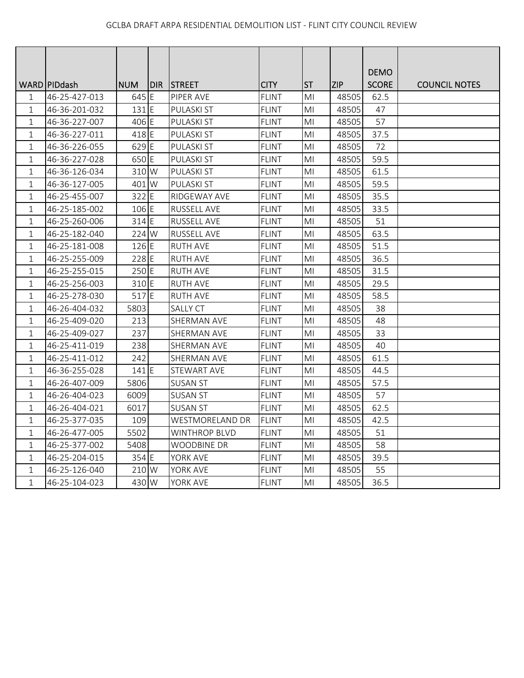|              |                |            |            |                        |              |                |            | <b>DEMO</b>  |                      |
|--------------|----------------|------------|------------|------------------------|--------------|----------------|------------|--------------|----------------------|
|              | WARD   PIDdash | <b>NUM</b> | <b>DIR</b> | <b>STREET</b>          | <b>CITY</b>  | <b>ST</b>      | <b>ZIP</b> | <b>SCORE</b> | <b>COUNCIL NOTES</b> |
| 1            | 46-25-427-013  | 645 E      |            | PIPER AVE              | <b>FLINT</b> | MI             | 48505      | 62.5         |                      |
| 1            | 46-36-201-032  | $131$ E    |            | <b>PULASKI ST</b>      | <b>FLINT</b> | MI             | 48505      | 47           |                      |
| $\mathbf{1}$ | 46-36-227-007  | 406 E      |            | <b>PULASKI ST</b>      | <b>FLINT</b> | MI             | 48505      | 57           |                      |
| $\mathbf{1}$ | 46-36-227-011  | 418 E      |            | <b>PULASKI ST</b>      | <b>FLINT</b> | MI             | 48505      | 37.5         |                      |
| $\mathbf{1}$ | 46-36-226-055  | 629 E      |            | <b>PULASKI ST</b>      | <b>FLINT</b> | M <sub>l</sub> | 48505      | 72           |                      |
| 1            | 46-36-227-028  | 650 E      |            | PULASKI ST             | <b>FLINT</b> | M <sub>l</sub> | 48505      | 59.5         |                      |
| $\mathbf 1$  | 46-36-126-034  | 310 W      |            | PULASKI ST             | <b>FLINT</b> | M <sub>l</sub> | 48505      | 61.5         |                      |
| $\mathbf{1}$ | 46-36-127-005  | 401 W      |            | <b>PULASKI ST</b>      | <b>FLINT</b> | M <sub>l</sub> | 48505      | 59.5         |                      |
| $\mathbf 1$  | 46-25-455-007  | 322 E      |            | RIDGEWAY AVE           | <b>FLINT</b> | MI             | 48505      | 35.5         |                      |
| $\mathbf 1$  | 46-25-185-002  | 106 E      |            | <b>RUSSELL AVE</b>     | <b>FLINT</b> | M <sub>l</sub> | 48505      | 33.5         |                      |
| 1            | 46-25-260-006  | 314 E      |            | <b>RUSSELL AVE</b>     | <b>FLINT</b> | MI             | 48505      | 51           |                      |
| 1            | 46-25-182-040  | 224 W      |            | <b>RUSSELL AVE</b>     | <b>FLINT</b> | MI             | 48505      | 63.5         |                      |
| $\mathbf 1$  | 46-25-181-008  | 126 E      |            | <b>RUTH AVE</b>        | <b>FLINT</b> | MI             | 48505      | 51.5         |                      |
| $\mathbf 1$  | 46-25-255-009  | 228 E      |            | <b>RUTH AVE</b>        | <b>FLINT</b> | MI             | 48505      | 36.5         |                      |
| 1            | 46-25-255-015  | 250 E      |            | <b>RUTH AVE</b>        | <b>FLINT</b> | ΜI             | 48505      | 31.5         |                      |
| $\mathbf{1}$ | 46-25-256-003  | 310 E      |            | <b>RUTH AVE</b>        | <b>FLINT</b> | MI             | 48505      | 29.5         |                      |
| $\mathbf 1$  | 46-25-278-030  | 517 E      |            | <b>RUTH AVE</b>        | <b>FLINT</b> | MI             | 48505      | 58.5         |                      |
| $\mathbf{1}$ | 46-26-404-032  | 5803       |            | <b>SALLY CT</b>        | <b>FLINT</b> | M <sub>l</sub> | 48505      | 38           |                      |
| 1            | 46-25-409-020  | 213        |            | SHERMAN AVE            | <b>FLINT</b> | M <sub>l</sub> | 48505      | 48           |                      |
| 1            | 46-25-409-027  | 237        |            | SHERMAN AVE            | <b>FLINT</b> | MI             | 48505      | 33           |                      |
| $\mathbf 1$  | 46-25-411-019  | 238        |            | SHERMAN AVE            | <b>FLINT</b> | M <sub>l</sub> | 48505      | 40           |                      |
| $\mathbf 1$  | 46-25-411-012  | 242        |            | <b>SHERMAN AVE</b>     | <b>FLINT</b> | M <sub>l</sub> | 48505      | 61.5         |                      |
| 1            | 46-36-255-028  | 141 E      |            | STEWART AVE            | <b>FLINT</b> | MI             | 48505      | 44.5         |                      |
| $\mathbf{1}$ | 46-26-407-009  | 5806       |            | <b>SUSAN ST</b>        | <b>FLINT</b> | MI             | 48505      | 57.5         |                      |
| $\mathbf 1$  | 46-26-404-023  | 6009       |            | <b>SUSAN ST</b>        | <b>FLINT</b> | MI             | 48505      | 57           |                      |
| $\mathbf 1$  | 46-26-404-021  | 6017       |            | <b>SUSAN ST</b>        | <b>FLINT</b> | MI             | 48505      | 62.5         |                      |
| $\mathbf{1}$ | 46-25-377-035  | 109        |            | <b>WESTMORELAND DR</b> | <b>FLINT</b> | MI             | 48505      | 42.5         |                      |
| 1            | 46-26-477-005  | 5502       |            | WINTHROP BLVD          | <b>FLINT</b> | M <sub>l</sub> | 48505      | 51           |                      |
| 1            | 46-25-377-002  | 5408       |            | WOODBINE DR            | <b>FLINT</b> | MI             | 48505      | 58           |                      |
| $\mathbf{1}$ | 46-25-204-015  | 354 E      |            | YORK AVE               | <b>FLINT</b> | MI             | 48505      | 39.5         |                      |
| 1            | 46-25-126-040  | 210 W      |            | YORK AVE               | <b>FLINT</b> | ΜI             | 48505      | 55           |                      |
| $\mathbf 1$  | 46-25-104-023  | 430 W      |            | YORK AVE               | <b>FLINT</b> | MI             | 48505      | 36.5         |                      |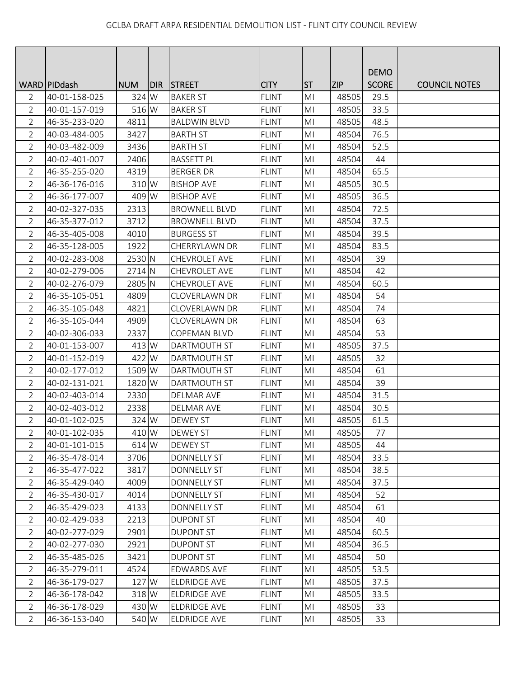|                |                 |            |      |                      |              |                |            | <b>DEMO</b>  |                      |
|----------------|-----------------|------------|------|----------------------|--------------|----------------|------------|--------------|----------------------|
|                | WARD   PID dash | <b>NUM</b> | DIR. | <b>STREET</b>        | <b>CITY</b>  | <b>ST</b>      | <b>ZIP</b> | <b>SCORE</b> | <b>COUNCIL NOTES</b> |
| 2              | 40-01-158-025   | 324 W      |      | <b>BAKER ST</b>      | <b>FLINT</b> | M <sub>l</sub> | 48505      | 29.5         |                      |
| $\overline{2}$ | 40-01-157-019   | 516 W      |      | <b>BAKER ST</b>      | <b>FLINT</b> | M <sub>l</sub> | 48505      | 33.5         |                      |
| $\overline{2}$ | 46-35-233-020   | 4811       |      | <b>BALDWIN BLVD</b>  | <b>FLINT</b> | MI             | 48505      | 48.5         |                      |
| $\overline{2}$ | 40-03-484-005   | 3427       |      | <b>BARTH ST</b>      | <b>FLINT</b> | MI             | 48504      | 76.5         |                      |
| $\overline{2}$ | 40-03-482-009   | 3436       |      | <b>BARTH ST</b>      | <b>FLINT</b> | M <sub>l</sub> | 48504      | 52.5         |                      |
| $\overline{2}$ | 40-02-401-007   | 2406       |      | <b>BASSETT PL</b>    | <b>FLINT</b> | MI             | 48504      | 44           |                      |
| $\overline{2}$ | 46-35-255-020   | 4319       |      | <b>BERGER DR</b>     | <b>FLINT</b> | M <sub>l</sub> | 48504      | 65.5         |                      |
| 2              | 46-36-176-016   | 310 W      |      | <b>BISHOP AVE</b>    | <b>FLINT</b> | MI             | 48505      | 30.5         |                      |
| $\overline{2}$ | 46-36-177-007   | 409 W      |      | <b>BISHOP AVE</b>    | <b>FLINT</b> | M <sub>l</sub> | 48505      | 36.5         |                      |
| $\overline{2}$ | 40-02-327-035   | 2313       |      | <b>BROWNELL BLVD</b> | <b>FLINT</b> | MI             | 48504      | 72.5         |                      |
| $\overline{2}$ | 46-35-377-012   | 3712       |      | <b>BROWNELL BLVD</b> | <b>FLINT</b> | MI             | 48504      | 37.5         |                      |
| $\overline{2}$ | 46-35-405-008   | 4010       |      | <b>BURGESS ST</b>    | <b>FLINT</b> | M <sub>l</sub> | 48504      | 39.5         |                      |
| $\overline{2}$ | 46-35-128-005   | 1922       |      | CHERRYLAWN DR        | <b>FLINT</b> | M <sub>l</sub> | 48504      | 83.5         |                      |
| $\overline{2}$ | 40-02-283-008   | 2530 N     |      | CHEVROLET AVE        | <b>FLINT</b> | MI             | 48504      | 39           |                      |
| $\overline{2}$ | 40-02-279-006   | 2714 N     |      | CHEVROLET AVE        | <b>FLINT</b> | MI             | 48504      | 42           |                      |
| $\overline{2}$ | 40-02-276-079   | 2805 N     |      | CHEVROLET AVE        | <b>FLINT</b> | MI             | 48504      | 60.5         |                      |
| $\overline{2}$ | 46-35-105-051   | 4809       |      | <b>CLOVERLAWN DR</b> | <b>FLINT</b> | M <sub>l</sub> | 48504      | 54           |                      |
| $\overline{2}$ | 46-35-105-048   | 4821       |      | CLOVERLAWN DR        | <b>FLINT</b> | MI             | 48504      | 74           |                      |
| $\overline{2}$ | 46-35-105-044   | 4909       |      | CLOVERLAWN DR        | <b>FLINT</b> | M <sub>l</sub> | 48504      | 63           |                      |
| $\overline{2}$ | 40-02-306-033   | 2337       |      | <b>COPEMAN BLVD</b>  | <b>FLINT</b> | M <sub>l</sub> | 48504      | 53           |                      |
| $\overline{2}$ | 40-01-153-007   | 413 W      |      | DARTMOUTH ST         | <b>FLINT</b> | MI             | 48505      | 37.5         |                      |
| $\overline{2}$ | 40-01-152-019   | 422 W      |      | <b>DARTMOUTH ST</b>  | <b>FLINT</b> | MI             | 48505      | 32           |                      |
| $\overline{2}$ | 40-02-177-012   | 1509 W     |      | DARTMOUTH ST         | <b>FLINT</b> | MI             | 48504      | 61           |                      |
| $\overline{2}$ | 40-02-131-021   | 1820 W     |      | DARTMOUTH ST         | <b>FLINT</b> | M <sub>l</sub> | 48504      | 39           |                      |
| $\overline{2}$ | 40-02-403-014   | 2330       |      | <b>DELMAR AVE</b>    | <b>FLINT</b> | MI             | 48504      | 31.5         |                      |
| $\overline{2}$ | 40-02-403-012   | 2338       |      | <b>DELMAR AVE</b>    | <b>FLINT</b> | M <sub>l</sub> | 48504      | 30.5         |                      |
| $\overline{2}$ | 40-01-102-025   | 324 W      |      | DEWEY ST             | <b>FLINT</b> | M <sub>l</sub> | 48505      | 61.5         |                      |
| 2              | 40-01-102-035   | 410 W      |      | <b>DEWEY ST</b>      | <b>FLINT</b> | MI             | 48505      | 77           |                      |
| $\overline{2}$ | 40-01-101-015   | 614 W      |      | <b>DEWEY ST</b>      | <b>FLINT</b> | M <sub>l</sub> | 48505      | 44           |                      |
| $\overline{2}$ | 46-35-478-014   | 3706       |      | <b>DONNELLY ST</b>   | <b>FLINT</b> | MI             | 48504      | 33.5         |                      |
| $\overline{2}$ | 46-35-477-022   | 3817       |      | <b>DONNELLY ST</b>   | <b>FLINT</b> | M <sub>l</sub> | 48504      | 38.5         |                      |
| 2              | 46-35-429-040   | 4009       |      | <b>DONNELLY ST</b>   | <b>FLINT</b> | MI             | 48504      | 37.5         |                      |
| $\overline{2}$ | 46-35-430-017   | 4014       |      | <b>DONNELLY ST</b>   | <b>FLINT</b> | M <sub>l</sub> | 48504      | 52           |                      |
| $\overline{2}$ | 46-35-429-023   | 4133       |      | <b>DONNELLY ST</b>   | <b>FLINT</b> | MI             | 48504      | 61           |                      |
| $\overline{2}$ | 40-02-429-033   | 2213       |      | <b>DUPONT ST</b>     | <b>FLINT</b> | MI             | 48504      | 40           |                      |
| $\overline{2}$ | 40-02-277-029   | 2901       |      | <b>DUPONT ST</b>     | <b>FLINT</b> | MI             | 48504      | 60.5         |                      |
| 2              | 40-02-277-030   | 2921       |      | <b>DUPONT ST</b>     | <b>FLINT</b> | MI             | 48504      | 36.5         |                      |
| $\overline{2}$ | 46-35-485-026   | 3421       |      | <b>DUPONT ST</b>     | <b>FLINT</b> | M <sub>l</sub> | 48504      | 50           |                      |
| $\overline{2}$ | 46-35-279-011   | 4524       |      | <b>EDWARDS AVE</b>   | <b>FLINT</b> | M <sub>l</sub> | 48505      | 53.5         |                      |
| 2              | 46-36-179-027   | 127 W      |      | <b>ELDRIDGE AVE</b>  | <b>FLINT</b> | MI             | 48505      | 37.5         |                      |
| 2              | 46-36-178-042   | 318 W      |      | <b>ELDRIDGE AVE</b>  | <b>FLINT</b> | M <sub>l</sub> | 48505      | 33.5         |                      |
| $\overline{2}$ | 46-36-178-029   | 430 W      |      | ELDRIDGE AVE         | <b>FLINT</b> | MI             | 48505      | 33           |                      |
| $\overline{2}$ | 46-36-153-040   | 540 W      |      | ELDRIDGE AVE         | <b>FLINT</b> | M <sub>l</sub> | 48505      | 33           |                      |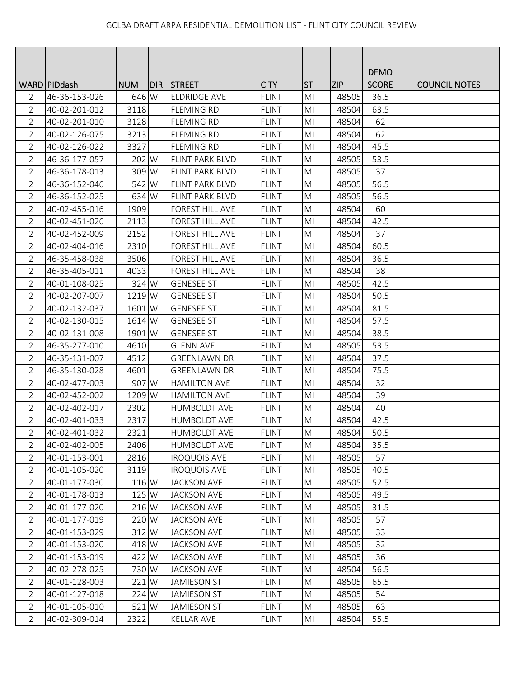|                |                 |            |     |                        |              |                |            | <b>DEMO</b>  |                      |
|----------------|-----------------|------------|-----|------------------------|--------------|----------------|------------|--------------|----------------------|
|                | WARD   PID dash | <b>NUM</b> | DIR | <b>STREET</b>          | <b>CITY</b>  | <b>ST</b>      | <b>ZIP</b> | <b>SCORE</b> | <b>COUNCIL NOTES</b> |
| 2              | 46-36-153-026   | 646 W      |     | <b>ELDRIDGE AVE</b>    | <b>FLINT</b> | M <sub>l</sub> | 48505      | 36.5         |                      |
| $\overline{2}$ | 40-02-201-012   | 3118       |     | <b>FLEMING RD</b>      | <b>FLINT</b> | M <sub>l</sub> | 48504      | 63.5         |                      |
| $\overline{2}$ | 40-02-201-010   | 3128       |     | <b>FLEMING RD</b>      | <b>FLINT</b> | MI             | 48504      | 62           |                      |
| $\overline{2}$ | 40-02-126-075   | 3213       |     | <b>FLEMING RD</b>      | <b>FLINT</b> | MI             | 48504      | 62           |                      |
| $\overline{2}$ | 40-02-126-022   | 3327       |     | <b>FLEMING RD</b>      | <b>FLINT</b> | M <sub>l</sub> | 48504      | 45.5         |                      |
| $\overline{2}$ | 46-36-177-057   | 202 W      |     | <b>FLINT PARK BLVD</b> | <b>FLINT</b> | MI             | 48505      | 53.5         |                      |
| $\overline{2}$ | 46-36-178-013   | 309 W      |     | FLINT PARK BLVD        | <b>FLINT</b> | M <sub>l</sub> | 48505      | 37           |                      |
| 2              | 46-36-152-046   | 542 W      |     | <b>FLINT PARK BLVD</b> | <b>FLINT</b> | MI             | 48505      | 56.5         |                      |
| $\overline{2}$ | 46-36-152-025   | 634 W      |     | FLINT PARK BLVD        | <b>FLINT</b> | MI             | 48505      | 56.5         |                      |
| $\overline{2}$ | 40-02-455-016   | 1909       |     | FOREST HILL AVE        | <b>FLINT</b> | M <sub>l</sub> | 48504      | 60           |                      |
| $\overline{2}$ | 40-02-451-026   | 2113       |     | <b>FOREST HILL AVE</b> | <b>FLINT</b> | MI             | 48504      | 42.5         |                      |
| $\overline{2}$ | 40-02-452-009   | 2152       |     | FOREST HILL AVE        | <b>FLINT</b> | M <sub>l</sub> | 48504      | 37           |                      |
| $\overline{2}$ | 40-02-404-016   | 2310       |     | FOREST HILL AVE        | <b>FLINT</b> | M <sub>l</sub> | 48504      | 60.5         |                      |
| $\overline{2}$ | 46-35-458-038   | 3506       |     | FOREST HILL AVE        | <b>FLINT</b> | M <sub>l</sub> | 48504      | 36.5         |                      |
| $\overline{2}$ | 46-35-405-011   | 4033       |     | FOREST HILL AVE        | <b>FLINT</b> | MI             | 48504      | 38           |                      |
| $\overline{2}$ | 40-01-108-025   | 324 W      |     | <b>GENESEE ST</b>      | <b>FLINT</b> | MI             | 48505      | 42.5         |                      |
| $\overline{2}$ | 40-02-207-007   | 1219 W     |     | <b>GENESEE ST</b>      | <b>FLINT</b> | M <sub>l</sub> | 48504      | 50.5         |                      |
| $\overline{2}$ | 40-02-132-037   | 1601 W     |     | <b>GENESEE ST</b>      | <b>FLINT</b> | MI             | 48504      | 81.5         |                      |
| $\overline{2}$ | 40-02-130-015   | 1614 W     |     | <b>GENESEE ST</b>      | <b>FLINT</b> | M <sub>l</sub> | 48504      | 57.5         |                      |
| $\overline{2}$ | 40-02-131-008   | 1901 W     |     | <b>GENESEE ST</b>      | <b>FLINT</b> | M <sub>l</sub> | 48504      | 38.5         |                      |
| $\overline{2}$ | 46-35-277-010   | 4610       |     | <b>GLENN AVE</b>       | <b>FLINT</b> | MI             | 48505      | 53.5         |                      |
| $\overline{2}$ | 46-35-131-007   | 4512       |     | <b>GREENLAWN DR</b>    | <b>FLINT</b> | M <sub>l</sub> | 48504      | 37.5         |                      |
| $\overline{2}$ | 46-35-130-028   | 4601       |     | <b>GREENLAWN DR</b>    | <b>FLINT</b> | MI             | 48504      | 75.5         |                      |
| $\overline{2}$ | 40-02-477-003   | 907 W      |     | <b>HAMILTON AVE</b>    | <b>FLINT</b> | M <sub>l</sub> | 48504      | 32           |                      |
| $\overline{2}$ | 40-02-452-002   | 1209 W     |     | <b>HAMILTON AVE</b>    | <b>FLINT</b> | MI             | 48504      | 39           |                      |
| $\overline{2}$ | 40-02-402-017   | 2302       |     | <b>HUMBOLDT AVE</b>    | <b>FLINT</b> | M <sub>l</sub> | 48504      | 40           |                      |
| $\overline{2}$ | 40-02-401-033   | 2317       |     | <b>HUMBOLDT AVE</b>    | <b>FLINT</b> | M <sub>l</sub> | 48504      | 42.5         |                      |
| 2              | 40-02-401-032   | 2321       |     | <b>HUMBOLDT AVE</b>    | <b>FLINT</b> | MI             | 48504      | 50.5         |                      |
| $\overline{2}$ | 40-02-402-005   | 2406       |     | <b>HUMBOLDT AVE</b>    | <b>FLINT</b> | MI             | 48504      | 35.5         |                      |
| $\overline{2}$ | 40-01-153-001   | 2816       |     | <b>IROQUOIS AVE</b>    | <b>FLINT</b> | MI             | 48505      | 57           |                      |
| $\overline{2}$ | 40-01-105-020   | 3119       |     | <b>IROQUOIS AVE</b>    | <b>FLINT</b> | M <sub>l</sub> | 48505      | 40.5         |                      |
| 2              | 40-01-177-030   | 116 W      |     | <b>JACKSON AVE</b>     | <b>FLINT</b> | MI             | 48505      | 52.5         |                      |
| $\overline{2}$ | 40-01-178-013   | 125 W      |     | <b>JACKSON AVE</b>     | <b>FLINT</b> | M <sub>l</sub> | 48505      | 49.5         |                      |
| $\overline{2}$ | 40-01-177-020   | 216 W      |     | <b>JACKSON AVE</b>     | <b>FLINT</b> | M <sub>l</sub> | 48505      | 31.5         |                      |
| $\overline{2}$ | 40-01-177-019   | 220 W      |     | <b>JACKSON AVE</b>     | <b>FLINT</b> | MI             | 48505      | 57           |                      |
| $\overline{2}$ | 40-01-153-029   | 312 W      |     | <b>JACKSON AVE</b>     | <b>FLINT</b> | MI             | 48505      | 33           |                      |
| 2              | 40-01-153-020   | 418 W      |     | <b>JACKSON AVE</b>     | <b>FLINT</b> | MI             | 48505      | 32           |                      |
| $\overline{2}$ | 40-01-153-019   | 422 W      |     | <b>JACKSON AVE</b>     | <b>FLINT</b> | M <sub>l</sub> | 48505      | 36           |                      |
| $\overline{2}$ | 40-02-278-025   | 730 W      |     | <b>JACKSON AVE</b>     | <b>FLINT</b> | M <sub>l</sub> | 48504      | 56.5         |                      |
| $\overline{2}$ | 40-01-128-003   | 221 W      |     | <b>JAMIESON ST</b>     | <b>FLINT</b> | MI             | 48505      | 65.5         |                      |
| 2              | 40-01-127-018   | 224 W      |     | <b>JAMIESON ST</b>     | <b>FLINT</b> | M <sub>l</sub> | 48505      | 54           |                      |
| $\overline{2}$ | 40-01-105-010   | 521 W      |     | <b>JAMIESON ST</b>     | <b>FLINT</b> | MI             | 48505      | 63           |                      |
| $\overline{2}$ | 40-02-309-014   | 2322       |     | <b>KELLAR AVE</b>      | <b>FLINT</b> | MI             | 48504      | 55.5         |                      |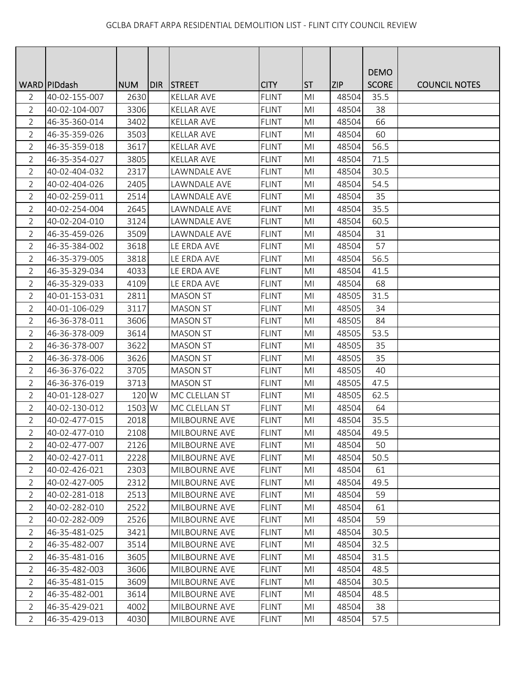|                |                 |            |     |                   |              |                |            | <b>DEMO</b>  |                      |
|----------------|-----------------|------------|-----|-------------------|--------------|----------------|------------|--------------|----------------------|
|                | WARD   PID dash | <b>NUM</b> | DIR | <b>STREET</b>     | <b>CITY</b>  | <b>ST</b>      | <b>ZIP</b> | <b>SCORE</b> | <b>COUNCIL NOTES</b> |
| 2              | 40-02-155-007   | 2630       |     | <b>KELLAR AVE</b> | <b>FLINT</b> | M <sub>l</sub> | 48504      | 35.5         |                      |
| $\overline{2}$ | 40-02-104-007   | 3306       |     | <b>KELLAR AVE</b> | <b>FLINT</b> | M <sub>l</sub> | 48504      | 38           |                      |
| $\overline{2}$ | 46-35-360-014   | 3402       |     | <b>KELLAR AVE</b> | <b>FLINT</b> | M <sub>l</sub> | 48504      | 66           |                      |
| $\overline{2}$ | 46-35-359-026   | 3503       |     | <b>KELLAR AVE</b> | <b>FLINT</b> | MI             | 48504      | 60           |                      |
| $\overline{2}$ | 46-35-359-018   | 3617       |     | <b>KELLAR AVE</b> | <b>FLINT</b> | MI             | 48504      | 56.5         |                      |
| $\overline{2}$ | 46-35-354-027   | 3805       |     | <b>KELLAR AVE</b> | <b>FLINT</b> | M <sub>l</sub> | 48504      | 71.5         |                      |
| $\overline{2}$ | 40-02-404-032   | 2317       |     | LAWNDALE AVE      | <b>FLINT</b> | M <sub>l</sub> | 48504      | 30.5         |                      |
| $\overline{2}$ | 40-02-404-026   | 2405       |     | LAWNDALE AVE      | <b>FLINT</b> | M <sub>l</sub> | 48504      | 54.5         |                      |
| $\overline{2}$ | 40-02-259-011   | 2514       |     | LAWNDALE AVE      | <b>FLINT</b> | MI             | 48504      | 35           |                      |
| $\overline{2}$ | 40-02-254-004   | 2645       |     | LAWNDALE AVE      | <b>FLINT</b> | MI             | 48504      | 35.5         |                      |
| $\overline{2}$ | 40-02-204-010   | 3124       |     | LAWNDALE AVE      | <b>FLINT</b> | MI             | 48504      | 60.5         |                      |
| $\overline{2}$ | 46-35-459-026   | 3509       |     | LAWNDALE AVE      | <b>FLINT</b> | M <sub>l</sub> | 48504      | 31           |                      |
| $\overline{2}$ | 46-35-384-002   | 3618       |     | LE ERDA AVE       | <b>FLINT</b> | M <sub>l</sub> | 48504      | 57           |                      |
| $\overline{2}$ | 46-35-379-005   | 3818       |     | LE ERDA AVE       | <b>FLINT</b> | M <sub>l</sub> | 48504      | 56.5         |                      |
| $\overline{2}$ | 46-35-329-034   | 4033       |     | LE ERDA AVE       | <b>FLINT</b> | MI             | 48504      | 41.5         |                      |
| $\overline{2}$ | 46-35-329-033   | 4109       |     | LE ERDA AVE       | <b>FLINT</b> | MI             | 48504      | 68           |                      |
| $\overline{2}$ | 40-01-153-031   | 2811       |     | <b>MASON ST</b>   | <b>FLINT</b> | MI             | 48505      | 31.5         |                      |
| $\overline{2}$ | 40-01-106-029   | 3117       |     | <b>MASON ST</b>   | <b>FLINT</b> | MI             | 48505      | 34           |                      |
| $\overline{2}$ | 46-36-378-011   | 3606       |     | <b>MASON ST</b>   | <b>FLINT</b> | M <sub>l</sub> | 48505      | 84           |                      |
| $\overline{2}$ | 46-36-378-009   | 3614       |     | <b>MASON ST</b>   | <b>FLINT</b> | MI             | 48505      | 53.5         |                      |
| $\overline{2}$ | 46-36-378-007   | 3622       |     | <b>MASON ST</b>   | <b>FLINT</b> | MI             | 48505      | 35           |                      |
| $\overline{2}$ | 46-36-378-006   | 3626       |     | <b>MASON ST</b>   | <b>FLINT</b> | MI             | 48505      | 35           |                      |
| $\overline{2}$ | 46-36-376-022   | 3705       |     | <b>MASON ST</b>   | <b>FLINT</b> | MI             | 48505      | 40           |                      |
| $\overline{2}$ | 46-36-376-019   | 3713       |     | <b>MASON ST</b>   | <b>FLINT</b> | MI             | 48505      | 47.5         |                      |
| $\overline{2}$ | 40-01-128-027   | 120 W      |     | MC CLELLAN ST     | <b>FLINT</b> | M <sub>l</sub> | 48505      | 62.5         |                      |
| $\overline{2}$ | 40-02-130-012   | 1503 W     |     | MC CLELLAN ST     | <b>FLINT</b> | M <sub>l</sub> | 48504      | 64           |                      |
| $\overline{2}$ | 40-02-477-015   | 2018       |     | MILBOURNE AVE     | <b>FLINT</b> | MI             | 48504      | 35.5         |                      |
| 2              | 40-02-477-010   | 2108       |     | MILBOURNE AVE     | <b>FLINT</b> | MI             | 48504      | 49.5         |                      |
| $\overline{2}$ | 40-02-477-007   | 2126       |     | MILBOURNE AVE     | <b>FLINT</b> | M <sub>l</sub> | 48504      | 50           |                      |
| $\overline{2}$ | 40-02-427-011   | 2228       |     | MILBOURNE AVE     | <b>FLINT</b> | MI             | 48504      | 50.5         |                      |
| $\overline{2}$ | 40-02-426-021   | 2303       |     | MILBOURNE AVE     | <b>FLINT</b> | M <sub>l</sub> | 48504      | 61           |                      |
| $\overline{2}$ | 40-02-427-005   | 2312       |     | MILBOURNE AVE     | <b>FLINT</b> | M <sub>l</sub> | 48504      | 49.5         |                      |
| $\overline{2}$ | 40-02-281-018   | 2513       |     | MILBOURNE AVE     | <b>FLINT</b> | M <sub>l</sub> | 48504      | 59           |                      |
| $\overline{2}$ | 40-02-282-010   | 2522       |     | MILBOURNE AVE     | <b>FLINT</b> | MI             | 48504      | 61           |                      |
| $\overline{2}$ | 40-02-282-009   | 2526       |     | MILBOURNE AVE     | <b>FLINT</b> | MI             | 48504      | 59           |                      |
| $\overline{2}$ | 46-35-481-025   | 3421       |     | MILBOURNE AVE     | <b>FLINT</b> | MI             | 48504      | 30.5         |                      |
| $\overline{2}$ | 46-35-482-007   | 3514       |     | MILBOURNE AVE     | <b>FLINT</b> | MI             | 48504      | 32.5         |                      |
| $\overline{2}$ | 46-35-481-016   | 3605       |     | MILBOURNE AVE     | <b>FLINT</b> | M <sub>l</sub> | 48504      | 31.5         |                      |
| $\overline{2}$ | 46-35-482-003   | 3606       |     | MILBOURNE AVE     | <b>FLINT</b> | M <sub>l</sub> | 48504      | 48.5         |                      |
| $\overline{2}$ | 46-35-481-015   | 3609       |     | MILBOURNE AVE     | <b>FLINT</b> | MI             | 48504      | 30.5         |                      |
| $\overline{2}$ | 46-35-482-001   | 3614       |     | MILBOURNE AVE     | <b>FLINT</b> | MI             | 48504      | 48.5         |                      |
| $\overline{2}$ | 46-35-429-021   | 4002       |     | MILBOURNE AVE     | <b>FLINT</b> | MI             | 48504      | 38           |                      |
| $\overline{2}$ | 46-35-429-013   | 4030       |     | MILBOURNE AVE     | <b>FLINT</b> | M <sub>l</sub> | 48504      | 57.5         |                      |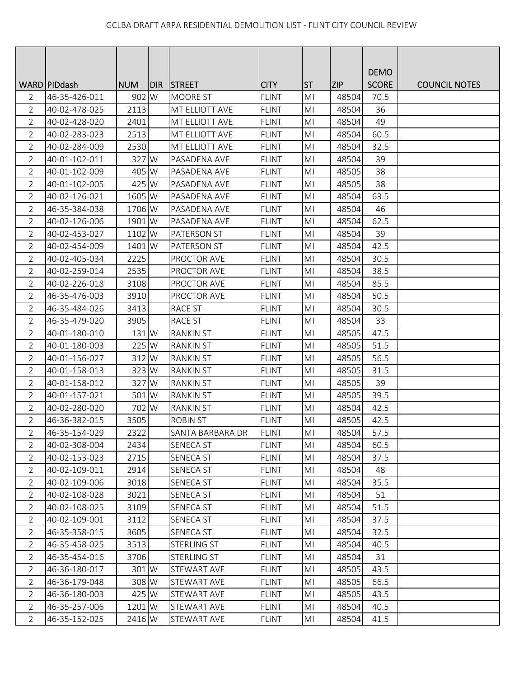|                |                 |            |     |                       |              |                |            | <b>DEMO</b>  |                      |
|----------------|-----------------|------------|-----|-----------------------|--------------|----------------|------------|--------------|----------------------|
|                | WARD   PID dash | <b>NUM</b> | DIR | <b>STREET</b>         | <b>CITY</b>  | <b>ST</b>      | <b>ZIP</b> | <b>SCORE</b> | <b>COUNCIL NOTES</b> |
| 2              | 46-35-426-011   | 902 W      |     | <b>MOORE ST</b>       | <b>FLINT</b> | M <sub>l</sub> | 48504      | 70.5         |                      |
| $\overline{2}$ | 40-02-478-025   | 2113       |     | <b>MT ELLIOTT AVE</b> | <b>FLINT</b> | M <sub>l</sub> | 48504      | 36           |                      |
| $\overline{2}$ | 40-02-428-020   | 2401       |     | MT ELLIOTT AVE        | <b>FLINT</b> | MI             | 48504      | 49           |                      |
| $\overline{2}$ | 40-02-283-023   | 2513       |     | MT ELLIOTT AVE        | <b>FLINT</b> | MI             | 48504      | 60.5         |                      |
| $\overline{2}$ | 40-02-284-009   | 2530       |     | MT ELLIOTT AVE        | <b>FLINT</b> | M <sub>l</sub> | 48504      | 32.5         |                      |
| $\overline{2}$ | 40-01-102-011   | 327 W      |     | PASADENA AVE          | <b>FLINT</b> | MI             | 48504      | 39           |                      |
| $\overline{2}$ | 40-01-102-009   | 405 W      |     | PASADENA AVE          | <b>FLINT</b> | M <sub>l</sub> | 48505      | 38           |                      |
| $\overline{2}$ | 40-01-102-005   | 425 W      |     | PASADENA AVE          | <b>FLINT</b> | M <sub>l</sub> | 48505      | 38           |                      |
| $\overline{2}$ | 40-02-126-021   | 1605 W     |     | PASADENA AVE          | <b>FLINT</b> | M <sub>l</sub> | 48504      | 63.5         |                      |
| $\overline{2}$ | 46-35-384-038   | 1706 W     |     | PASADENA AVE          | <b>FLINT</b> | M <sub>l</sub> | 48504      | 46           |                      |
| $\overline{2}$ | 40-02-126-006   | 1901 W     |     | PASADENA AVE          | <b>FLINT</b> | MI             | 48504      | 62.5         |                      |
| $\overline{2}$ | 40-02-453-027   | 1102 W     |     | <b>PATERSON ST</b>    | <b>FLINT</b> | M <sub>l</sub> | 48504      | 39           |                      |
| $\overline{2}$ | 40-02-454-009   | 1401 W     |     | <b>PATERSON ST</b>    | <b>FLINT</b> | M <sub>l</sub> | 48504      | 42.5         |                      |
| $\overline{2}$ | 40-02-405-034   | 2225       |     | PROCTOR AVE           | <b>FLINT</b> | M <sub>l</sub> | 48504      | 30.5         |                      |
| $\overline{2}$ | 40-02-259-014   | 2535       |     | PROCTOR AVE           | <b>FLINT</b> | MI             | 48504      | 38.5         |                      |
| $\overline{2}$ | 40-02-226-018   | 3108       |     | PROCTOR AVE           | <b>FLINT</b> | MI             | 48504      | 85.5         |                      |
| $\overline{2}$ | 46-35-476-003   | 3910       |     | <b>PROCTOR AVE</b>    | <b>FLINT</b> | M <sub>l</sub> | 48504      | 50.5         |                      |
| $\overline{2}$ | 46-35-484-026   | 3413       |     | <b>RACE ST</b>        | <b>FLINT</b> | MI             | 48504      | 30.5         |                      |
| $\overline{2}$ | 46-35-479-020   | 3905       |     | RACE ST               | <b>FLINT</b> | M <sub>l</sub> | 48504      | 33           |                      |
| $\overline{2}$ | 40-01-180-010   | 131 W      |     | <b>RANKIN ST</b>      | <b>FLINT</b> | M <sub>l</sub> | 48505      | 47.5         |                      |
| $\overline{2}$ | 40-01-180-003   | 225 W      |     | <b>RANKIN ST</b>      | <b>FLINT</b> | MI             | 48505      | 51.5         |                      |
| $\overline{2}$ | 40-01-156-027   | 312 W      |     | <b>RANKIN ST</b>      | <b>FLINT</b> | MI             | 48505      | 56.5         |                      |
| $\overline{2}$ | 40-01-158-013   | 323 W      |     | <b>RANKIN ST</b>      | <b>FLINT</b> | MI             | 48505      | 31.5         |                      |
| $\overline{2}$ | 40-01-158-012   | 327 W      |     | <b>RANKIN ST</b>      | <b>FLINT</b> | M <sub>l</sub> | 48505      | 39           |                      |
| $\overline{2}$ | 40-01-157-021   | 501 W      |     | <b>RANKIN ST</b>      | <b>FLINT</b> | MI             | 48505      | 39.5         |                      |
| $\overline{2}$ | 40-02-280-020   | 702 W      |     | <b>RANKIN ST</b>      | <b>FLINT</b> | M <sub>l</sub> | 48504      | 42.5         |                      |
| $\overline{2}$ | 46-36-382-015   | 3505       |     | <b>ROBIN ST</b>       | <b>FLINT</b> | M <sub>l</sub> | 48505      | 42.5         |                      |
| 2              | 46-35-154-029   | 2322       |     | SANTA BARBARA DR      | FLINT        | MI             | 48504      | 57.5         |                      |
| $\overline{2}$ | 40-02-308-004   | 2434       |     | <b>SENECA ST</b>      | <b>FLINT</b> | MI             | 48504      | 60.5         |                      |
| $\overline{2}$ | 40-02-153-023   | 2715       |     | SENECA ST             | <b>FLINT</b> | MI             | 48504      | 37.5         |                      |
| 2              | 40-02-109-011   | 2914       |     | SENECA ST             | <b>FLINT</b> | M <sub>l</sub> | 48504      | 48           |                      |
| 2              | 40-02-109-006   | 3018       |     | <b>SENECA ST</b>      | <b>FLINT</b> | MI             | 48504      | 35.5         |                      |
| $\overline{2}$ | 40-02-108-028   | 3021       |     | SENECA ST             | <b>FLINT</b> | MI             | 48504      | 51           |                      |
| $\overline{2}$ | 40-02-108-025   | 3109       |     | SENECA ST             | <b>FLINT</b> | MI             | 48504      | 51.5         |                      |
| 2              | 40-02-109-001   | 3112       |     | SENECA ST             | <b>FLINT</b> | MI             | 48504      | 37.5         |                      |
| $\overline{2}$ | 46-35-358-015   | 3605       |     | <b>SENECA ST</b>      | <b>FLINT</b> | MI             | 48504      | 32.5         |                      |
| 2              | 46-35-458-025   | 3513       |     | STERLING ST           | <b>FLINT</b> | MI             | 48504      | 40.5         |                      |
| $\overline{2}$ | 46-35-454-016   | 3706       |     | STERLING ST           | <b>FLINT</b> | M <sub>l</sub> | 48504      | 31           |                      |
| $\overline{2}$ | 46-36-180-017   | 301 W      |     | STEWART AVE           | <b>FLINT</b> | M <sub>l</sub> | 48505      | 43.5         |                      |
| 2              | 46-36-179-048   | 308 W      |     | STEWART AVE           | <b>FLINT</b> | MI             | 48505      | 66.5         |                      |
| 2              | 46-36-180-003   | 425 W      |     | STEWART AVE           | <b>FLINT</b> | MI             | 48505      | 43.5         |                      |
| $\overline{2}$ | 46-35-257-006   | 1201 W     |     | STEWART AVE           | <b>FLINT</b> | MI             | 48504      | 40.5         |                      |
| $\overline{2}$ | 46-35-152-025   | 2416 W     |     | STEWART AVE           | <b>FLINT</b> | MI             | 48504      | 41.5         |                      |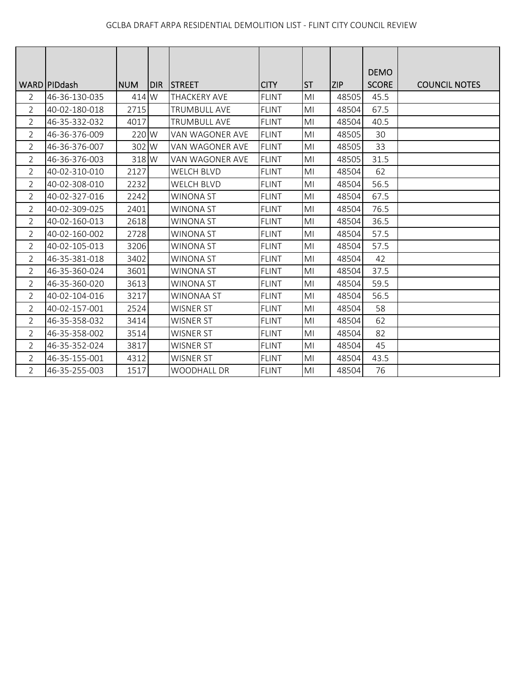|                | WARD PIDdash  | <b>NUM</b> | <b>DIR</b> | <b>ISTREET</b>      | <b>CITY</b>  | <b>ST</b>      | <b>ZIP</b> | <b>DEMO</b><br><b>SCORE</b> | <b>COUNCIL NOTES</b> |
|----------------|---------------|------------|------------|---------------------|--------------|----------------|------------|-----------------------------|----------------------|
| 2              | 46-36-130-035 | 414 W      |            | <b>THACKERY AVE</b> | <b>FLINT</b> | MI             | 48505      | 45.5                        |                      |
| 2              | 40-02-180-018 | 2715       |            | <b>TRUMBULL AVE</b> | <b>FLINT</b> | MI             | 48504      | 67.5                        |                      |
| $\overline{2}$ | 46-35-332-032 | 4017       |            | <b>TRUMBULL AVE</b> | <b>FLINT</b> | MI             | 48504      | 40.5                        |                      |
| $\overline{2}$ | 46-36-376-009 | 220 W      |            | VAN WAGONER AVE     | <b>FLINT</b> | MI             | 48505      | 30                          |                      |
| $\overline{2}$ | 46-36-376-007 | 302 W      |            | VAN WAGONER AVE     | <b>FLINT</b> | MI             | 48505      | 33                          |                      |
| 2              | 46-36-376-003 | 318 W      |            | VAN WAGONER AVE     | <b>FLINT</b> | MI             | 48505      | 31.5                        |                      |
| $\overline{2}$ | 40-02-310-010 | 2127       |            | <b>WELCH BLVD</b>   | <b>FLINT</b> | MI             | 48504      | 62                          |                      |
| $\overline{2}$ | 40-02-308-010 | 2232       |            | <b>WELCH BLVD</b>   | <b>FLINT</b> | MI             | 48504      | 56.5                        |                      |
| $\overline{2}$ | 40-02-327-016 | 2242       |            | <b>WINONA ST</b>    | <b>FLINT</b> | MI             | 48504      | 67.5                        |                      |
| $\overline{2}$ | 40-02-309-025 | 2401       |            | <b>WINONA ST</b>    | <b>FLINT</b> | MI             | 48504      | 76.5                        |                      |
| $\overline{2}$ | 40-02-160-013 | 2618       |            | <b>WINONA ST</b>    | <b>FLINT</b> | MI             | 48504      | 36.5                        |                      |
| $\overline{2}$ | 40-02-160-002 | 2728       |            | <b>WINONA ST</b>    | <b>FLINT</b> | MI             | 48504      | 57.5                        |                      |
| $\overline{2}$ | 40-02-105-013 | 3206       |            | <b>WINONA ST</b>    | <b>FLINT</b> | M <sub>l</sub> | 48504      | 57.5                        |                      |
| $\overline{2}$ | 46-35-381-018 | 3402       |            | <b>WINONA ST</b>    | <b>FLINT</b> | MI             | 48504      | 42                          |                      |
| $\overline{2}$ | 46-35-360-024 | 3601       |            | <b>WINONA ST</b>    | <b>FLINT</b> | MI             | 48504      | 37.5                        |                      |
| $\overline{2}$ | 46-35-360-020 | 3613       |            | WINONA ST           | <b>FLINT</b> | MI             | 48504      | 59.5                        |                      |
| 2              | 40-02-104-016 | 3217       |            | <b>WINONAA ST</b>   | <b>FLINT</b> | MI             | 48504      | 56.5                        |                      |
| $\overline{2}$ | 40-02-157-001 | 2524       |            | <b>WISNER ST</b>    | <b>FLINT</b> | MI             | 48504      | 58                          |                      |
| $\overline{2}$ | 46-35-358-032 | 3414       |            | <b>WISNER ST</b>    | <b>FLINT</b> | MI             | 48504      | 62                          |                      |
| $\overline{2}$ | 46-35-358-002 | 3514       |            | <b>WISNER ST</b>    | <b>FLINT</b> | MI             | 48504      | 82                          |                      |
| $\overline{2}$ | 46-35-352-024 | 3817       |            | <b>WISNER ST</b>    | <b>FLINT</b> | MI             | 48504      | 45                          |                      |
| $\overline{2}$ | 46-35-155-001 | 4312       |            | <b>WISNER ST</b>    | <b>FLINT</b> | MI             | 48504      | 43.5                        |                      |
| $\overline{2}$ | 46-35-255-003 | 1517       |            | <b>WOODHALL DR</b>  | <b>FLINT</b> | MI             | 48504      | 76                          |                      |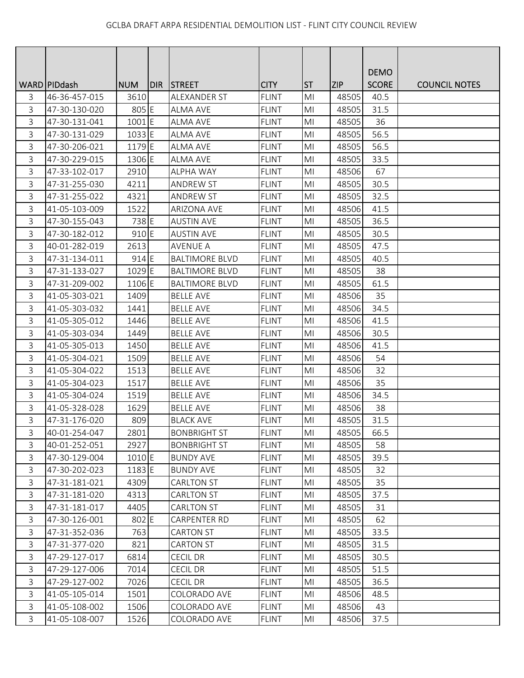|   |                |            |       |                       |              |                |            | <b>DEMO</b>  |                      |
|---|----------------|------------|-------|-----------------------|--------------|----------------|------------|--------------|----------------------|
|   | WARD   PIDdash | <b>NUM</b> | DIR I | <b>STREET</b>         | <b>CITY</b>  | <b>ST</b>      | <b>ZIP</b> | <b>SCORE</b> | <b>COUNCIL NOTES</b> |
| 3 | 46-36-457-015  | 3610       |       | ALEXANDER ST          | <b>FLINT</b> | M <sub>l</sub> | 48505      | 40.5         |                      |
| 3 | 47-30-130-020  | 805 E      |       | <b>ALMA AVE</b>       | <b>FLINT</b> | M <sub>l</sub> | 48505      | 31.5         |                      |
| 3 | 47-30-131-041  | 1001E      |       | <b>ALMA AVE</b>       | <b>FLINT</b> | MI             | 48505      | 36           |                      |
| 3 | 47-30-131-029  | 1033 E     |       | <b>ALMA AVE</b>       | <b>FLINT</b> | MI             | 48505      | 56.5         |                      |
| 3 | 47-30-206-021  | 1179 E     |       | <b>ALMA AVE</b>       | <b>FLINT</b> | M <sub>l</sub> | 48505      | 56.5         |                      |
| 3 | 47-30-229-015  | 1306 E     |       | <b>ALMA AVE</b>       | <b>FLINT</b> | MI             | 48505      | 33.5         |                      |
| 3 | 47-33-102-017  | 2910       |       | <b>ALPHA WAY</b>      | <b>FLINT</b> | M <sub>l</sub> | 48506      | 67           |                      |
| 3 | 47-31-255-030  | 4211       |       | <b>ANDREW ST</b>      | <b>FLINT</b> | MI             | 48505      | 30.5         |                      |
| 3 | 47-31-255-022  | 4321       |       | <b>ANDREW ST</b>      | <b>FLINT</b> | M <sub>l</sub> | 48505      | 32.5         |                      |
| 3 | 41-05-103-009  | 1522       |       | <b>ARIZONA AVE</b>    | <b>FLINT</b> | M <sub>l</sub> | 48506      | 41.5         |                      |
| 3 | 47-30-155-043  | 738 E      |       | <b>AUSTIN AVE</b>     | <b>FLINT</b> | MI             | 48505      | 36.5         |                      |
| 3 | 47-30-182-012  | 910 E      |       | <b>AUSTIN AVE</b>     | <b>FLINT</b> | M <sub>l</sub> | 48505      | 30.5         |                      |
| 3 | 40-01-282-019  | 2613       |       | <b>AVENUE A</b>       | <b>FLINT</b> | M <sub>l</sub> | 48505      | 47.5         |                      |
| 3 | 47-31-134-011  | 914 E      |       | <b>BALTIMORE BLVD</b> | <b>FLINT</b> | MI             | 48505      | 40.5         |                      |
| 3 | 47-31-133-027  | 1029 E     |       | <b>BALTIMORE BLVD</b> | <b>FLINT</b> | M <sub>l</sub> | 48505      | 38           |                      |
| 3 | 47-31-209-002  | 1106 E     |       | <b>BALTIMORE BLVD</b> | <b>FLINT</b> | MI             | 48505      | 61.5         |                      |
| 3 | 41-05-303-021  | 1409       |       | <b>BELLE AVE</b>      | <b>FLINT</b> | M <sub>l</sub> | 48506      | 35           |                      |
| 3 | 41-05-303-032  | 1441       |       | <b>BELLE AVE</b>      | <b>FLINT</b> | MI             | 48506      | 34.5         |                      |
| 3 | 41-05-305-012  | 1446       |       | <b>BELLE AVE</b>      | <b>FLINT</b> | M <sub>l</sub> | 48506      | 41.5         |                      |
| 3 | 41-05-303-034  | 1449       |       | <b>BELLE AVE</b>      | <b>FLINT</b> | M <sub>l</sub> | 48506      | 30.5         |                      |
| 3 | 41-05-305-013  | 1450       |       | <b>BELLE AVE</b>      | <b>FLINT</b> | MI             | 48506      | 41.5         |                      |
| 3 | 41-05-304-021  | 1509       |       | <b>BELLE AVE</b>      | <b>FLINT</b> | MI             | 48506      | 54           |                      |
| 3 | 41-05-304-022  | 1513       |       | <b>BELLE AVE</b>      | <b>FLINT</b> | MI             | 48506      | 32           |                      |
| 3 | 41-05-304-023  | 1517       |       | <b>BELLE AVE</b>      | <b>FLINT</b> | M <sub>l</sub> | 48506      | 35           |                      |
| 3 | 41-05-304-024  | 1519       |       | <b>BELLE AVE</b>      | <b>FLINT</b> | M <sub>l</sub> | 48506      | 34.5         |                      |
| 3 | 41-05-328-028  | 1629       |       | <b>BELLE AVE</b>      | <b>FLINT</b> | M <sub>l</sub> | 48506      | 38           |                      |
| 3 | 47-31-176-020  | 809        |       | <b>BLACK AVE</b>      | <b>FLINT</b> | M <sub>l</sub> | 48505      | 31.5         |                      |
| 3 | 40-01-254-047  | 2801       |       | <b>BONBRIGHT ST</b>   | <b>FLINT</b> | MI             | 48505      | 66.5         |                      |
| 3 | 40-01-252-051  | 2927       |       | <b>BONBRIGHT ST</b>   | <b>FLINT</b> | M <sub>l</sub> | 48505      | 58           |                      |
| 3 | 47-30-129-004  | 1010E      |       | <b>BUNDY AVE</b>      | <b>FLINT</b> | MI             | 48505      | 39.5         |                      |
| 3 | 47-30-202-023  | 1183 E     |       | <b>BUNDY AVE</b>      | <b>FLINT</b> | M <sub>l</sub> | 48505      | 32           |                      |
| 3 | 47-31-181-021  | 4309       |       | <b>CARLTON ST</b>     | <b>FLINT</b> | MI             | 48505      | 35           |                      |
| 3 | 47-31-181-020  | 4313       |       | <b>CARLTON ST</b>     | <b>FLINT</b> | M <sub>l</sub> | 48505      | 37.5         |                      |
| 3 | 47-31-181-017  | 4405       |       | <b>CARLTON ST</b>     | <b>FLINT</b> | MI             | 48505      | 31           |                      |
| 3 | 47-30-126-001  | 802 E      |       | CARPENTER RD          | <b>FLINT</b> | MI             | 48505      | 62           |                      |
| 3 | 47-31-352-036  | 763        |       | <b>CARTON ST</b>      | <b>FLINT</b> | MI             | 48505      | 33.5         |                      |
| 3 | 47-31-377-020  | 821        |       | <b>CARTON ST</b>      | <b>FLINT</b> | MI             | 48505      | 31.5         |                      |
| 3 | 47-29-127-017  | 6814       |       | <b>CECIL DR</b>       | <b>FLINT</b> | M <sub>l</sub> | 48505      | 30.5         |                      |
| 3 | 47-29-127-006  | 7014       |       | <b>CECIL DR</b>       | <b>FLINT</b> | M <sub>l</sub> | 48505      | 51.5         |                      |
| 3 | 47-29-127-002  | 7026       |       | <b>CECIL DR</b>       | <b>FLINT</b> | MI             | 48505      | 36.5         |                      |
| 3 | 41-05-105-014  | 1501       |       | COLORADO AVE          | <b>FLINT</b> | M <sub>l</sub> | 48506      | 48.5         |                      |
| 3 | 41-05-108-002  | 1506       |       | <b>COLORADO AVE</b>   | <b>FLINT</b> | MI             | 48506      | 43           |                      |
| 3 | 41-05-108-007  | 1526       |       | COLORADO AVE          | <b>FLINT</b> | MI             | 48506      | 37.5         |                      |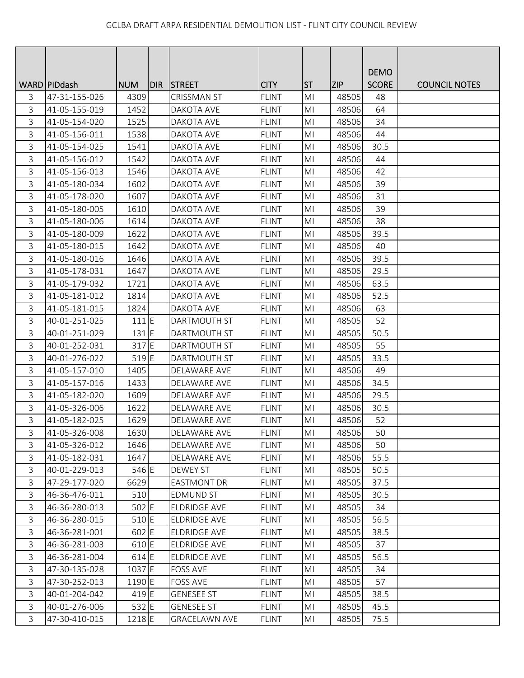|   |                 |            |     |                      |              |                |            | <b>DEMO</b>  |                      |
|---|-----------------|------------|-----|----------------------|--------------|----------------|------------|--------------|----------------------|
|   | WARD   PID dash | <b>NUM</b> | DIR | <b>STREET</b>        | <b>CITY</b>  | <b>ST</b>      | <b>ZIP</b> | <b>SCORE</b> | <b>COUNCIL NOTES</b> |
| 3 | 47-31-155-026   | 4309       |     | <b>CRISSMAN ST</b>   | <b>FLINT</b> | M <sub>l</sub> | 48505      | 48           |                      |
| 3 | 41-05-155-019   | 1452       |     | DAKOTA AVE           | <b>FLINT</b> | M <sub>l</sub> | 48506      | 64           |                      |
| 3 | 41-05-154-020   | 1525       |     | DAKOTA AVE           | <b>FLINT</b> | MI             | 48506      | 34           |                      |
| 3 | 41-05-156-011   | 1538       |     | DAKOTA AVE           | <b>FLINT</b> | MI             | 48506      | 44           |                      |
| 3 | 41-05-154-025   | 1541       |     | DAKOTA AVE           | <b>FLINT</b> | M <sub>l</sub> | 48506      | 30.5         |                      |
| 3 | 41-05-156-012   | 1542       |     | DAKOTA AVE           | <b>FLINT</b> | MI             | 48506      | 44           |                      |
| 3 | 41-05-156-013   | 1546       |     | DAKOTA AVE           | <b>FLINT</b> | M <sub>l</sub> | 48506      | 42           |                      |
| 3 | 41-05-180-034   | 1602       |     | DAKOTA AVE           | <b>FLINT</b> | M <sub>l</sub> | 48506      | 39           |                      |
| 3 | 41-05-178-020   | 1607       |     | DAKOTA AVE           | <b>FLINT</b> | M <sub>l</sub> | 48506      | 31           |                      |
| 3 | 41-05-180-005   | 1610       |     | DAKOTA AVE           | <b>FLINT</b> | MI             | 48506      | 39           |                      |
| 3 | 41-05-180-006   | 1614       |     | DAKOTA AVE           | <b>FLINT</b> | MI             | 48506      | 38           |                      |
| 3 | 41-05-180-009   | 1622       |     | DAKOTA AVE           | <b>FLINT</b> | M <sub>l</sub> | 48506      | 39.5         |                      |
| 3 | 41-05-180-015   | 1642       |     | <b>DAKOTA AVE</b>    | <b>FLINT</b> | M <sub>l</sub> | 48506      | 40           |                      |
| 3 | 41-05-180-016   | 1646       |     | <b>DAKOTA AVE</b>    | <b>FLINT</b> | M <sub>l</sub> | 48506      | 39.5         |                      |
| 3 | 41-05-178-031   | 1647       |     | DAKOTA AVE           | <b>FLINT</b> | MI             | 48506      | 29.5         |                      |
| 3 | 41-05-179-032   | 1721       |     | DAKOTA AVE           | <b>FLINT</b> | MI             | 48506      | 63.5         |                      |
| 3 | 41-05-181-012   | 1814       |     | DAKOTA AVE           | <b>FLINT</b> | MI             | 48506      | 52.5         |                      |
| 3 | 41-05-181-015   | 1824       |     | DAKOTA AVE           | <b>FLINT</b> | MI             | 48506      | 63           |                      |
| 3 | 40-01-251-025   | 111 E      |     | DARTMOUTH ST         | <b>FLINT</b> | M <sub>l</sub> | 48505      | 52           |                      |
| 3 | 40-01-251-029   | $131$ E    |     | DARTMOUTH ST         | <b>FLINT</b> | M <sub>l</sub> | 48505      | 50.5         |                      |
| 3 | 40-01-252-031   | 317 E      |     | DARTMOUTH ST         | <b>FLINT</b> | MI             | 48505      | 55           |                      |
| 3 | 40-01-276-022   | 519 E      |     | <b>DARTMOUTH ST</b>  | <b>FLINT</b> | MI             | 48505      | 33.5         |                      |
| 3 | 41-05-157-010   | 1405       |     | DELAWARE AVE         | <b>FLINT</b> | MI             | 48506      | 49           |                      |
| 3 | 41-05-157-016   | 1433       |     | DELAWARE AVE         | <b>FLINT</b> | MI             | 48506      | 34.5         |                      |
| 3 | 41-05-182-020   | 1609       |     | DELAWARE AVE         | <b>FLINT</b> | MI             | 48506      | 29.5         |                      |
| 3 | 41-05-326-006   | 1622       |     | DELAWARE AVE         | <b>FLINT</b> | M <sub>l</sub> | 48506      | 30.5         |                      |
| 3 | 41-05-182-025   | 1629       |     | DELAWARE AVE         | <b>FLINT</b> | MI             | 48506      | 52           |                      |
| 3 | 41-05-326-008   | 1630       |     | DELAWARE AVE         | <b>FLINT</b> | MI             | 48506      | 50           |                      |
| 3 | 41-05-326-012   | 1646       |     | DELAWARE AVE         | <b>FLINT</b> | MI             | 48506      | 50           |                      |
| 3 | 41-05-182-031   | 1647       |     | DELAWARE AVE         | <b>FLINT</b> | MI             | 48506      | 55.5         |                      |
| 3 | 40-01-229-013   | 546 E      |     | <b>DEWEY ST</b>      | <b>FLINT</b> | MI             | 48505      | 50.5         |                      |
| 3 | 47-29-177-020   | 6629       |     | <b>EASTMONT DR</b>   | <b>FLINT</b> | MI             | 48505      | 37.5         |                      |
| 3 | 46-36-476-011   | 510        |     | <b>EDMUND ST</b>     | <b>FLINT</b> | M <sub>l</sub> | 48505      | 30.5         |                      |
| 3 | 46-36-280-013   | 502 E      |     | ELDRIDGE AVE         | <b>FLINT</b> | M <sub>l</sub> | 48505      | 34           |                      |
| 3 | 46-36-280-015   | 510 E      |     | ELDRIDGE AVE         | <b>FLINT</b> | MI             | 48505      | 56.5         |                      |
| 3 | 46-36-281-001   | 602 E      |     | ELDRIDGE AVE         | <b>FLINT</b> | MI             | 48505      | 38.5         |                      |
| 3 | 46-36-281-003   | 610 E      |     | ELDRIDGE AVE         | <b>FLINT</b> | MI             | 48505      | 37           |                      |
| 3 | 46-36-281-004   | 614 E      |     | ELDRIDGE AVE         | <b>FLINT</b> | MI             | 48505      | 56.5         |                      |
| 3 | 47-30-135-028   | 1037 E     |     | <b>FOSS AVE</b>      | <b>FLINT</b> | MI             | 48505      | 34           |                      |
| 3 | 47-30-252-013   | 1190 E     |     | <b>FOSS AVE</b>      | <b>FLINT</b> | MI             | 48505      | 57           |                      |
| 3 | 40-01-204-042   | 419 E      |     | <b>GENESEE ST</b>    | <b>FLINT</b> | MI             | 48505      | 38.5         |                      |
| 3 | 40-01-276-006   | 532 E      |     | <b>GENESEE ST</b>    | <b>FLINT</b> | MI             | 48505      | 45.5         |                      |
| 3 | 47-30-410-015   | 1218 E     |     | <b>GRACELAWN AVE</b> | <b>FLINT</b> | MI             | 48505      | 75.5         |                      |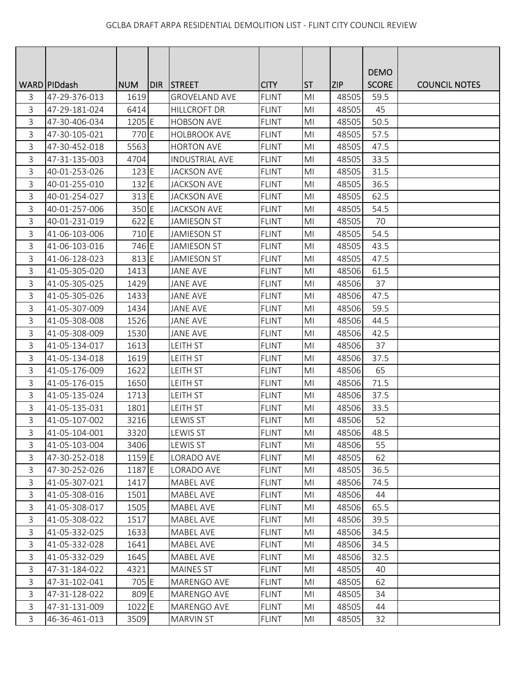|   |                 |            |       |                       |              |                |            | <b>DEMO</b>  |                      |
|---|-----------------|------------|-------|-----------------------|--------------|----------------|------------|--------------|----------------------|
|   | WARD   PID dash | <b>NUM</b> | DIR I | <b>STREET</b>         | <b>CITY</b>  | <b>ST</b>      | <b>ZIP</b> | <b>SCORE</b> | <b>COUNCIL NOTES</b> |
| 3 | 47-29-376-013   | 1619       |       | <b>GROVELAND AVE</b>  | <b>FLINT</b> | M <sub>l</sub> | 48505      | 59.5         |                      |
| 3 | 47-29-181-024   | 6414       |       | <b>HILLCROFT DR</b>   | <b>FLINT</b> | M <sub>l</sub> | 48505      | 45           |                      |
| 3 | 47-30-406-034   | 1205 E     |       | <b>HOBSON AVE</b>     | <b>FLINT</b> | MI             | 48505      | 50.5         |                      |
| 3 | 47-30-105-021   | 770 E      |       | <b>HOLBROOK AVE</b>   | <b>FLINT</b> | MI             | 48505      | 57.5         |                      |
| 3 | 47-30-452-018   | 5563       |       | <b>HORTON AVE</b>     | <b>FLINT</b> | M <sub>l</sub> | 48505      | 47.5         |                      |
| 3 | 47-31-135-003   | 4704       |       | <b>INDUSTRIAL AVE</b> | <b>FLINT</b> | MI             | 48505      | 33.5         |                      |
| 3 | 40-01-253-026   | 123 E      |       | <b>JACKSON AVE</b>    | <b>FLINT</b> | M <sub>l</sub> | 48505      | 31.5         |                      |
| 3 | 40-01-255-010   | 132 E      |       | <b>JACKSON AVE</b>    | <b>FLINT</b> | MI             | 48505      | 36.5         |                      |
| 3 | 40-01-254-027   | 313 E      |       | <b>JACKSON AVE</b>    | <b>FLINT</b> | MI             | 48505      | 62.5         |                      |
| 3 | 40-01-257-006   | 350 E      |       | <b>JACKSON AVE</b>    | <b>FLINT</b> | M <sub>l</sub> | 48505      | 54.5         |                      |
| 3 | 40-01-231-019   | 622 E      |       | <b>JAMIESON ST</b>    | <b>FLINT</b> | MI             | 48505      | 70           |                      |
| 3 | 41-06-103-006   | 710 E      |       | <b>JAMIESON ST</b>    | <b>FLINT</b> | M <sub>l</sub> | 48505      | 54.5         |                      |
| 3 | 41-06-103-016   | 746 E      |       | <b>JAMIESON ST</b>    | <b>FLINT</b> | M <sub>l</sub> | 48505      | 43.5         |                      |
| 3 | 41-06-128-023   | 813 E      |       | <b>JAMIESON ST</b>    | <b>FLINT</b> | M <sub>l</sub> | 48505      | 47.5         |                      |
| 3 | 41-05-305-020   | 1413       |       | <b>JANE AVE</b>       | <b>FLINT</b> | M <sub>l</sub> | 48506      | 61.5         |                      |
| 3 | 41-05-305-025   | 1429       |       | <b>JANE AVE</b>       | <b>FLINT</b> | MI             | 48506      | 37           |                      |
| 3 | 41-05-305-026   | 1433       |       | <b>JANE AVE</b>       | <b>FLINT</b> | M <sub>l</sub> | 48506      | 47.5         |                      |
| 3 | 41-05-307-009   | 1434       |       | <b>JANE AVE</b>       | <b>FLINT</b> | MI             | 48506      | 59.5         |                      |
| 3 | 41-05-308-008   | 1526       |       | <b>JANE AVE</b>       | <b>FLINT</b> | M <sub>l</sub> | 48506      | 44.5         |                      |
| 3 | 41-05-308-009   | 1530       |       | <b>JANE AVE</b>       | <b>FLINT</b> | M <sub>l</sub> | 48506      | 42.5         |                      |
| 3 | 41-05-134-017   | 1613       |       | LEITH ST              | <b>FLINT</b> | M <sub>l</sub> | 48506      | 37           |                      |
| 3 | 41-05-134-018   | 1619       |       | <b>LEITH ST</b>       | <b>FLINT</b> | MI             | 48506      | 37.5         |                      |
| 3 | 41-05-176-009   | 1622       |       | <b>LEITH ST</b>       | <b>FLINT</b> | MI             | 48506      | 65           |                      |
| 3 | 41-05-176-015   | 1650       |       | LEITH ST              | <b>FLINT</b> | M <sub>l</sub> | 48506      | 71.5         |                      |
| 3 | 41-05-135-024   | 1713       |       | <b>LEITH ST</b>       | <b>FLINT</b> | MI             | 48506      | 37.5         |                      |
| 3 | 41-05-135-031   | 1801       |       | LEITH ST              | <b>FLINT</b> | M <sub>l</sub> | 48506      | 33.5         |                      |
| 3 | 41-05-107-002   | 3216       |       | <b>LEWIS ST</b>       | <b>FLINT</b> | M <sub>l</sub> | 48506      | 52           |                      |
| 3 | 41-05-104-001   | 3320       |       | <b>LEWIS ST</b>       | <b>FLINT</b> | MI             | 48506      | 48.5         |                      |
| 3 | 41-05-103-004   | 3406       |       | <b>LEWIS ST</b>       | <b>FLINT</b> | MI             | 48506      | 55           |                      |
| 3 | 47-30-252-018   | 1159 E     |       | LORADO AVE            | <b>FLINT</b> | MI             | 48505      | 62           |                      |
| 3 | 47-30-252-026   | 1187 E     |       | LORADO AVE            | <b>FLINT</b> | MI             | 48505      | 36.5         |                      |
| 3 | 41-05-307-021   | 1417       |       | MABEL AVE             | <b>FLINT</b> | MI             | 48506      | 74.5         |                      |
| 3 | 41-05-308-016   | 1501       |       | MABEL AVE             | <b>FLINT</b> | MI             | 48506      | 44           |                      |
| 3 | 41-05-308-017   | 1505       |       | <b>MABEL AVE</b>      | <b>FLINT</b> | MI             | 48506      | 65.5         |                      |
| 3 | 41-05-308-022   | 1517       |       | MABEL AVE             | <b>FLINT</b> | MI             | 48506      | 39.5         |                      |
| 3 | 41-05-332-025   | 1633       |       | MABEL AVE             | <b>FLINT</b> | MI             | 48506      | 34.5         |                      |
| 3 | 41-05-332-028   | 1641       |       | MABEL AVE             | <b>FLINT</b> | MI             | 48506      | 34.5         |                      |
| 3 | 41-05-332-029   | 1645       |       | MABEL AVE             | <b>FLINT</b> | MI             | 48506      | 32.5         |                      |
| 3 | 47-31-184-022   | 4321       |       | <b>MAINES ST</b>      | <b>FLINT</b> | MI             | 48505      | 40           |                      |
| 3 | 47-31-102-041   | 705 E      |       | MARENGO AVE           | <b>FLINT</b> | MI             | 48505      | 62           |                      |
| 3 | 47-31-128-022   | 809 E      |       | MARENGO AVE           | <b>FLINT</b> | MI             | 48505      | 34           |                      |
| 3 | 47-31-131-009   | 1022 E     |       | MARENGO AVE           | <b>FLINT</b> | MI             | 48505      | 44           |                      |
| 3 | 46-36-461-013   | 3509       |       | MARVIN ST             | <b>FLINT</b> | MI             | 48505      | 32           |                      |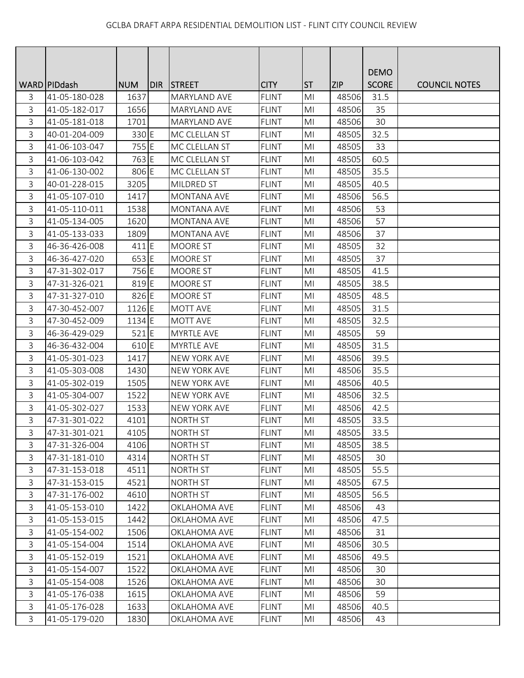|   |                 |            |       |                     |              |                |            | <b>DEMO</b>  |                      |
|---|-----------------|------------|-------|---------------------|--------------|----------------|------------|--------------|----------------------|
|   | WARD   PID dash | <b>NUM</b> | DIR I | <b>STREET</b>       | <b>CITY</b>  | <b>ST</b>      | <b>ZIP</b> | <b>SCORE</b> | <b>COUNCIL NOTES</b> |
| 3 | 41-05-180-028   | 1637       |       | MARYLAND AVE        | <b>FLINT</b> | M <sub>l</sub> | 48506      | 31.5         |                      |
| 3 | 41-05-182-017   | 1656       |       | <b>MARYLAND AVE</b> | <b>FLINT</b> | M <sub>l</sub> | 48506      | 35           |                      |
| 3 | 41-05-181-018   | 1701       |       | <b>MARYLAND AVE</b> | <b>FLINT</b> | MI             | 48506      | 30           |                      |
| 3 | 40-01-204-009   | 330 E      |       | MC CLELLAN ST       | <b>FLINT</b> | MI             | 48505      | 32.5         |                      |
| 3 | 41-06-103-047   | 755 E      |       | MC CLELLAN ST       | <b>FLINT</b> | M <sub>l</sub> | 48505      | 33           |                      |
| 3 | 41-06-103-042   | 763 E      |       | MC CLELLAN ST       | <b>FLINT</b> | MI             | 48505      | 60.5         |                      |
| 3 | 41-06-130-002   | 806 E      |       | MC CLELLAN ST       | <b>FLINT</b> | M <sub>l</sub> | 48505      | 35.5         |                      |
| 3 | 40-01-228-015   | 3205       |       | <b>MILDRED ST</b>   | <b>FLINT</b> | M <sub>l</sub> | 48505      | 40.5         |                      |
| 3 | 41-05-107-010   | 1417       |       | MONTANA AVE         | <b>FLINT</b> | M <sub>l</sub> | 48506      | 56.5         |                      |
| 3 | 41-05-110-011   | 1538       |       | MONTANA AVE         | <b>FLINT</b> | MI             | 48506      | 53           |                      |
| 3 | 41-05-134-005   | 1620       |       | <b>MONTANA AVE</b>  | <b>FLINT</b> | MI             | 48506      | 57           |                      |
| 3 | 41-05-133-033   | 1809       |       | <b>MONTANA AVE</b>  | <b>FLINT</b> | M <sub>l</sub> | 48506      | 37           |                      |
| 3 | 46-36-426-008   | 411 E      |       | MOORE ST            | <b>FLINT</b> | MI             | 48505      | 32           |                      |
| 3 | 46-36-427-020   | 653 E      |       | MOORE ST            | <b>FLINT</b> | M <sub>l</sub> | 48505      | 37           |                      |
| 3 | 47-31-302-017   | 756 E      |       | MOORE ST            | <b>FLINT</b> | MI             | 48505      | 41.5         |                      |
| 3 | 47-31-326-021   | 819 E      |       | MOORE ST            | <b>FLINT</b> | MI             | 48505      | 38.5         |                      |
| 3 | 47-31-327-010   | 826 E      |       | MOORE ST            | <b>FLINT</b> | MI             | 48505      | 48.5         |                      |
| 3 | 47-30-452-007   | 1126 E     |       | MOTT AVE            | <b>FLINT</b> | MI             | 48505      | 31.5         |                      |
| 3 | 47-30-452-009   | 1134 E     |       | <b>MOTT AVE</b>     | <b>FLINT</b> | M <sub>l</sub> | 48505      | 32.5         |                      |
| 3 | 46-36-429-029   | $521$ E    |       | <b>MYRTLE AVE</b>   | <b>FLINT</b> | M <sub>l</sub> | 48505      | 59           |                      |
| 3 | 46-36-432-004   | 610 E      |       | <b>MYRTLE AVE</b>   | <b>FLINT</b> | MI             | 48505      | 31.5         |                      |
| 3 | 41-05-301-023   | 1417       |       | <b>NEW YORK AVE</b> | <b>FLINT</b> | M <sub>l</sub> | 48506      | 39.5         |                      |
| 3 | 41-05-303-008   | 1430       |       | <b>NEW YORK AVE</b> | <b>FLINT</b> | MI             | 48506      | 35.5         |                      |
| 3 | 41-05-302-019   | 1505       |       | <b>NEW YORK AVE</b> | <b>FLINT</b> | M <sub>l</sub> | 48506      | 40.5         |                      |
| 3 | 41-05-304-007   | 1522       |       | <b>NEW YORK AVE</b> | <b>FLINT</b> | MI             | 48506      | 32.5         |                      |
| 3 | 41-05-302-027   | 1533       |       | <b>NEW YORK AVE</b> | <b>FLINT</b> | M <sub>l</sub> | 48506      | 42.5         |                      |
| 3 | 47-31-301-022   | 4101       |       | <b>NORTH ST</b>     | <b>FLINT</b> | M <sub>l</sub> | 48505      | 33.5         |                      |
| 3 | 47-31-301-021   | 4105       |       | <b>NORTH ST</b>     | <b>FLINT</b> | MI             | 48505      | 33.5         |                      |
| 3 | 47-31-326-004   | 4106       |       | <b>NORTH ST</b>     | <b>FLINT</b> | M <sub>l</sub> | 48505      | 38.5         |                      |
| 3 | 47-31-181-010   | 4314       |       | <b>NORTH ST</b>     | <b>FLINT</b> | MI             | 48505      | 30           |                      |
| 3 | 47-31-153-018   | 4511       |       | <b>NORTH ST</b>     | <b>FLINT</b> | MI             | 48505      | 55.5         |                      |
| 3 | 47-31-153-015   | 4521       |       | <b>NORTH ST</b>     | <b>FLINT</b> | MI             | 48505      | 67.5         |                      |
| 3 | 47-31-176-002   | 4610       |       | NORTH ST            | <b>FLINT</b> | M <sub>l</sub> | 48505      | 56.5         |                      |
| 3 | 41-05-153-010   | 1422       |       | OKLAHOMA AVE        | <b>FLINT</b> | M <sub>l</sub> | 48506      | 43           |                      |
| 3 | 41-05-153-015   | 1442       |       | <b>OKLAHOMA AVE</b> | <b>FLINT</b> | MI             | 48506      | 47.5         |                      |
| 3 | 41-05-154-002   | 1506       |       | OKLAHOMA AVE        | <b>FLINT</b> | MI             | 48506      | 31           |                      |
| 3 | 41-05-154-004   | 1514       |       | OKLAHOMA AVE        | <b>FLINT</b> | MI             | 48506      | 30.5         |                      |
| 3 | 41-05-152-019   | 1521       |       | <b>OKLAHOMA AVE</b> | <b>FLINT</b> | M <sub>l</sub> | 48506      | 49.5         |                      |
| 3 | 41-05-154-007   | 1522       |       | OKLAHOMA AVE        | <b>FLINT</b> | MI             | 48506      | 30           |                      |
| 3 | 41-05-154-008   | 1526       |       | OKLAHOMA AVE        | <b>FLINT</b> | MI             | 48506      | 30           |                      |
| 3 | 41-05-176-038   | 1615       |       | OKLAHOMA AVE        | <b>FLINT</b> | M <sub>l</sub> | 48506      | 59           |                      |
| 3 | 41-05-176-028   | 1633       |       | OKLAHOMA AVE        | <b>FLINT</b> | MI             | 48506      | 40.5         |                      |
| 3 | 41-05-179-020   | 1830       |       | OKLAHOMA AVE        | <b>FLINT</b> | MI             | 48506      | 43           |                      |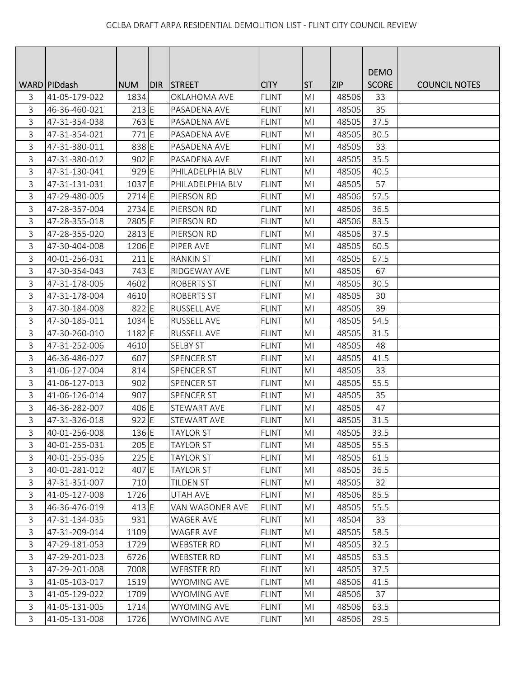|              |                 |            |       |                    |              |                |            | <b>DEMO</b>  |                      |
|--------------|-----------------|------------|-------|--------------------|--------------|----------------|------------|--------------|----------------------|
|              | WARD   PID dash | <b>NUM</b> | IDIR. | <b>STREET</b>      | <b>CITY</b>  | <b>ST</b>      | <b>ZIP</b> | <b>SCORE</b> | <b>COUNCIL NOTES</b> |
| 3            | 41-05-179-022   | 1834       |       | OKLAHOMA AVE       | <b>FLINT</b> | M <sub>l</sub> | 48506      | 33           |                      |
| 3            | 46-36-460-021   | $213$ E    |       | PASADENA AVE       | <b>FLINT</b> | MI             | 48505      | 35           |                      |
| 3            | 47-31-354-038   | 763 E      |       | PASADENA AVE       | <b>FLINT</b> | M <sub>l</sub> | 48505      | 37.5         |                      |
| 3            | 47-31-354-021   | 771 E      |       | PASADENA AVE       | <b>FLINT</b> | MI             | 48505      | 30.5         |                      |
| 3            | 47-31-380-011   | 838 E      |       | PASADENA AVE       | FLINT        | M <sub>l</sub> | 48505      | 33           |                      |
| 3            | 47-31-380-012   | 902 E      |       | PASADENA AVE       | <b>FLINT</b> | MI             | 48505      | 35.5         |                      |
| 3            | 47-31-130-041   | 929 E      |       | PHILADELPHIA BLV   | <b>FLINT</b> | M <sub>l</sub> | 48505      | 40.5         |                      |
| 3            | 47-31-131-031   | 1037 E     |       | PHILADELPHIA BLV   | <b>FLINT</b> | M <sub>l</sub> | 48505      | 57           |                      |
| 3            | 47-29-480-005   | $2714$ E   |       | PIERSON RD         | <b>FLINT</b> | MI             | 48506      | 57.5         |                      |
| 3            | 47-28-357-004   | 2734 E     |       | PIERSON RD         | <b>FLINT</b> | MI             | 48506      | 36.5         |                      |
| 3            | 47-28-355-018   | 2805 E     |       | PIERSON RD         | <b>FLINT</b> | MI             | 48506      | 83.5         |                      |
| 3            | 47-28-355-020   | 2813 E     |       | PIERSON RD         | <b>FLINT</b> | M <sub>l</sub> | 48506      | 37.5         |                      |
| 3            | 47-30-404-008   | 1206 E     |       | PIPER AVE          | <b>FLINT</b> | M <sub>l</sub> | 48505      | 60.5         |                      |
| 3            | 40-01-256-031   | 211 E      |       | <b>RANKIN ST</b>   | <b>FLINT</b> | MI             | 48505      | 67.5         |                      |
| 3            | 47-30-354-043   | 743 E      |       | RIDGEWAY AVE       | <b>FLINT</b> | MI             | 48505      | 67           |                      |
| 3            | 47-31-178-005   | 4602       |       | <b>ROBERTS ST</b>  | <b>FLINT</b> | MI             | 48505      | 30.5         |                      |
| 3            | 47-31-178-004   | 4610       |       | <b>ROBERTS ST</b>  | <b>FLINT</b> | M <sub>l</sub> | 48505      | 30           |                      |
| $\mathsf 3$  | 47-30-184-008   | 822 E      |       | RUSSELL AVE        | <b>FLINT</b> | M <sub>l</sub> | 48505      | 39           |                      |
| 3            | 47-30-185-011   | 1034 E     |       | RUSSELL AVE        | <b>FLINT</b> | M <sub>l</sub> | 48505      | 54.5         |                      |
| 3            | 47-30-260-010   | 1182 E     |       | <b>RUSSELL AVE</b> | <b>FLINT</b> | M <sub>l</sub> | 48505      | 31.5         |                      |
| $\mathbf{3}$ | 47-31-252-006   | 4610       |       | <b>SELBY ST</b>    | <b>FLINT</b> | MI             | 48505      | 48           |                      |
| 3            | 46-36-486-027   | 607        |       | <b>SPENCER ST</b>  | <b>FLINT</b> | MI             | 48505      | 41.5         |                      |
| 3            | 41-06-127-004   | 814        |       | <b>SPENCER ST</b>  | <b>FLINT</b> | MI             | 48505      | 33           |                      |
| 3            | 41-06-127-013   | 902        |       | SPENCER ST         | <b>FLINT</b> | MI             | 48505      | 55.5         |                      |
| 3            | 41-06-126-014   | 907        |       | <b>SPENCER ST</b>  | <b>FLINT</b> | M <sub>l</sub> | 48505      | 35           |                      |
| 3            | 46-36-282-007   | 406 E      |       | STEWART AVE        | <b>FLINT</b> | M <sub>l</sub> | 48505      | 47           |                      |
| 3            | 47-31-326-018   | 922 E      |       | STEWART AVE        | <b>FLINT</b> | M <sub>l</sub> | 48505      | 31.5         |                      |
| 3            | 40-01-256-008   | 136 E      |       | <b>TAYLOR ST</b>   | <b>FLINT</b> | MI             | 48505      | 33.5         |                      |
| $\mathsf{3}$ | 40-01-255-031   | $205$ E    |       | <b>TAYLOR ST</b>   | <b>FLINT</b> | M <sub>l</sub> | 48505      | 55.5         |                      |
| $\mathsf{3}$ | 40-01-255-036   | 225E       |       | <b>TAYLOR ST</b>   | <b>FLINT</b> | MI             | 48505      | 61.5         |                      |
| 3            | 40-01-281-012   | 407 E      |       | <b>TAYLOR ST</b>   | <b>FLINT</b> | M <sub>l</sub> | 48505      | 36.5         |                      |
| 3            | 47-31-351-007   | 710        |       | TILDEN ST          | <b>FLINT</b> | MI             | 48505      | 32           |                      |
| $\mathbf{3}$ | 41-05-127-008   | 1726       |       | <b>UTAH AVE</b>    | <b>FLINT</b> | MI             | 48506      | 85.5         |                      |
| $\mathsf{3}$ | 46-36-476-019   | 413 E      |       | VAN WAGONER AVE    | <b>FLINT</b> | MI             | 48505      | 55.5         |                      |
| $\mathsf{3}$ | 47-31-134-035   | 931        |       | <b>WAGER AVE</b>   | <b>FLINT</b> | MI             | 48504      | 33           |                      |
| 3            | 47-31-209-014   | 1109       |       | WAGER AVE          | <b>FLINT</b> | MI             | 48505      | 58.5         |                      |
| 3            | 47-29-181-053   | 1729       |       | <b>WEBSTER RD</b>  | <b>FLINT</b> | MI             | 48505      | 32.5         |                      |
| 3            | 47-29-201-023   | 6726       |       | <b>WEBSTER RD</b>  | <b>FLINT</b> | M <sub>l</sub> | 48505      | 63.5         |                      |
| 3            | 47-29-201-008   | 7008       |       | <b>WEBSTER RD</b>  | <b>FLINT</b> | MI             | 48505      | 37.5         |                      |
| 3            | 41-05-103-017   | 1519       |       | <b>WYOMING AVE</b> | <b>FLINT</b> | MI             | 48506      | 41.5         |                      |
| $\mathsf{3}$ | 41-05-129-022   | 1709       |       | <b>WYOMING AVE</b> | <b>FLINT</b> | MI             | 48506      | 37           |                      |
| $\mathsf{3}$ | 41-05-131-005   | 1714       |       | <b>WYOMING AVE</b> | <b>FLINT</b> | MI             | 48506      | 63.5         |                      |
| $\mathsf{3}$ | 41-05-131-008   | 1726       |       | WYOMING AVE        | <b>FLINT</b> | M <sub>l</sub> | 48506      | 29.5         |                      |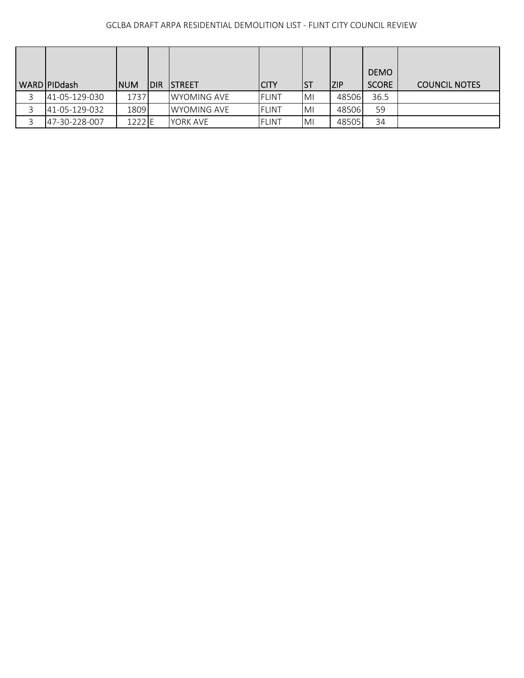| WARD PIDdash  | <b>NUM</b> | <b>IDIR</b> | <b>ISTREET</b>      | <b>CITY</b>  | IST       | ZIP   | <b>DEMO</b><br><b>SCORE</b> | <b>COUNCIL NOTES</b> |
|---------------|------------|-------------|---------------------|--------------|-----------|-------|-----------------------------|----------------------|
| 41-05-129-030 | 1737       |             | <b>IWYOMING AVE</b> | <b>FLINT</b> | IMI       | 48506 | 36.5                        |                      |
| 41-05-129-032 | 1809       |             | <b>IWYOMING AVE</b> | <b>FLINT</b> | <b>MI</b> | 48506 | 59                          |                      |
| 47-30-228-007 | 1222 E     |             | YORK AVE            | FLINT        | IMI       | 48505 | 34                          |                      |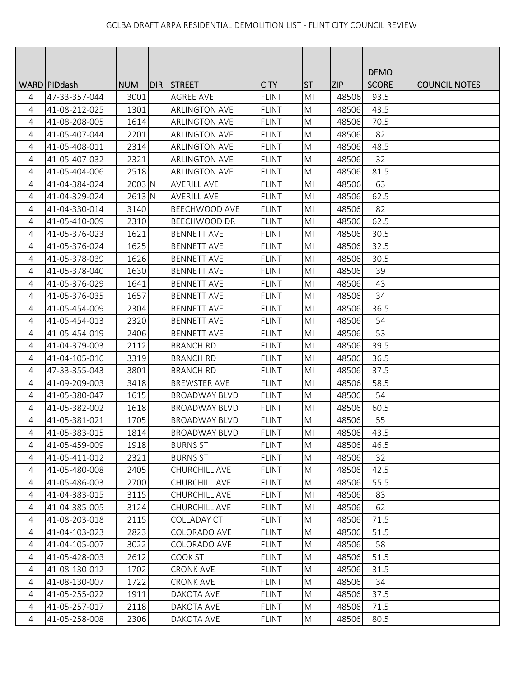|                |                 |            |       |                      |              |                |            | <b>DEMO</b>  |                      |
|----------------|-----------------|------------|-------|----------------------|--------------|----------------|------------|--------------|----------------------|
|                | WARD   PID dash | <b>NUM</b> | IDIR. | <b>STREET</b>        | <b>CITY</b>  | <b>ST</b>      | <b>ZIP</b> | <b>SCORE</b> | <b>COUNCIL NOTES</b> |
| 4              | 47-33-357-044   | 3001       |       | <b>AGREE AVE</b>     | <b>FLINT</b> | M <sub>l</sub> | 48506      | 93.5         |                      |
| 4              | 41-08-212-025   | 1301       |       | <b>ARLINGTON AVE</b> | <b>FLINT</b> | M <sub>l</sub> | 48506      | 43.5         |                      |
| 4              | 41-08-208-005   | 1614       |       | <b>ARLINGTON AVE</b> | <b>FLINT</b> | MI             | 48506      | 70.5         |                      |
| 4              | 41-05-407-044   | 2201       |       | <b>ARLINGTON AVE</b> | <b>FLINT</b> | MI             | 48506      | 82           |                      |
| 4              | 41-05-408-011   | 2314       |       | <b>ARLINGTON AVE</b> | <b>FLINT</b> | MI             | 48506      | 48.5         |                      |
| 4              | 41-05-407-032   | 2321       |       | <b>ARLINGTON AVE</b> | <b>FLINT</b> | MI             | 48506      | 32           |                      |
| 4              | 41-05-404-006   | 2518       |       | <b>ARLINGTON AVE</b> | <b>FLINT</b> | M <sub>l</sub> | 48506      | 81.5         |                      |
| 4              | 41-04-384-024   | 2003 N     |       | <b>AVERILL AVE</b>   | <b>FLINT</b> | M <sub>l</sub> | 48506      | 63           |                      |
| $\overline{4}$ | 41-04-329-024   | 2613 N     |       | <b>AVERILL AVE</b>   | <b>FLINT</b> | MI             | 48506      | 62.5         |                      |
| 4              | 41-04-330-014   | 3140       |       | BEECHWOOD AVE        | <b>FLINT</b> | MI             | 48506      | 82           |                      |
| 4              | 41-05-410-009   | 2310       |       | <b>BEECHWOOD DR</b>  | <b>FLINT</b> | MI             | 48506      | 62.5         |                      |
| 4              | 41-05-376-023   | 1621       |       | <b>BENNETT AVE</b>   | <b>FLINT</b> | M <sub>l</sub> | 48506      | 30.5         |                      |
| $\overline{4}$ | 41-05-376-024   | 1625       |       | <b>BENNETT AVE</b>   | <b>FLINT</b> | MI             | 48506      | 32.5         |                      |
| 4              | 41-05-378-039   | 1626       |       | <b>BENNETT AVE</b>   | <b>FLINT</b> | M <sub>l</sub> | 48506      | 30.5         |                      |
| 4              | 41-05-378-040   | 1630       |       | <b>BENNETT AVE</b>   | <b>FLINT</b> | MI             | 48506      | 39           |                      |
| 4              | 41-05-376-029   | 1641       |       | <b>BENNETT AVE</b>   | <b>FLINT</b> | MI             | 48506      | 43           |                      |
| 4              | 41-05-376-035   | 1657       |       | <b>BENNETT AVE</b>   | <b>FLINT</b> | MI             | 48506      | 34           |                      |
| 4              | 41-05-454-009   | 2304       |       | <b>BENNETT AVE</b>   | <b>FLINT</b> | MI             | 48506      | 36.5         |                      |
| 4              | 41-05-454-013   | 2320       |       | <b>BENNETT AVE</b>   | <b>FLINT</b> | M <sub>l</sub> | 48506      | 54           |                      |
| 4              | 41-05-454-019   | 2406       |       | <b>BENNETT AVE</b>   | <b>FLINT</b> | M <sub>l</sub> | 48506      | 53           |                      |
| 4              | 41-04-379-003   | 2112       |       | <b>BRANCH RD</b>     | <b>FLINT</b> | MI             | 48506      | 39.5         |                      |
| 4              | 41-04-105-016   | 3319       |       | <b>BRANCH RD</b>     | <b>FLINT</b> | MI             | 48506      | 36.5         |                      |
| 4              | 47-33-355-043   | 3801       |       | <b>BRANCH RD</b>     | <b>FLINT</b> | MI             | 48506      | 37.5         |                      |
| $\overline{4}$ | 41-09-209-003   | 3418       |       | <b>BREWSTER AVE</b>  | <b>FLINT</b> | MI             | 48506      | 58.5         |                      |
| $\overline{4}$ | 41-05-380-047   | 1615       |       | <b>BROADWAY BLVD</b> | <b>FLINT</b> | MI             | 48506      | 54           |                      |
| 4              | 41-05-382-002   | 1618       |       | <b>BROADWAY BLVD</b> | <b>FLINT</b> | M <sub>l</sub> | 48506      | 60.5         |                      |
| 4              | 41-05-381-021   | 1705       |       | <b>BROADWAY BLVD</b> | <b>FLINT</b> | MI             | 48506      | 55           |                      |
| 4              | 41-05-383-015   | 1814       |       | <b>BROADWAY BLVD</b> | <b>FLINT</b> | MI             | 48506      | 43.5         |                      |
| 4              | 41-05-459-009   | 1918       |       | <b>BURNS ST</b>      | <b>FLINT</b> | M <sub>l</sub> | 48506      | 46.5         |                      |
| $\overline{4}$ | 41-05-411-012   | 2321       |       | <b>BURNS ST</b>      | <b>FLINT</b> | MI             | 48506      | 32           |                      |
| 4              | 41-05-480-008   | 2405       |       | CHURCHILL AVE        | <b>FLINT</b> | M <sub>l</sub> | 48506      | 42.5         |                      |
| 4              | 41-05-486-003   | 2700       |       | CHURCHILL AVE        | <b>FLINT</b> | M <sub>l</sub> | 48506      | 55.5         |                      |
| 4              | 41-04-383-015   | 3115       |       | CHURCHILL AVE        | <b>FLINT</b> | M <sub>l</sub> | 48506      | 83           |                      |
| $\overline{4}$ | 41-04-385-005   | 3124       |       | CHURCHILL AVE        | <b>FLINT</b> | MI             | 48506      | 62           |                      |
| 4              | 41-08-203-018   | 2115       |       | COLLADAY CT          | <b>FLINT</b> | MI             | 48506      | 71.5         |                      |
| $\overline{4}$ | 41-04-103-023   | 2823       |       | COLORADO AVE         | <b>FLINT</b> | MI             | 48506      | 51.5         |                      |
| 4              | 41-04-105-007   | 3022       |       | COLORADO AVE         | <b>FLINT</b> | MI             | 48506      | 58           |                      |
| 4              | 41-05-428-003   | 2612       |       | COOK ST              | <b>FLINT</b> | M <sub>l</sub> | 48506      | 51.5         |                      |
| $\overline{4}$ | 41-08-130-012   | 1702       |       | <b>CRONK AVE</b>     | <b>FLINT</b> | M <sub>l</sub> | 48506      | 31.5         |                      |
| 4              | 41-08-130-007   | 1722       |       | <b>CRONK AVE</b>     | <b>FLINT</b> | MI             | 48506      | 34           |                      |
| 4              | 41-05-255-022   | 1911       |       | DAKOTA AVE           | <b>FLINT</b> | MI             | 48506      | 37.5         |                      |
| 4              | 41-05-257-017   | 2118       |       | DAKOTA AVE           | <b>FLINT</b> | MI             | 48506      | 71.5         |                      |
| $\overline{4}$ | 41-05-258-008   | 2306       |       | DAKOTA AVE           | <b>FLINT</b> | M <sub>l</sub> | 48506      | 80.5         |                      |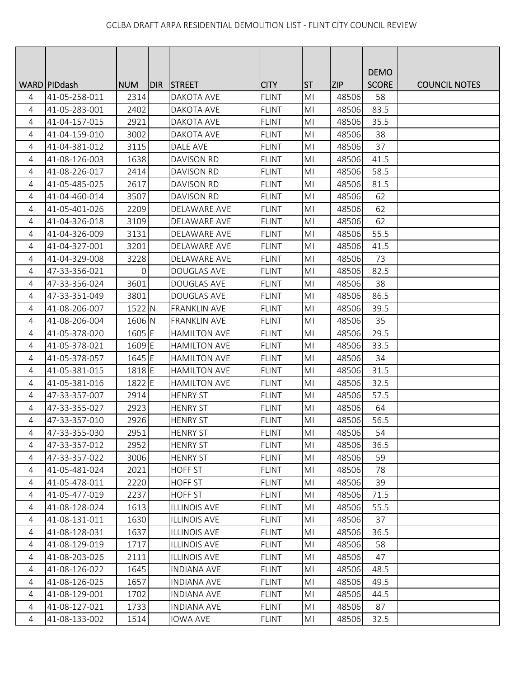|                |                 |             |       |                     |              |                |            | <b>DEMO</b>  |                      |
|----------------|-----------------|-------------|-------|---------------------|--------------|----------------|------------|--------------|----------------------|
|                | WARD   PID dash | <b>NUM</b>  | DIR I | <b>STREET</b>       | <b>CITY</b>  | <b>ST</b>      | <b>ZIP</b> | <b>SCORE</b> | <b>COUNCIL NOTES</b> |
| 4              | 41-05-258-011   | 2314        |       | DAKOTA AVE          | <b>FLINT</b> | M <sub>l</sub> | 48506      | 58           |                      |
| 4              | 41-05-283-001   | 2402        |       | DAKOTA AVE          | <b>FLINT</b> | M <sub>l</sub> | 48506      | 83.5         |                      |
| $\overline{4}$ | 41-04-157-015   | 2921        |       | DAKOTA AVE          | <b>FLINT</b> | MI             | 48506      | 35.5         |                      |
| 4              | 41-04-159-010   | 3002        |       | DAKOTA AVE          | <b>FLINT</b> | MI             | 48506      | 38           |                      |
| 4              | 41-04-381-012   | 3115        |       | DALE AVE            | <b>FLINT</b> | MI             | 48506      | 37           |                      |
| 4              | 41-08-126-003   | 1638        |       | <b>DAVISON RD</b>   | <b>FLINT</b> | M <sub>l</sub> | 48506      | 41.5         |                      |
| 4              | 41-08-226-017   | 2414        |       | <b>DAVISON RD</b>   | <b>FLINT</b> | M <sub>l</sub> | 48506      | 58.5         |                      |
| 4              | 41-05-485-025   | 2617        |       | DAVISON RD          | <b>FLINT</b> | M <sub>l</sub> | 48506      | 81.5         |                      |
| 4              | 41-04-460-014   | 3507        |       | <b>DAVISON RD</b>   | <b>FLINT</b> | M <sub>l</sub> | 48506      | 62           |                      |
| 4              | 41-05-401-026   | 2209        |       | DELAWARE AVE        | <b>FLINT</b> | MI             | 48506      | 62           |                      |
| 4              | 41-04-326-018   | 3109        |       | DELAWARE AVE        | <b>FLINT</b> | MI             | 48506      | 62           |                      |
| $\overline{4}$ | 41-04-326-009   | 3131        |       | <b>DELAWARE AVE</b> | <b>FLINT</b> | M <sub>l</sub> | 48506      | 55.5         |                      |
| 4              | 41-04-327-001   | 3201        |       | DELAWARE AVE        | <b>FLINT</b> | M <sub>l</sub> | 48506      | 41.5         |                      |
| 4              | 41-04-329-008   | 3228        |       | DELAWARE AVE        | <b>FLINT</b> | M <sub>l</sub> | 48506      | 73           |                      |
| 4              | 47-33-356-021   | $\mathbf 0$ |       | DOUGLAS AVE         | <b>FLINT</b> | MI             | 48506      | 82.5         |                      |
| 4              | 47-33-356-024   | 3601        |       | DOUGLAS AVE         | <b>FLINT</b> | MI             | 48506      | 38           |                      |
| 4              | 47-33-351-049   | 3801        |       | <b>DOUGLAS AVE</b>  | <b>FLINT</b> | MI             | 48506      | 86.5         |                      |
| 4              | 41-08-206-007   | 1522 N      |       | <b>FRANKLIN AVE</b> | <b>FLINT</b> | MI             | 48506      | 39.5         |                      |
| 4              | 41-08-206-004   | 1606 N      |       | <b>FRANKLIN AVE</b> | <b>FLINT</b> | M <sub>l</sub> | 48506      | 35           |                      |
| 4              | 41-05-378-020   | 1605 E      |       | <b>HAMILTON AVE</b> | <b>FLINT</b> | M <sub>l</sub> | 48506      | 29.5         |                      |
| 4              | 41-05-378-021   | 1609 E      |       | <b>HAMILTON AVE</b> | <b>FLINT</b> | MI             | 48506      | 33.5         |                      |
| 4              | 41-05-378-057   | 1645 E      |       | <b>HAMILTON AVE</b> | <b>FLINT</b> | MI             | 48506      | 34           |                      |
| 4              | 41-05-381-015   | 1818 E      |       | <b>HAMILTON AVE</b> | <b>FLINT</b> | MI             | 48506      | 31.5         |                      |
| 4              | 41-05-381-016   | 1822 E      |       | <b>HAMILTON AVE</b> | <b>FLINT</b> | M <sub>l</sub> | 48506      | 32.5         |                      |
| $\overline{4}$ | 47-33-357-007   | 2914        |       | <b>HENRY ST</b>     | <b>FLINT</b> | MI             | 48506      | 57.5         |                      |
| 4              | 47-33-355-027   | 2923        |       | <b>HENRY ST</b>     | <b>FLINT</b> | M <sub>l</sub> | 48506      | 64           |                      |
| 4              | 47-33-357-010   | 2926        |       | <b>HENRY ST</b>     | <b>FLINT</b> | M <sub>l</sub> | 48506      | 56.5         |                      |
| 4              | 47-33-355-030   | 2951        |       | <b>HENRY ST</b>     | <b>FLINT</b> | MI             | 48506      | 54           |                      |
| 4              | 47-33-357-012   | 2952        |       | <b>HENRY ST</b>     | <b>FLINT</b> | MI             | 48506      | 36.5         |                      |
| 4              | 47-33-357-022   | 3006        |       | <b>HENRY ST</b>     | <b>FLINT</b> | MI             | 48506      | 59           |                      |
| 4              | 41-05-481-024   | 2021        |       | <b>HOFF ST</b>      | <b>FLINT</b> | M <sub>l</sub> | 48506      | 78           |                      |
| 4              | 41-05-478-011   | 2220        |       | <b>HOFF ST</b>      | <b>FLINT</b> | MI             | 48506      | 39           |                      |
| 4              | 41-05-477-019   | 2237        |       | <b>HOFF ST</b>      | <b>FLINT</b> | M <sub>l</sub> | 48506      | 71.5         |                      |
| 4              | 41-08-128-024   | 1613        |       | <b>ILLINOIS AVE</b> | <b>FLINT</b> | M <sub>l</sub> | 48506      | 55.5         |                      |
| 4              | 41-08-131-011   | 1630        |       | <b>ILLINOIS AVE</b> | <b>FLINT</b> | MI             | 48506      | 37           |                      |
| 4              | 41-08-128-031   | 1637        |       | <b>ILLINOIS AVE</b> | <b>FLINT</b> | MI             | 48506      | 36.5         |                      |
| 4              | 41-08-129-019   | 1717        |       | <b>ILLINOIS AVE</b> | <b>FLINT</b> | MI             | 48506      | 58           |                      |
| 4              | 41-08-203-026   | 2111        |       | <b>ILLINOIS AVE</b> | <b>FLINT</b> | M <sub>l</sub> | 48506      | 47           |                      |
| $\overline{4}$ | 41-08-126-022   | 1645        |       | <b>INDIANA AVE</b>  | <b>FLINT</b> | MI             | 48506      | 48.5         |                      |
| 4              | 41-08-126-025   | 1657        |       | <b>INDIANA AVE</b>  | <b>FLINT</b> | M <sub>l</sub> | 48506      | 49.5         |                      |
| 4              | 41-08-129-001   | 1702        |       | <b>INDIANA AVE</b>  | <b>FLINT</b> | M <sub>l</sub> | 48506      | 44.5         |                      |
| 4              | 41-08-127-021   | 1733        |       | <b>INDIANA AVE</b>  | <b>FLINT</b> | MI             | 48506      | 87           |                      |
| 4              | 41-08-133-002   | 1514        |       | <b>IOWA AVE</b>     | <b>FLINT</b> | MI             | 48506      | 32.5         |                      |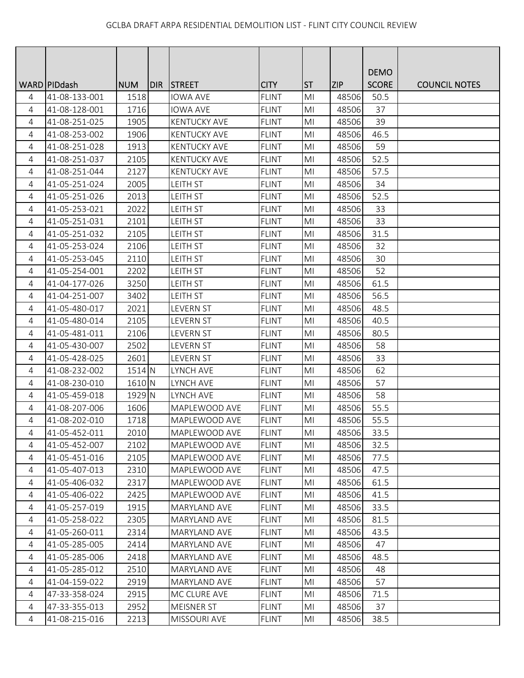|                |                |            |     |                     |              |                |            | <b>DEMO</b>  |                      |
|----------------|----------------|------------|-----|---------------------|--------------|----------------|------------|--------------|----------------------|
|                | WARD   PIDdash | <b>NUM</b> | DIR | <b>STREET</b>       | <b>CITY</b>  | <b>ST</b>      | <b>ZIP</b> | <b>SCORE</b> | <b>COUNCIL NOTES</b> |
| 4              | 41-08-133-001  | 1518       |     | <b>IOWA AVE</b>     | <b>FLINT</b> | M <sub>l</sub> | 48506      | 50.5         |                      |
| 4              | 41-08-128-001  | 1716       |     | <b>IOWA AVE</b>     | <b>FLINT</b> | M <sub>l</sub> | 48506      | 37           |                      |
| 4              | 41-08-251-025  | 1905       |     | <b>KENTUCKY AVE</b> | <b>FLINT</b> | MI             | 48506      | 39           |                      |
| 4              | 41-08-253-002  | 1906       |     | <b>KENTUCKY AVE</b> | <b>FLINT</b> | MI             | 48506      | 46.5         |                      |
| $\overline{4}$ | 41-08-251-028  | 1913       |     | <b>KENTUCKY AVE</b> | <b>FLINT</b> | M <sub>l</sub> | 48506      | 59           |                      |
| 4              | 41-08-251-037  | 2105       |     | <b>KENTUCKY AVE</b> | <b>FLINT</b> | MI             | 48506      | 52.5         |                      |
| 4              | 41-08-251-044  | 2127       |     | <b>KENTUCKY AVE</b> | <b>FLINT</b> | M <sub>l</sub> | 48506      | 57.5         |                      |
| $\overline{4}$ | 41-05-251-024  | 2005       |     | <b>LEITH ST</b>     | <b>FLINT</b> | MI             | 48506      | 34           |                      |
| 4              | 41-05-251-026  | 2013       |     | LEITH ST            | <b>FLINT</b> | M <sub>l</sub> | 48506      | 52.5         |                      |
| 4              | 41-05-253-021  | 2022       |     | LEITH ST            | <b>FLINT</b> | M <sub>l</sub> | 48506      | 33           |                      |
| 4              | 41-05-251-031  | 2101       |     | <b>LEITH ST</b>     | <b>FLINT</b> | MI             | 48506      | 33           |                      |
| 4              | 41-05-251-032  | 2105       |     | LEITH ST            | <b>FLINT</b> | M <sub>l</sub> | 48506      | 31.5         |                      |
| 4              | 41-05-253-024  | 2106       |     | <b>LEITH ST</b>     | <b>FLINT</b> | M <sub>l</sub> | 48506      | 32           |                      |
| $\overline{4}$ | 41-05-253-045  | 2110       |     | LEITH ST            | <b>FLINT</b> | M <sub>l</sub> | 48506      | 30           |                      |
| 4              | 41-05-254-001  | 2202       |     | <b>LEITH ST</b>     | <b>FLINT</b> | MI             | 48506      | 52           |                      |
| 4              | 41-04-177-026  | 3250       |     | <b>LEITH ST</b>     | <b>FLINT</b> | M <sub>l</sub> | 48506      | 61.5         |                      |
| 4              | 41-04-251-007  | 3402       |     | <b>LEITH ST</b>     | <b>FLINT</b> | M <sub>l</sub> | 48506      | 56.5         |                      |
| $\overline{4}$ | 41-05-480-017  | 2021       |     | <b>LEVERN ST</b>    | <b>FLINT</b> | MI             | 48506      | 48.5         |                      |
| 4              | 41-05-480-014  | 2105       |     | LEVERN ST           | <b>FLINT</b> | M <sub>l</sub> | 48506      | 40.5         |                      |
| 4              | 41-05-481-011  | 2106       |     | <b>LEVERN ST</b>    | <b>FLINT</b> | M <sub>l</sub> | 48506      | 80.5         |                      |
| $\overline{4}$ | 41-05-430-007  | 2502       |     | LEVERN ST           | <b>FLINT</b> | MI             | 48506      | 58           |                      |
| 4              | 41-05-428-025  | 2601       |     | <b>LEVERN ST</b>    | <b>FLINT</b> | M <sub>l</sub> | 48506      | 33           |                      |
| 4              | 41-08-232-002  | 1514 N     |     | LYNCH AVE           | <b>FLINT</b> | MI             | 48506      | 62           |                      |
| $\overline{4}$ | 41-08-230-010  | 1610 N     |     | LYNCH AVE           | <b>FLINT</b> | M <sub>l</sub> | 48506      | 57           |                      |
| 4              | 41-05-459-018  | 1929 N     |     | LYNCH AVE           | <b>FLINT</b> | M <sub>l</sub> | 48506      | 58           |                      |
| 4              | 41-08-207-006  | 1606       |     | MAPLEWOOD AVE       | <b>FLINT</b> | M <sub>l</sub> | 48506      | 55.5         |                      |
| $\overline{4}$ | 41-08-202-010  | 1718       |     | MAPLEWOOD AVE       | <b>FLINT</b> | MI             | 48506      | 55.5         |                      |
| 4              | 41-05-452-011  | 2010       |     | MAPLEWOOD AVE       | <b>FLINT</b> | MI             | 48506      | 33.5         |                      |
| 4              | 41-05-452-007  | 2102       |     | MAPLEWOOD AVE       | <b>FLINT</b> | MI             | 48506      | 32.5         |                      |
| 4              | 41-05-451-016  | 2105       |     | MAPLEWOOD AVE       | <b>FLINT</b> | MI             | 48506      | 77.5         |                      |
| 4              | 41-05-407-013  | 2310       |     | MAPLEWOOD AVE       | <b>FLINT</b> | MI             | 48506      | 47.5         |                      |
| 4              | 41-05-406-032  | 2317       |     | MAPLEWOOD AVE       | <b>FLINT</b> | M <sub>l</sub> | 48506      | 61.5         |                      |
| 4              | 41-05-406-022  | 2425       |     | MAPLEWOOD AVE       | <b>FLINT</b> | MI             | 48506      | 41.5         |                      |
| 4              | 41-05-257-019  | 1915       |     | <b>MARYLAND AVE</b> | <b>FLINT</b> | MI             | 48506      | 33.5         |                      |
| 4              | 41-05-258-022  | 2305       |     | MARYLAND AVE        | <b>FLINT</b> | MI             | 48506      | 81.5         |                      |
| 4              | 41-05-260-011  | 2314       |     | MARYLAND AVE        | <b>FLINT</b> | MI             | 48506      | 43.5         |                      |
| 4              | 41-05-285-005  | 2414       |     | MARYLAND AVE        | <b>FLINT</b> | MI             | 48506      | 47           |                      |
| 4              | 41-05-285-006  | 2418       |     | MARYLAND AVE        | <b>FLINT</b> | M <sub>l</sub> | 48506      | 48.5         |                      |
| 4              | 41-05-285-012  | 2510       |     | <b>MARYLAND AVE</b> | <b>FLINT</b> | M <sub>l</sub> | 48506      | 48           |                      |
| $\overline{4}$ | 41-04-159-022  | 2919       |     | MARYLAND AVE        | <b>FLINT</b> | MI             | 48506      | 57           |                      |
| 4              | 47-33-358-024  | 2915       |     | MC CLURE AVE        | <b>FLINT</b> | MI             | 48506      | 71.5         |                      |
| 4              | 47-33-355-013  | 2952       |     | <b>MEISNER ST</b>   | <b>FLINT</b> | MI             | 48506      | 37           |                      |
| $\overline{4}$ | 41-08-215-016  | 2213       |     | MISSOURI AVE        | <b>FLINT</b> | MI             | 48506      | 38.5         |                      |
|                |                |            |     |                     |              |                |            |              |                      |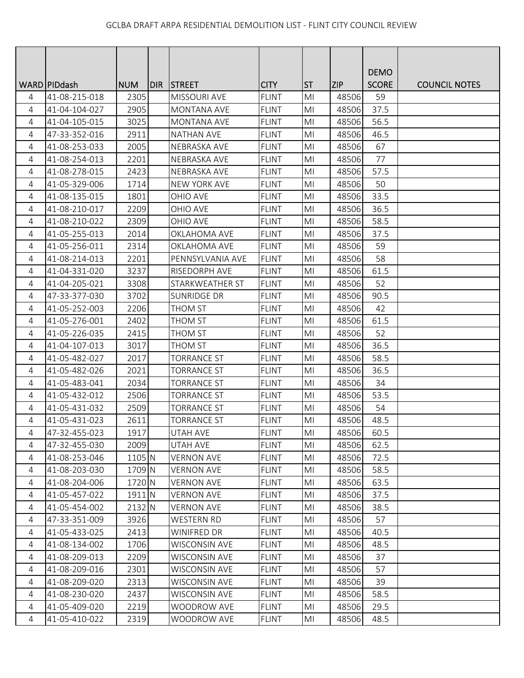|                |                 |            |     |                      |              |                |            | <b>DEMO</b>  |                      |
|----------------|-----------------|------------|-----|----------------------|--------------|----------------|------------|--------------|----------------------|
|                | WARD   PID dash | <b>NUM</b> | DIR | <b>STREET</b>        | <b>CITY</b>  | <b>ST</b>      | <b>ZIP</b> | <b>SCORE</b> | <b>COUNCIL NOTES</b> |
| 4              | 41-08-215-018   | 2305       |     | <b>MISSOURI AVE</b>  | <b>FLINT</b> | M <sub>l</sub> | 48506      | 59           |                      |
| 4              | 41-04-104-027   | 2905       |     | <b>MONTANA AVE</b>   | <b>FLINT</b> | M <sub>l</sub> | 48506      | 37.5         |                      |
| 4              | 41-04-105-015   | 3025       |     | <b>MONTANA AVE</b>   | <b>FLINT</b> | M <sub>l</sub> | 48506      | 56.5         |                      |
| 4              | 47-33-352-016   | 2911       |     | <b>NATHAN AVE</b>    | <b>FLINT</b> | M <sub>l</sub> | 48506      | 46.5         |                      |
| 4              | 41-08-253-033   | 2005       |     | NEBRASKA AVE         | <b>FLINT</b> | M <sub>l</sub> | 48506      | 67           |                      |
| 4              | 41-08-254-013   | 2201       |     | NEBRASKA AVE         | <b>FLINT</b> | MI             | 48506      | 77           |                      |
| 4              | 41-08-278-015   | 2423       |     | NEBRASKA AVE         | <b>FLINT</b> | M <sub>l</sub> | 48506      | 57.5         |                      |
| $\overline{4}$ | 41-05-329-006   | 1714       |     | <b>NEW YORK AVE</b>  | <b>FLINT</b> | MI             | 48506      | 50           |                      |
| 4              | 41-08-135-015   | 1801       |     | OHIO AVE             | <b>FLINT</b> | MI             | 48506      | 33.5         |                      |
| 4              | 41-08-210-017   | 2209       |     | <b>OHIO AVE</b>      | <b>FLINT</b> | MI             | 48506      | 36.5         |                      |
| 4              | 41-08-210-022   | 2309       |     | OHIO AVE             | <b>FLINT</b> | MI             | 48506      | 58.5         |                      |
| $\overline{4}$ | 41-05-255-013   | 2014       |     | <b>OKLAHOMA AVE</b>  | <b>FLINT</b> | M <sub>l</sub> | 48506      | 37.5         |                      |
| $\overline{4}$ | 41-05-256-011   | 2314       |     | OKLAHOMA AVE         | <b>FLINT</b> | MI             | 48506      | 59           |                      |
| 4              | 41-08-214-013   | 2201       |     | PENNSYLVANIA AVE     | <b>FLINT</b> | M <sub>l</sub> | 48506      | 58           |                      |
| $\overline{4}$ | 41-04-331-020   | 3237       |     | <b>RISEDORPH AVE</b> | <b>FLINT</b> | M <sub>l</sub> | 48506      | 61.5         |                      |
| 4              | 41-04-205-021   | 3308       |     | STARKWEATHER ST      | <b>FLINT</b> | MI             | 48506      | 52           |                      |
| 4              | 47-33-377-030   | 3702       |     | <b>SUNRIDGE DR</b>   | <b>FLINT</b> | M <sub>l</sub> | 48506      | 90.5         |                      |
| 4              | 41-05-252-003   | 2206       |     | THOM ST              | <b>FLINT</b> | MI             | 48506      | 42           |                      |
| 4              | 41-05-276-001   | 2402       |     | THOM ST              | <b>FLINT</b> | MI             | 48506      | 61.5         |                      |
| 4              | 41-05-226-035   | 2415       |     | THOM ST              | <b>FLINT</b> | MI             | 48506      | 52           |                      |
| 4              | 41-04-107-013   | 3017       |     | <b>THOM ST</b>       | <b>FLINT</b> | M <sub>l</sub> | 48506      | 36.5         |                      |
| 4              | 41-05-482-027   | 2017       |     | <b>TORRANCE ST</b>   | <b>FLINT</b> | MI             | 48506      | 58.5         |                      |
| 4              | 41-05-482-026   | 2021       |     | <b>TORRANCE ST</b>   | <b>FLINT</b> | MI             | 48506      | 36.5         |                      |
| 4              | 41-05-483-041   | 2034       |     | <b>TORRANCE ST</b>   | <b>FLINT</b> | MI             | 48506      | 34           |                      |
| $\overline{4}$ | 41-05-432-012   | 2506       |     | <b>TORRANCE ST</b>   | <b>FLINT</b> | M <sub>l</sub> | 48506      | 53.5         |                      |
| 4              | 41-05-431-032   | 2509       |     | <b>TORRANCE ST</b>   | <b>FLINT</b> | M <sub>l</sub> | 48506      | 54           |                      |
| 4              | 41-05-431-023   | 2611       |     | <b>TORRANCE ST</b>   | <b>FLINT</b> | MI             | 48506      | 48.5         |                      |
| 4              | 47-32-455-023   | 1917       |     | UTAH AVE             | <b>FLINT</b> | MI             | 48506      | 60.5         |                      |
| 4              | 47-32-455-030   | 2009       |     | UTAH AVE             | <b>FLINT</b> | MI             | 48506      | 62.5         |                      |
| 4              | 41-08-253-046   | 1105 N     |     | <b>VERNON AVE</b>    | <b>FLINT</b> | MI             | 48506      | 72.5         |                      |
| 4              | 41-08-203-030   | 1709 N     |     | <b>VERNON AVE</b>    | <b>FLINT</b> | M <sub>l</sub> | 48506      | 58.5         |                      |
| 4              | 41-08-204-006   | 1720 N     |     | <b>VERNON AVE</b>    | <b>FLINT</b> | M <sub>l</sub> | 48506      | 63.5         |                      |
| 4              | 41-05-457-022   | 1911 N     |     | <b>VERNON AVE</b>    | <b>FLINT</b> | M <sub>l</sub> | 48506      | 37.5         |                      |
| 4              | 41-05-454-002   | 2132 N     |     | <b>VERNON AVE</b>    | <b>FLINT</b> | MI             | 48506      | 38.5         |                      |
| 4              | 47-33-351-009   | 3926       |     | <b>WESTERN RD</b>    | <b>FLINT</b> | MI             | 48506      | 57           |                      |
| 4              | 41-05-433-025   | 2413       |     | WINIFRED DR          | <b>FLINT</b> | MI             | 48506      | 40.5         |                      |
| 4              | 41-08-134-002   | 1706       |     | <b>WISCONSIN AVE</b> | <b>FLINT</b> | MI             | 48506      | 48.5         |                      |
| 4              | 41-08-209-013   | 2209       |     | <b>WISCONSIN AVE</b> | <b>FLINT</b> | MI             | 48506      | 37           |                      |
| 4              | 41-08-209-016   | 2301       |     | <b>WISCONSIN AVE</b> | <b>FLINT</b> | MI             | 48506      | 57           |                      |
| 4              | 41-08-209-020   | 2313       |     | <b>WISCONSIN AVE</b> | <b>FLINT</b> | MI             | 48506      | 39           |                      |
| 4              | 41-08-230-020   | 2437       |     | <b>WISCONSIN AVE</b> | <b>FLINT</b> | MI             | 48506      | 58.5         |                      |
| 4              | 41-05-409-020   | 2219       |     | WOODROW AVE          | <b>FLINT</b> | MI             | 48506      | 29.5         |                      |
| $\overline{4}$ | 41-05-410-022   | 2319       |     | <b>WOODROW AVE</b>   | <b>FLINT</b> | MI             | 48506      | 48.5         |                      |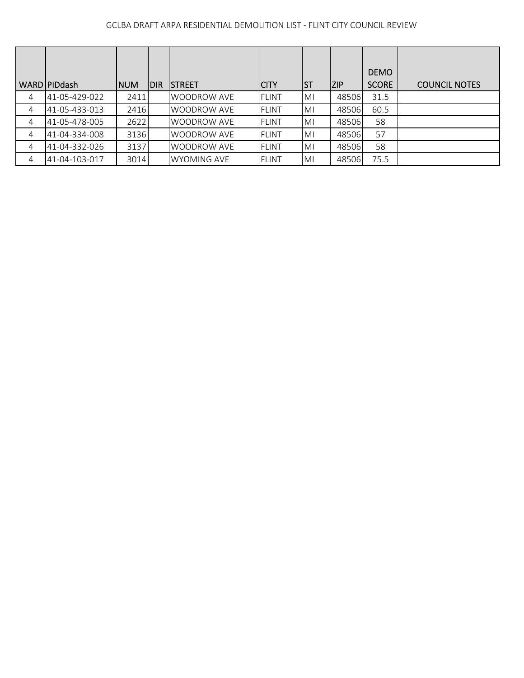|   | WARD PIDdash  | <b>INUM</b> | <b>IDIR</b> | <b>ISTREET</b>     | ICITY        | <b>ST</b> | <b>ZIP</b> | <b>DEMO</b><br><b>SCORE</b> | <b>COUNCIL NOTES</b> |
|---|---------------|-------------|-------------|--------------------|--------------|-----------|------------|-----------------------------|----------------------|
| 4 | 41-05-429-022 | 2411        |             | <b>WOODROW AVE</b> | <b>FLINT</b> | MI        | 48506      | 31.5                        |                      |
| 4 | 41-05-433-013 | 2416        |             | <b>WOODROW AVE</b> | <b>FLINT</b> | MI        | 48506      | 60.5                        |                      |
| 4 | 41-05-478-005 | 2622        |             | <b>WOODROW AVE</b> | <b>FLINT</b> | MI        | 48506      | 58                          |                      |
| 4 | 41-04-334-008 | 3136        |             | <b>WOODROW AVE</b> | <b>FLINT</b> | MI        | 48506      | 57                          |                      |
| 4 | 41-04-332-026 | 3137        |             | <b>WOODROW AVE</b> | <b>FLINT</b> | MI        | 48506      | 58                          |                      |
| 4 | 41-04-103-017 | 3014        |             | <b>WYOMING AVE</b> | <b>FLINT</b> | MI        | 48506      | 75.5                        |                      |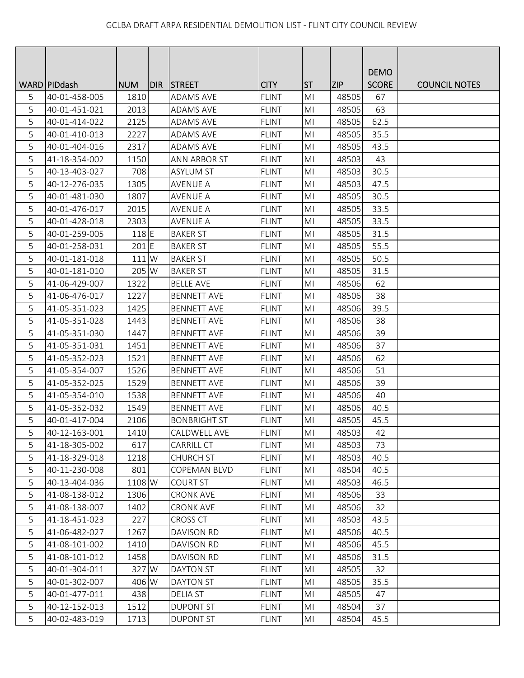|   |                 |            |      |                     |              |                |            | <b>DEMO</b>  |                      |
|---|-----------------|------------|------|---------------------|--------------|----------------|------------|--------------|----------------------|
|   | WARD   PID dash | <b>NUM</b> | DIR. | <b>STREET</b>       | <b>CITY</b>  | <b>ST</b>      | <b>ZIP</b> | <b>SCORE</b> | <b>COUNCIL NOTES</b> |
| 5 | 40-01-458-005   | 1810       |      | <b>ADAMS AVE</b>    | <b>FLINT</b> | MI             | 48505      | 67           |                      |
| 5 | 40-01-451-021   | 2013       |      | <b>ADAMS AVE</b>    | <b>FLINT</b> | MI             | 48505      | 63           |                      |
| 5 | 40-01-414-022   | 2125       |      | ADAMS AVE           | <b>FLINT</b> | MI             | 48505      | 62.5         |                      |
| 5 | 40-01-410-013   | 2227       |      | ADAMS AVE           | <b>FLINT</b> | MI             | 48505      | 35.5         |                      |
| 5 | 40-01-404-016   | 2317       |      | ADAMS AVE           | <b>FLINT</b> | M <sub>l</sub> | 48505      | 43.5         |                      |
| 5 | 41-18-354-002   | 1150       |      | <b>ANN ARBOR ST</b> | <b>FLINT</b> | MI             | 48503      | 43           |                      |
| 5 | 40-13-403-027   | 708        |      | <b>ASYLUM ST</b>    | <b>FLINT</b> | M <sub>l</sub> | 48503      | 30.5         |                      |
| 5 | 40-12-276-035   | 1305       |      | <b>AVENUE A</b>     | <b>FLINT</b> | M <sub>l</sub> | 48503      | 47.5         |                      |
| 5 | 40-01-481-030   | 1807       |      | <b>AVENUE A</b>     | <b>FLINT</b> | MI             | 48505      | 30.5         |                      |
| 5 | 40-01-476-017   | 2015       |      | <b>AVENUE A</b>     | <b>FLINT</b> | MI             | 48505      | 33.5         |                      |
| 5 | 40-01-428-018   | 2303       |      | <b>AVENUE A</b>     | <b>FLINT</b> | MI             | 48505      | 33.5         |                      |
| 5 | 40-01-259-005   | 118 E      |      | <b>BAKER ST</b>     | <b>FLINT</b> | M <sub>l</sub> | 48505      | 31.5         |                      |
| 5 | 40-01-258-031   | $201$ E    |      | <b>BAKER ST</b>     | <b>FLINT</b> | M <sub>l</sub> | 48505      | 55.5         |                      |
| 5 | 40-01-181-018   | 111 W      |      | <b>BAKER ST</b>     | <b>FLINT</b> | MI             | 48505      | 50.5         |                      |
| 5 | 40-01-181-010   | 205 W      |      | <b>BAKER ST</b>     | <b>FLINT</b> | MI             | 48505      | 31.5         |                      |
| 5 | 41-06-429-007   | 1322       |      | <b>BELLE AVE</b>    | <b>FLINT</b> | MI             | 48506      | 62           |                      |
| 5 | 41-06-476-017   | 1227       |      | <b>BENNETT AVE</b>  | <b>FLINT</b> | M <sub>l</sub> | 48506      | 38           |                      |
| 5 | 41-05-351-023   | 1425       |      | <b>BENNETT AVE</b>  | <b>FLINT</b> | M <sub>l</sub> | 48506      | 39.5         |                      |
| 5 | 41-05-351-028   | 1443       |      | <b>BENNETT AVE</b>  | <b>FLINT</b> | M <sub>l</sub> | 48506      | 38           |                      |
| 5 | 41-05-351-030   | 1447       |      | <b>BENNETT AVE</b>  | <b>FLINT</b> | MI             | 48506      | 39           |                      |
| 5 | 41-05-351-031   | 1451       |      | <b>BENNETT AVE</b>  | <b>FLINT</b> | MI             | 48506      | 37           |                      |
| 5 | 41-05-352-023   | 1521       |      | <b>BENNETT AVE</b>  | <b>FLINT</b> | MI             | 48506      | 62           |                      |
| 5 | 41-05-354-007   | 1526       |      | <b>BENNETT AVE</b>  | <b>FLINT</b> | MI             | 48506      | 51           |                      |
| 5 | 41-05-352-025   | 1529       |      | <b>BENNETT AVE</b>  | <b>FLINT</b> | M <sub>l</sub> | 48506      | 39           |                      |
| 5 | 41-05-354-010   | 1538       |      | <b>BENNETT AVE</b>  | <b>FLINT</b> | M <sub>l</sub> | 48506      | 40           |                      |
| 5 | 41-05-352-032   | 1549       |      | <b>BENNETT AVE</b>  | <b>FLINT</b> | M <sub>l</sub> | 48506      | 40.5         |                      |
| 5 | 40-01-417-004   | 2106       |      | <b>BONBRIGHT ST</b> | <b>FLINT</b> | MI             | 48505      | 45.5         |                      |
| 5 | 40-12-163-001   | 1410       |      | CALDWELL AVE        | <b>FLINT</b> | MI             | 48503      | 42           |                      |
| 5 | 41-18-305-002   | 617        |      | <b>CARRILL CT</b>   | <b>FLINT</b> | M <sub>l</sub> | 48503      | 73           |                      |
| 5 | 41-18-329-018   | 1218       |      | <b>CHURCH ST</b>    | <b>FLINT</b> | MI             | 48503      | 40.5         |                      |
| 5 | 40-11-230-008   | 801        |      | COPEMAN BLVD        | <b>FLINT</b> | M <sub>l</sub> | 48504      | 40.5         |                      |
| 5 | 40-13-404-036   | 1108 W     |      | <b>COURT ST</b>     | <b>FLINT</b> | MI             | 48503      | 46.5         |                      |
| 5 | 41-08-138-012   | 1306       |      | <b>CRONK AVE</b>    | <b>FLINT</b> | MI             | 48506      | 33           |                      |
| 5 | 41-08-138-007   | 1402       |      | <b>CRONK AVE</b>    | <b>FLINT</b> | MI             | 48506      | 32           |                      |
| 5 | 41-18-451-023   | 227        |      | CROSS CT            | <b>FLINT</b> | MI             | 48503      | 43.5         |                      |
| 5 | 41-06-482-027   | 1267       |      | <b>DAVISON RD</b>   | <b>FLINT</b> | MI             | 48506      | 40.5         |                      |
| 5 | 41-08-101-002   | 1410       |      | DAVISON RD          | <b>FLINT</b> | MI             | 48506      | 45.5         |                      |
| 5 | 41-08-101-012   | 1458       |      | <b>DAVISON RD</b>   | <b>FLINT</b> | M <sub>l</sub> | 48506      | 31.5         |                      |
| 5 | 40-01-304-011   | 327 W      |      | <b>DAYTON ST</b>    | <b>FLINT</b> | MI             | 48505      | 32           |                      |
| 5 | 40-01-302-007   | 406 W      |      | DAYTON ST           | <b>FLINT</b> | MI             | 48505      | 35.5         |                      |
| 5 | 40-01-477-011   | 438        |      | <b>DELIA ST</b>     | <b>FLINT</b> | M <sub>l</sub> | 48505      | 47           |                      |
| 5 | 40-12-152-013   | 1512       |      | <b>DUPONT ST</b>    | <b>FLINT</b> | MI             | 48504      | 37           |                      |
| 5 | 40-02-483-019   | 1713       |      | <b>DUPONT ST</b>    | <b>FLINT</b> | M <sub>l</sub> | 48504      | 45.5         |                      |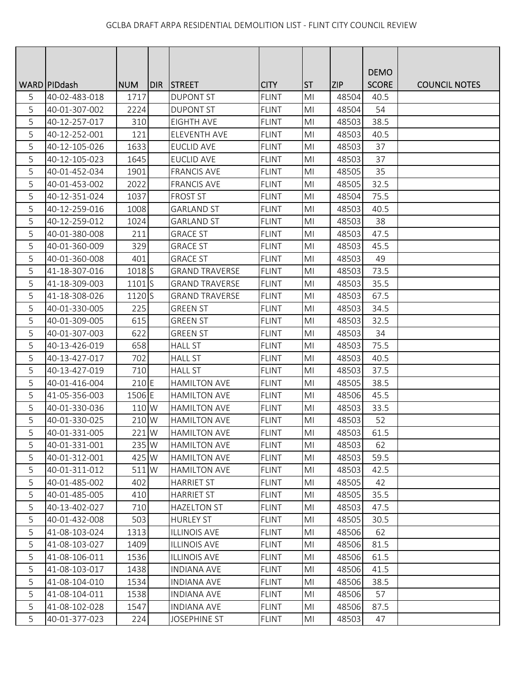|   |                 |                   |     |                       |              |                |            | <b>DEMO</b>  |                      |
|---|-----------------|-------------------|-----|-----------------------|--------------|----------------|------------|--------------|----------------------|
|   | WARD   PID dash | <b>NUM</b>        | DIR | <b>STREET</b>         | <b>CITY</b>  | <b>ST</b>      | <b>ZIP</b> | <b>SCORE</b> | <b>COUNCIL NOTES</b> |
| 5 | 40-02-483-018   | 1717              |     | <b>DUPONT ST</b>      | <b>FLINT</b> | M <sub>l</sub> | 48504      | 40.5         |                      |
| 5 | 40-01-307-002   | 2224              |     | <b>DUPONT ST</b>      | <b>FLINT</b> | MI             | 48504      | 54           |                      |
| 5 | 40-12-257-017   | 310               |     | <b>EIGHTH AVE</b>     | <b>FLINT</b> | MI             | 48503      | 38.5         |                      |
| 5 | 40-12-252-001   | 121               |     | ELEVENTH AVE          | <b>FLINT</b> | MI             | 48503      | 40.5         |                      |
| 5 | 40-12-105-026   | 1633              |     | <b>EUCLID AVE</b>     | <b>FLINT</b> | MI             | 48503      | 37           |                      |
| 5 | 40-12-105-023   | 1645              |     | <b>EUCLID AVE</b>     | <b>FLINT</b> | MI             | 48503      | 37           |                      |
| 5 | 40-01-452-034   | 1901              |     | <b>FRANCIS AVE</b>    | <b>FLINT</b> | M <sub>l</sub> | 48505      | 35           |                      |
| 5 | 40-01-453-002   | 2022              |     | <b>FRANCIS AVE</b>    | <b>FLINT</b> | M <sub>l</sub> | 48505      | 32.5         |                      |
| 5 | 40-12-351-024   | 1037              |     | <b>FROST ST</b>       | <b>FLINT</b> | MI             | 48504      | 75.5         |                      |
| 5 | 40-12-259-016   | 1008              |     | <b>GARLAND ST</b>     | <b>FLINT</b> | MI             | 48503      | 40.5         |                      |
| 5 | 40-12-259-012   | 1024              |     | <b>GARLAND ST</b>     | <b>FLINT</b> | MI             | 48503      | 38           |                      |
| 5 | 40-01-380-008   | 211               |     | <b>GRACE ST</b>       | <b>FLINT</b> | M <sub>l</sub> | 48503      | 47.5         |                      |
| 5 | 40-01-360-009   | 329               |     | <b>GRACE ST</b>       | <b>FLINT</b> | MI             | 48503      | 45.5         |                      |
| 5 | 40-01-360-008   | 401               |     | <b>GRACE ST</b>       | <b>FLINT</b> | M <sub>l</sub> | 48503      | 49           |                      |
| 5 | 41-18-307-016   | 1018 <sub>S</sub> |     | <b>GRAND TRAVERSE</b> | <b>FLINT</b> | MI             | 48503      | 73.5         |                      |
| 5 | 41-18-309-003   | 1101S             |     | <b>GRAND TRAVERSE</b> | <b>FLINT</b> | MI             | 48503      | 35.5         |                      |
| 5 | 41-18-308-026   | 1120 S            |     | <b>GRAND TRAVERSE</b> | <b>FLINT</b> | MI             | 48503      | 67.5         |                      |
| 5 | 40-01-330-005   | 225               |     | <b>GREEN ST</b>       | <b>FLINT</b> | MI             | 48503      | 34.5         |                      |
| 5 | 40-01-309-005   | 615               |     | <b>GREEN ST</b>       | <b>FLINT</b> | M <sub>l</sub> | 48503      | 32.5         |                      |
| 5 | 40-01-307-003   | 622               |     | <b>GREEN ST</b>       | <b>FLINT</b> | M <sub>l</sub> | 48503      | 34           |                      |
| 5 | 40-13-426-019   | 658               |     | <b>HALL ST</b>        | <b>FLINT</b> | MI             | 48503      | 75.5         |                      |
| 5 | 40-13-427-017   | 702               |     | <b>HALL ST</b>        | <b>FLINT</b> | MI             | 48503      | 40.5         |                      |
| 5 | 40-13-427-019   | 710               |     | <b>HALL ST</b>        | <b>FLINT</b> | MI             | 48503      | 37.5         |                      |
| 5 | 40-01-416-004   | 210 E             |     | <b>HAMILTON AVE</b>   | <b>FLINT</b> | MI             | 48505      | 38.5         |                      |
| 5 | 41-05-356-003   | 1506 E            |     | <b>HAMILTON AVE</b>   | <b>FLINT</b> | MI             | 48506      | 45.5         |                      |
| 5 | 40-01-330-036   | 110 W             |     | <b>HAMILTON AVE</b>   | <b>FLINT</b> | M <sub>l</sub> | 48503      | 33.5         |                      |
| 5 | 40-01-330-025   | 210 W             |     | <b>HAMILTON AVE</b>   | <b>FLINT</b> | MI             | 48503      | 52           |                      |
| 5 | 40-01-331-005   | 221 W             |     | <b>HAMILTON AVE</b>   | <b>FLINT</b> | MI             | 48503      | 61.5         |                      |
| 5 | 40-01-331-001   | 235 W             |     | <b>HAMILTON AVE</b>   | <b>FLINT</b> | M <sub>l</sub> | 48503      | 62           |                      |
| 5 | 40-01-312-001   | 425 W             |     | <b>HAMILTON AVE</b>   | <b>FLINT</b> | MI             | 48503      | 59.5         |                      |
| 5 | 40-01-311-012   | 511 W             |     | <b>HAMILTON AVE</b>   | <b>FLINT</b> | M <sub>l</sub> | 48503      | 42.5         |                      |
| 5 | 40-01-485-002   | 402               |     | <b>HARRIET ST</b>     | <b>FLINT</b> | M <sub>l</sub> | 48505      | 42           |                      |
| 5 | 40-01-485-005   | 410               |     | <b>HARRIET ST</b>     | <b>FLINT</b> | M <sub>l</sub> | 48505      | 35.5         |                      |
| 5 | 40-13-402-027   | 710               |     | <b>HAZELTON ST</b>    | <b>FLINT</b> | MI             | 48503      | 47.5         |                      |
| 5 | 40-01-432-008   | 503               |     | <b>HURLEY ST</b>      | <b>FLINT</b> | MI             | 48505      | 30.5         |                      |
| 5 | 41-08-103-024   | 1313              |     | <b>ILLINOIS AVE</b>   | <b>FLINT</b> | MI             | 48506      | 62           |                      |
| 5 | 41-08-103-027   | 1409              |     | <b>ILLINOIS AVE</b>   | <b>FLINT</b> | MI             | 48506      | 81.5         |                      |
| 5 | 41-08-106-011   | 1536              |     | <b>ILLINOIS AVE</b>   | <b>FLINT</b> | M <sub>l</sub> | 48506      | 61.5         |                      |
| 5 | 41-08-103-017   | 1438              |     | <b>INDIANA AVE</b>    | <b>FLINT</b> | M <sub>l</sub> | 48506      | 41.5         |                      |
| 5 | 41-08-104-010   | 1534              |     | <b>INDIANA AVE</b>    | <b>FLINT</b> | MI             | 48506      | 38.5         |                      |
| 5 | 41-08-104-011   | 1538              |     | <b>INDIANA AVE</b>    | <b>FLINT</b> | MI             | 48506      | 57           |                      |
| 5 | 41-08-102-028   | 1547              |     | <b>INDIANA AVE</b>    | <b>FLINT</b> | MI             | 48506      | 87.5         |                      |
| 5 | 40-01-377-023   | 224               |     | <b>JOSEPHINE ST</b>   | <b>FLINT</b> | M <sub>l</sub> | 48503      | 47           |                      |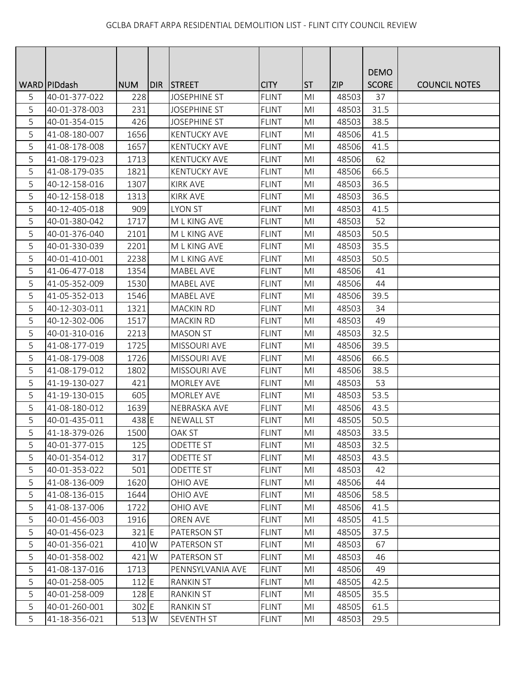|   |                 |            |       |                     |              |                |            | <b>DEMO</b>  |                      |
|---|-----------------|------------|-------|---------------------|--------------|----------------|------------|--------------|----------------------|
|   | WARD   PID dash | <b>NUM</b> | DIR I | <b>STREET</b>       | <b>CITY</b>  | <b>ST</b>      | <b>ZIP</b> | <b>SCORE</b> | <b>COUNCIL NOTES</b> |
| 5 | 40-01-377-022   | 228        |       | <b>JOSEPHINE ST</b> | <b>FLINT</b> | M <sub>l</sub> | 48503      | 37           |                      |
| 5 | 40-01-378-003   | 231        |       | <b>JOSEPHINE ST</b> | <b>FLINT</b> | M <sub>l</sub> | 48503      | 31.5         |                      |
| 5 | 40-01-354-015   | 426        |       | <b>JOSEPHINE ST</b> | <b>FLINT</b> | MI             | 48503      | 38.5         |                      |
| 5 | 41-08-180-007   | 1656       |       | <b>KENTUCKY AVE</b> | <b>FLINT</b> | MI             | 48506      | 41.5         |                      |
| 5 | 41-08-178-008   | 1657       |       | <b>KENTUCKY AVE</b> | <b>FLINT</b> | M <sub>l</sub> | 48506      | 41.5         |                      |
| 5 | 41-08-179-023   | 1713       |       | <b>KENTUCKY AVE</b> | <b>FLINT</b> | MI             | 48506      | 62           |                      |
| 5 | 41-08-179-035   | 1821       |       | <b>KENTUCKY AVE</b> | <b>FLINT</b> | M <sub>l</sub> | 48506      | 66.5         |                      |
| 5 | 40-12-158-016   | 1307       |       | <b>KIRK AVE</b>     | <b>FLINT</b> | M <sub>l</sub> | 48503      | 36.5         |                      |
| 5 | 40-12-158-018   | 1313       |       | <b>KIRK AVE</b>     | <b>FLINT</b> | M <sub>l</sub> | 48503      | 36.5         |                      |
| 5 | 40-12-405-018   | 909        |       | <b>LYON ST</b>      | <b>FLINT</b> | MI             | 48503      | 41.5         |                      |
| 5 | 40-01-380-042   | 1717       |       | M L KING AVE        | <b>FLINT</b> | MI             | 48503      | 52           |                      |
| 5 | 40-01-376-040   | 2101       |       | M L KING AVE        | <b>FLINT</b> | M <sub>l</sub> | 48503      | 50.5         |                      |
| 5 | 40-01-330-039   | 2201       |       | M L KING AVE        | <b>FLINT</b> | MI             | 48503      | 35.5         |                      |
| 5 | 40-01-410-001   | 2238       |       | M L KING AVE        | <b>FLINT</b> | M <sub>l</sub> | 48503      | 50.5         |                      |
| 5 | 41-06-477-018   | 1354       |       | <b>MABEL AVE</b>    | <b>FLINT</b> | MI             | 48506      | 41           |                      |
| 5 | 41-05-352-009   | 1530       |       | <b>MABEL AVE</b>    | <b>FLINT</b> | MI             | 48506      | 44           |                      |
| 5 | 41-05-352-013   | 1546       |       | <b>MABEL AVE</b>    | <b>FLINT</b> | MI             | 48506      | 39.5         |                      |
| 5 | 40-12-303-011   | 1321       |       | <b>MACKIN RD</b>    | <b>FLINT</b> | MI             | 48503      | 34           |                      |
| 5 | 40-12-302-006   | 1517       |       | <b>MACKIN RD</b>    | <b>FLINT</b> | M <sub>l</sub> | 48503      | 49           |                      |
| 5 | 40-01-310-016   | 2213       |       | <b>MASON ST</b>     | <b>FLINT</b> | M <sub>l</sub> | 48503      | 32.5         |                      |
| 5 | 41-08-177-019   | 1725       |       | <b>MISSOURI AVE</b> | <b>FLINT</b> | MI             | 48506      | 39.5         |                      |
| 5 | 41-08-179-008   | 1726       |       | <b>MISSOURI AVE</b> | <b>FLINT</b> | M <sub>l</sub> | 48506      | 66.5         |                      |
| 5 | 41-08-179-012   | 1802       |       | <b>MISSOURI AVE</b> | <b>FLINT</b> | MI             | 48506      | 38.5         |                      |
| 5 | 41-19-130-027   | 421        |       | <b>MORLEY AVE</b>   | <b>FLINT</b> | M <sub>l</sub> | 48503      | 53           |                      |
| 5 | 41-19-130-015   | 605        |       | <b>MORLEY AVE</b>   | <b>FLINT</b> | MI             | 48503      | 53.5         |                      |
| 5 | 41-08-180-012   | 1639       |       | NEBRASKA AVE        | <b>FLINT</b> | M <sub>l</sub> | 48506      | 43.5         |                      |
| 5 | 40-01-435-011   | 438 E      |       | <b>NEWALL ST</b>    | <b>FLINT</b> | MI             | 48505      | 50.5         |                      |
| 5 | 41-18-379-026   | 1500       |       | <b>OAK ST</b>       | <b>FLINT</b> | MI             | 48503      | 33.5         |                      |
| 5 | 40-01-377-015   | 125        |       | <b>ODETTE ST</b>    | <b>FLINT</b> | M <sub>l</sub> | 48503      | 32.5         |                      |
| 5 | 40-01-354-012   | 317        |       | ODETTE ST           | <b>FLINT</b> | MI             | 48503      | 43.5         |                      |
| 5 | 40-01-353-022   | 501        |       | ODETTE ST           | <b>FLINT</b> | MI             | 48503      | 42           |                      |
| 5 | 41-08-136-009   | 1620       |       | OHIO AVE            | <b>FLINT</b> | MI             | 48506      | 44           |                      |
| 5 | 41-08-136-015   | 1644       |       | OHIO AVE            | <b>FLINT</b> | M <sub>l</sub> | 48506      | 58.5         |                      |
| 5 | 41-08-137-006   | 1722       |       | OHIO AVE            | <b>FLINT</b> | M <sub>l</sub> | 48506      | 41.5         |                      |
| 5 | 40-01-456-003   | 1916       |       | OREN AVE            | <b>FLINT</b> | MI             | 48505      | 41.5         |                      |
| 5 | 40-01-456-023   | $321$ $E$  |       | PATERSON ST         | <b>FLINT</b> | MI             | 48505      | 37.5         |                      |
| 5 | 40-01-356-021   | 410 W      |       | PATERSON ST         | <b>FLINT</b> | MI             | 48503      | 67           |                      |
| 5 | 40-01-358-002   | 421 W      |       | PATERSON ST         | <b>FLINT</b> | M <sub>l</sub> | 48503      | 46           |                      |
| 5 | 41-08-137-016   | 1713       |       | PENNSYLVANIA AVE    | <b>FLINT</b> | M <sub>l</sub> | 48506      | 49           |                      |
| 5 | 40-01-258-005   | $112$ E    |       | <b>RANKIN ST</b>    | <b>FLINT</b> | MI             | 48505      | 42.5         |                      |
| 5 | 40-01-258-009   | 128 E      |       | <b>RANKIN ST</b>    | <b>FLINT</b> | M <sub>l</sub> | 48505      | 35.5         |                      |
| 5 | 40-01-260-001   | 302 E      |       | <b>RANKIN ST</b>    | <b>FLINT</b> | MI             | 48505      | 61.5         |                      |
| 5 | 41-18-356-021   | 513 W      |       | SEVENTH ST          | <b>FLINT</b> | M <sub>l</sub> | 48503      | 29.5         |                      |
|   |                 |            |       |                     |              |                |            |              |                      |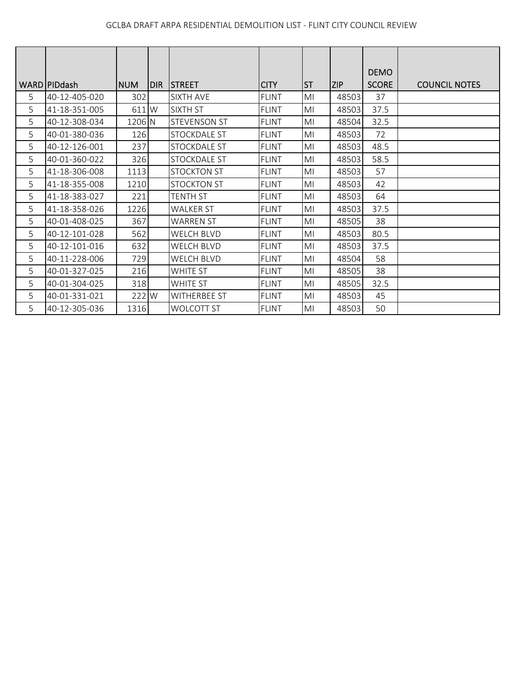|   |               |            |            |                     |              |                |            | <b>DEMO</b>  |                      |
|---|---------------|------------|------------|---------------------|--------------|----------------|------------|--------------|----------------------|
|   | WARD PIDdash  | <b>NUM</b> | <b>DIR</b> | <b>STREET</b>       | <b>CITY</b>  | <b>ST</b>      | <b>ZIP</b> | <b>SCORE</b> | <b>COUNCIL NOTES</b> |
| 5 | 40-12-405-020 | 302        |            | SIXTH AVE           | <b>FLINT</b> | MI             | 48503      | 37           |                      |
| 5 | 41-18-351-005 | 611 W      |            | SIXTH ST            | <b>FLINT</b> | M <sub>l</sub> | 48503      | 37.5         |                      |
| 5 | 40-12-308-034 | 1206 N     |            | <b>STEVENSON ST</b> | FLINT        | MI             | 48504      | 32.5         |                      |
| 5 | 40-01-380-036 | 126        |            | <b>STOCKDALE ST</b> | <b>FLINT</b> | M <sub>l</sub> | 48503      | 72           |                      |
| 5 | 40-12-126-001 | 237        |            | STOCKDALE ST        | <b>FLINT</b> | M <sub>l</sub> | 48503      | 48.5         |                      |
| 5 | 40-01-360-022 | 326        |            | STOCKDALE ST        | <b>FLINT</b> | M <sub>l</sub> | 48503      | 58.5         |                      |
| 5 | 41-18-306-008 | 1113       |            | <b>STOCKTON ST</b>  | <b>FLINT</b> | MI             | 48503      | 57           |                      |
| 5 | 41-18-355-008 | 1210       |            | <b>STOCKTON ST</b>  | <b>FLINT</b> | MI             | 48503      | 42           |                      |
| 5 | 41-18-383-027 | 221        |            | <b>TENTH ST</b>     | <b>FLINT</b> | M <sub>l</sub> | 48503      | 64           |                      |
| 5 | 41-18-358-026 | 1226       |            | <b>WALKER ST</b>    | <b>FLINT</b> | MI             | 48503      | 37.5         |                      |
| 5 | 40-01-408-025 | 367        |            | <b>WARREN ST</b>    | <b>FLINT</b> | M <sub>l</sub> | 48505      | 38           |                      |
| 5 | 40-12-101-028 | 562        |            | <b>WELCH BLVD</b>   | <b>FLINT</b> | M <sub>l</sub> | 48503      | 80.5         |                      |
| 5 | 40-12-101-016 | 632        |            | <b>WELCH BLVD</b>   | <b>FLINT</b> | M <sub>l</sub> | 48503      | 37.5         |                      |
| 5 | 40-11-228-006 | 729        |            | <b>WELCH BLVD</b>   | <b>FLINT</b> | MI             | 48504      | 58           |                      |
| 5 | 40-01-327-025 | 216        |            | <b>WHITE ST</b>     | <b>FLINT</b> | MI             | 48505      | 38           |                      |
| 5 | 40-01-304-025 | 318        |            | WHITE ST            | <b>FLINT</b> | M <sub>l</sub> | 48505      | 32.5         |                      |
| 5 | 40-01-331-021 | 222 W      |            | <b>WITHERBEE ST</b> | <b>FLINT</b> | MI             | 48503      | 45           |                      |
| 5 | 40-12-305-036 | 1316       |            | <b>WOLCOTT ST</b>   | <b>FLINT</b> | MI             | 48503      | 50           |                      |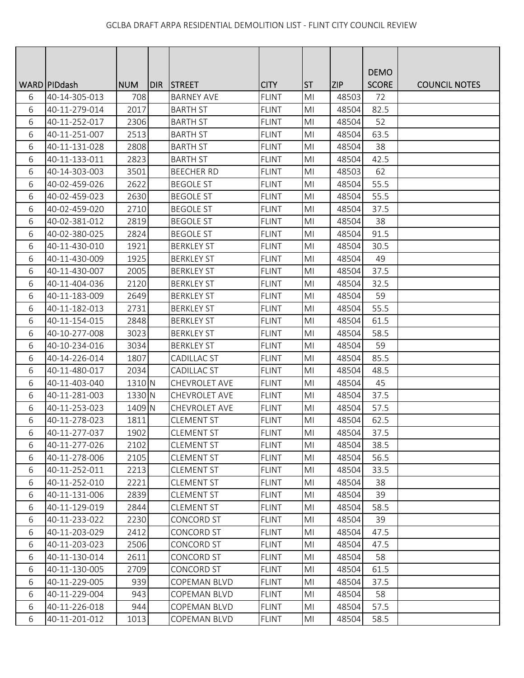|   |                |            |     |                    |              |                |            | <b>DEMO</b>  |                      |
|---|----------------|------------|-----|--------------------|--------------|----------------|------------|--------------|----------------------|
|   | WARD   PIDdash | <b>NUM</b> | DIR | <b>STREET</b>      | <b>CITY</b>  | <b>ST</b>      | <b>ZIP</b> | <b>SCORE</b> | <b>COUNCIL NOTES</b> |
| 6 | 40-14-305-013  | 708        |     | <b>BARNEY AVE</b>  | <b>FLINT</b> | M <sub>l</sub> | 48503      | 72           |                      |
| 6 | 40-11-279-014  | 2017       |     | <b>BARTH ST</b>    | <b>FLINT</b> | MI             | 48504      | 82.5         |                      |
| 6 | 40-11-252-017  | 2306       |     | <b>BARTH ST</b>    | <b>FLINT</b> | MI             | 48504      | 52           |                      |
| 6 | 40-11-251-007  | 2513       |     | <b>BARTH ST</b>    | <b>FLINT</b> | MI             | 48504      | 63.5         |                      |
| 6 | 40-11-131-028  | 2808       |     | <b>BARTH ST</b>    | <b>FLINT</b> | M <sub>l</sub> | 48504      | 38           |                      |
| 6 | 40-11-133-011  | 2823       |     | <b>BARTH ST</b>    | <b>FLINT</b> | MI             | 48504      | 42.5         |                      |
| 6 | 40-14-303-003  | 3501       |     | <b>BEECHER RD</b>  | <b>FLINT</b> | M <sub>l</sub> | 48503      | 62           |                      |
| 6 | 40-02-459-026  | 2622       |     | <b>BEGOLE ST</b>   | <b>FLINT</b> | MI             | 48504      | 55.5         |                      |
| 6 | 40-02-459-023  | 2630       |     | <b>BEGOLE ST</b>   | <b>FLINT</b> | MI             | 48504      | 55.5         |                      |
| 6 | 40-02-459-020  | 2710       |     | <b>BEGOLE ST</b>   | <b>FLINT</b> | M <sub>l</sub> | 48504      | 37.5         |                      |
| 6 | 40-02-381-012  | 2819       |     | <b>BEGOLE ST</b>   | <b>FLINT</b> | MI             | 48504      | 38           |                      |
| 6 | 40-02-380-025  | 2824       |     | <b>BEGOLE ST</b>   | <b>FLINT</b> | M <sub>l</sub> | 48504      | 91.5         |                      |
| 6 | 40-11-430-010  | 1921       |     | <b>BERKLEY ST</b>  | <b>FLINT</b> | M <sub>l</sub> | 48504      | 30.5         |                      |
| 6 | 40-11-430-009  | 1925       |     | <b>BERKLEY ST</b>  | <b>FLINT</b> | M <sub>l</sub> | 48504      | 49           |                      |
| 6 | 40-11-430-007  | 2005       |     | <b>BERKLEY ST</b>  | <b>FLINT</b> | MI             | 48504      | 37.5         |                      |
| 6 | 40-11-404-036  | 2120       |     | <b>BERKLEY ST</b>  | <b>FLINT</b> | MI             | 48504      | 32.5         |                      |
| 6 | 40-11-183-009  | 2649       |     | <b>BERKLEY ST</b>  | <b>FLINT</b> | M <sub>l</sub> | 48504      | 59           |                      |
| 6 | 40-11-182-013  | 2731       |     | <b>BERKLEY ST</b>  | <b>FLINT</b> | MI             | 48504      | 55.5         |                      |
| 6 | 40-11-154-015  | 2848       |     | <b>BERKLEY ST</b>  | <b>FLINT</b> | M <sub>l</sub> | 48504      | 61.5         |                      |
| 6 | 40-10-277-008  | 3023       |     | <b>BERKLEY ST</b>  | <b>FLINT</b> | M <sub>l</sub> | 48504      | 58.5         |                      |
| 6 | 40-10-234-016  | 3034       |     | <b>BERKLEY ST</b>  | <b>FLINT</b> | MI             | 48504      | 59           |                      |
| 6 | 40-14-226-014  | 1807       |     | <b>CADILLAC ST</b> | <b>FLINT</b> | MI             | 48504      | 85.5         |                      |
| 6 | 40-11-480-017  | 2034       |     | CADILLAC ST        | <b>FLINT</b> | MI             | 48504      | 48.5         |                      |
| 6 | 40-11-403-040  | 1310 N     |     | CHEVROLET AVE      | <b>FLINT</b> | M <sub>l</sub> | 48504      | 45           |                      |
| 6 | 40-11-281-003  | 1330 N     |     | CHEVROLET AVE      | <b>FLINT</b> | MI             | 48504      | 37.5         |                      |
| 6 | 40-11-253-023  | 1409 N     |     | CHEVROLET AVE      | <b>FLINT</b> | M <sub>l</sub> | 48504      | 57.5         |                      |
| 6 | 40-11-278-023  | 1811       |     | <b>CLEMENT ST</b>  | <b>FLINT</b> | M <sub>l</sub> | 48504      | 62.5         |                      |
| 6 | 40-11-277-037  | 1902       |     | <b>CLEMENT ST</b>  | <b>FLINT</b> | MI             | 48504      | 37.5         |                      |
| 6 | 40-11-277-026  | 2102       |     | <b>CLEMENT ST</b>  | <b>FLINT</b> | M <sub>l</sub> | 48504      | 38.5         |                      |
| 6 | 40-11-278-006  | 2105       |     | <b>CLEMENT ST</b>  | <b>FLINT</b> | MI             | 48504      | 56.5         |                      |
| 6 | 40-11-252-011  | 2213       |     | <b>CLEMENT ST</b>  | <b>FLINT</b> | MI             | 48504      | 33.5         |                      |
| 6 | 40-11-252-010  | 2221       |     | <b>CLEMENT ST</b>  | <b>FLINT</b> | MI             | 48504      | 38           |                      |
| 6 | 40-11-131-006  | 2839       |     | <b>CLEMENT ST</b>  | <b>FLINT</b> | M <sub>l</sub> | 48504      | 39           |                      |
| 6 | 40-11-129-019  | 2844       |     | <b>CLEMENT ST</b>  | <b>FLINT</b> | MI             | 48504      | 58.5         |                      |
| 6 | 40-11-233-022  | 2230       |     | <b>CONCORD ST</b>  | <b>FLINT</b> | MI             | 48504      | 39           |                      |
| 6 | 40-11-203-029  | 2412       |     | <b>CONCORD ST</b>  | <b>FLINT</b> | MI             | 48504      | 47.5         |                      |
| 6 | 40-11-203-023  | 2506       |     | CONCORD ST         | <b>FLINT</b> | MI             | 48504      | 47.5         |                      |
| 6 | 40-11-130-014  | 2611       |     | <b>CONCORD ST</b>  | <b>FLINT</b> | MI             | 48504      | 58           |                      |
| 6 | 40-11-130-005  | 2709       |     | CONCORD ST         | <b>FLINT</b> | MI             | 48504      | 61.5         |                      |
| 6 | 40-11-229-005  | 939        |     | COPEMAN BLVD       | <b>FLINT</b> | MI             | 48504      | 37.5         |                      |
| 6 | 40-11-229-004  | 943        |     | COPEMAN BLVD       | <b>FLINT</b> | M <sub>l</sub> | 48504      | 58           |                      |
| 6 | 40-11-226-018  | 944        |     | COPEMAN BLVD       | <b>FLINT</b> | MI             | 48504      | 57.5         |                      |
| 6 | 40-11-201-012  | 1013       |     | COPEMAN BLVD       | <b>FLINT</b> | MI             | 48504      | 58.5         |                      |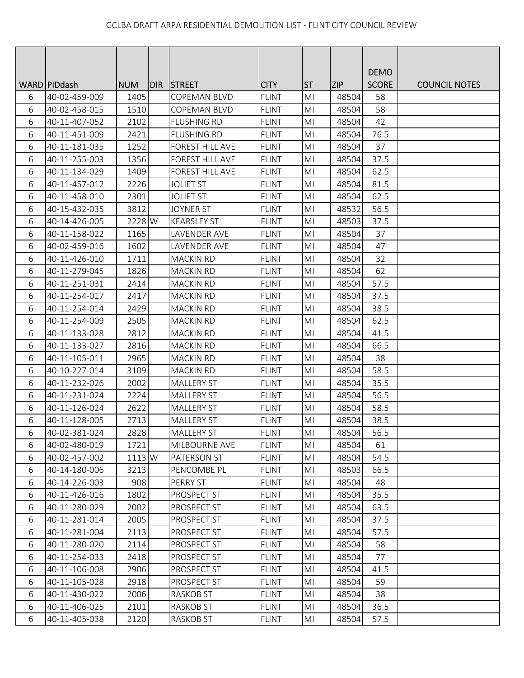|       |                 |            |       |                     |              |                |            | <b>DEMO</b>  |                      |
|-------|-----------------|------------|-------|---------------------|--------------|----------------|------------|--------------|----------------------|
|       | WARD   PID dash | <b>NUM</b> | IDIR. | <b>STREET</b>       | <b>CITY</b>  | <b>ST</b>      | <b>ZIP</b> | <b>SCORE</b> | <b>COUNCIL NOTES</b> |
| 6     | 40-02-459-009   | 1405       |       | <b>COPEMAN BLVD</b> | <b>FLINT</b> | MI             | 48504      | 58           |                      |
| 6     | 40-02-458-015   | 1510       |       | <b>COPEMAN BLVD</b> | <b>FLINT</b> | MI             | 48504      | 58           |                      |
| 6     | 40-11-407-052   | 2102       |       | <b>FLUSHING RD</b>  | <b>FLINT</b> | MI             | 48504      | 42           |                      |
| 6     | 40-11-451-009   | 2421       |       | <b>FLUSHING RD</b>  | <b>FLINT</b> | MI             | 48504      | 76.5         |                      |
| 6     | 40-11-181-035   | 1252       |       | FOREST HILL AVE     | <b>FLINT</b> | M <sub>l</sub> | 48504      | 37           |                      |
| 6     | 40-11-255-003   | 1356       |       | FOREST HILL AVE     | <b>FLINT</b> | MI             | 48504      | 37.5         |                      |
| 6     | 40-11-134-029   | 1409       |       | FOREST HILL AVE     | <b>FLINT</b> | M <sub>l</sub> | 48504      | 62.5         |                      |
| 6     | 40-11-457-012   | 2226       |       | <b>JOLIET ST</b>    | <b>FLINT</b> | MI             | 48504      | 81.5         |                      |
| 6     | 40-11-458-010   | 2301       |       | <b>JOLIET ST</b>    | <b>FLINT</b> | MI             | 48504      | 62.5         |                      |
| 6     | 40-15-432-035   | 3812       |       | <b>JOYNER ST</b>    | <b>FLINT</b> | MI             | 48532      | 56.5         |                      |
| 6     | 40-14-426-005   | 2228 W     |       | <b>KEARSLEY ST</b>  | <b>FLINT</b> | MI             | 48503      | 37.5         |                      |
| 6     | 40-11-158-022   | 1165       |       | LAVENDER AVE        | <b>FLINT</b> | M <sub>l</sub> | 48504      | 37           |                      |
| 6     | 40-02-459-016   | 1602       |       | LAVENDER AVE        | <b>FLINT</b> | M <sub>l</sub> | 48504      | 47           |                      |
| 6     | 40-11-426-010   | 1711       |       | <b>MACKIN RD</b>    | <b>FLINT</b> | MI             | 48504      | 32           |                      |
| 6     | 40-11-279-045   | 1826       |       | <b>MACKIN RD</b>    | <b>FLINT</b> | MI             | 48504      | 62           |                      |
| 6     | 40-11-251-031   | 2414       |       | <b>MACKIN RD</b>    | <b>FLINT</b> | MI             | 48504      | 57.5         |                      |
| 6     | 40-11-254-017   | 2417       |       | <b>MACKIN RD</b>    | <b>FLINT</b> | M <sub>l</sub> | 48504      | 37.5         |                      |
| 6     | 40-11-254-014   | 2429       |       | <b>MACKIN RD</b>    | <b>FLINT</b> | M <sub>l</sub> | 48504      | 38.5         |                      |
| 6     | 40-11-254-009   | 2505       |       | MACKIN RD           | <b>FLINT</b> | M <sub>l</sub> | 48504      | 62.5         |                      |
| 6     | 40-11-133-028   | 2812       |       | <b>MACKIN RD</b>    | <b>FLINT</b> | MI             | 48504      | 41.5         |                      |
| 6     | 40-11-133-027   | 2816       |       | <b>MACKIN RD</b>    | <b>FLINT</b> | MI             | 48504      | 66.5         |                      |
| 6     | 40-11-105-011   | 2965       |       | <b>MACKIN RD</b>    | <b>FLINT</b> | MI             | 48504      | 38           |                      |
| 6     | 40-10-227-014   | 3109       |       | <b>MACKIN RD</b>    | <b>FLINT</b> | MI             | 48504      | 58.5         |                      |
| 6     | 40-11-232-026   | 2002       |       | <b>MALLERY ST</b>   | <b>FLINT</b> | M <sub>l</sub> | 48504      | 35.5         |                      |
| 6     | 40-11-231-024   | 2224       |       | <b>MALLERY ST</b>   | <b>FLINT</b> | M <sub>l</sub> | 48504      | 56.5         |                      |
| 6     | 40-11-126-024   | 2622       |       | MALLERY ST          | <b>FLINT</b> | M <sub>l</sub> | 48504      | 58.5         |                      |
| 6     | 40-11-128-005   | 2713       |       | <b>MALLERY ST</b>   | <b>FLINT</b> | M <sub>l</sub> | 48504      | 38.5         |                      |
| 6     | 40-02-381-024   | 2828       |       | <b>MALLERY ST</b>   | <b>FLINT</b> | MI             | 48504      | 56.5         |                      |
| 6     | 40-02-480-019   | 1721       |       | MILBOURNE AVE       | <b>FLINT</b> | M <sub>l</sub> | 48504      | 61           |                      |
| 6     | 40-02-457-002   | 1113 W     |       | <b>PATERSON ST</b>  | <b>FLINT</b> | MI             | 48504      | 54.5         |                      |
| 6     | 40-14-180-006   | 3213       |       | PENCOMBE PL         | <b>FLINT</b> | MI             | 48503      | 66.5         |                      |
| 6     | 40-14-226-003   | 908        |       | PERRY ST            | <b>FLINT</b> | MI             | 48504      | 48           |                      |
| $6\,$ | 40-11-426-016   | 1802       |       | PROSPECT ST         | <b>FLINT</b> | MI             | 48504      | 35.5         |                      |
| 6     | 40-11-280-029   | 2002       |       | PROSPECT ST         | <b>FLINT</b> | MI             | 48504      | 63.5         |                      |
| 6     | 40-11-281-014   | 2005       |       | PROSPECT ST         | <b>FLINT</b> | MI             | 48504      | 37.5         |                      |
| 6     | 40-11-281-004   | 2113       |       | PROSPECT ST         | <b>FLINT</b> | MI             | 48504      | 57.5         |                      |
| 6     | 40-11-280-020   | 2114       |       | PROSPECT ST         | <b>FLINT</b> | MI             | 48504      | 58           |                      |
| 6     | 40-11-254-033   | 2418       |       | PROSPECT ST         | <b>FLINT</b> | M <sub>l</sub> | 48504      | 77           |                      |
| 6     | 40-11-106-008   | 2906       |       | PROSPECT ST         | <b>FLINT</b> | MI             | 48504      | 41.5         |                      |
| 6     | 40-11-105-028   | 2918       |       | PROSPECT ST         | <b>FLINT</b> | MI             | 48504      | 59           |                      |
| 6     | 40-11-430-022   | 2006       |       | RASKOB ST           | <b>FLINT</b> | MI             | 48504      | 38           |                      |
| 6     | 40-11-406-025   | 2101       |       | RASKOB ST           | <b>FLINT</b> | MI             | 48504      | 36.5         |                      |
| 6     | 40-11-405-038   | 2120       |       | RASKOB ST           | <b>FLINT</b> | M <sub>l</sub> | 48504      | 57.5         |                      |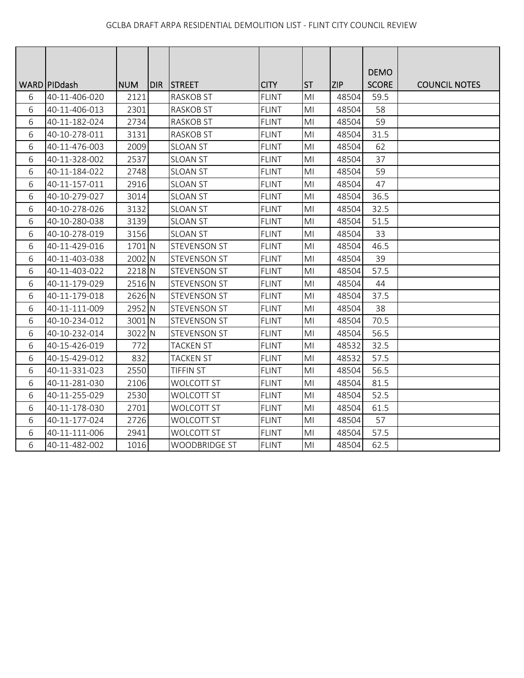|   |                               |                    |            |                                   | <b>CITY</b>  |                             |                     | <b>DEMO</b><br><b>SCORE</b> |                      |
|---|-------------------------------|--------------------|------------|-----------------------------------|--------------|-----------------------------|---------------------|-----------------------------|----------------------|
| 6 | WARD PIDdash<br>40-11-406-020 | <b>NUM</b><br>2121 | <b>DIR</b> | <b>STREET</b><br><b>RASKOB ST</b> | <b>FLINT</b> | <b>ST</b><br>M <sub>l</sub> | <b>ZIP</b><br>48504 | 59.5                        | <b>COUNCIL NOTES</b> |
| 6 | 40-11-406-013                 | 2301               |            | <b>RASKOB ST</b>                  | <b>FLINT</b> | MI                          | 48504               | 58                          |                      |
|   |                               | 2734               |            |                                   |              | M <sub>l</sub>              | 48504               | 59                          |                      |
| 6 | 40-11-182-024                 |                    |            | <b>RASKOB ST</b>                  | <b>FLINT</b> |                             |                     |                             |                      |
| 6 | 40-10-278-011                 | 3131               |            | <b>RASKOB ST</b>                  | <b>FLINT</b> | M <sub>l</sub>              | 48504               | 31.5                        |                      |
| 6 | 40-11-476-003                 | 2009               |            | <b>SLOAN ST</b>                   | <b>FLINT</b> | MI                          | 48504               | 62                          |                      |
| 6 | 40-11-328-002                 | 2537               |            | <b>SLOAN ST</b>                   | <b>FLINT</b> | MI                          | 48504               | 37                          |                      |
| 6 | 40-11-184-022                 | 2748               |            | <b>SLOAN ST</b>                   | <b>FLINT</b> | MI                          | 48504               | 59                          |                      |
| 6 | 40-11-157-011                 | 2916               |            | <b>SLOAN ST</b>                   | <b>FLINT</b> | M <sub>l</sub>              | 48504               | 47                          |                      |
| 6 | 40-10-279-027                 | 3014               |            | <b>SLOAN ST</b>                   | <b>FLINT</b> | MI                          | 48504               | 36.5                        |                      |
| 6 | 40-10-278-026                 | 3132               |            | <b>SLOAN ST</b>                   | <b>FLINT</b> | M <sub>l</sub>              | 48504               | 32.5                        |                      |
| 6 | 40-10-280-038                 | 3139               |            | <b>SLOAN ST</b>                   | <b>FLINT</b> | M <sub>l</sub>              | 48504               | 51.5                        |                      |
| 6 | 40-10-278-019                 | 3156               |            | <b>SLOAN ST</b>                   | <b>FLINT</b> | MI                          | 48504               | 33                          |                      |
| 6 | 40-11-429-016                 | 1701 N             |            | <b>STEVENSON ST</b>               | <b>FLINT</b> | M <sub>l</sub>              | 48504               | 46.5                        |                      |
| 6 | 40-11-403-038                 | 2002 N             |            | STEVENSON ST                      | <b>FLINT</b> | MI                          | 48504               | 39                          |                      |
| 6 | 40-11-403-022                 | 2218 N             |            | <b>STEVENSON ST</b>               | <b>FLINT</b> | M <sub>l</sub>              | 48504               | 57.5                        |                      |
| 6 | 40-11-179-029                 | 2516 N             |            | <b>STEVENSON ST</b>               | <b>FLINT</b> | MI                          | 48504               | 44                          |                      |
| 6 | 40-11-179-018                 | 2626 N             |            | <b>STEVENSON ST</b>               | <b>FLINT</b> | M <sub>l</sub>              | 48504               | 37.5                        |                      |
| 6 | 40-11-111-009                 | 2952 N             |            | <b>STEVENSON ST</b>               | <b>FLINT</b> | M <sub>l</sub>              | 48504               | 38                          |                      |
| 6 | 40-10-234-012                 | 3001 N             |            | <b>STEVENSON ST</b>               | <b>FLINT</b> | M <sub>l</sub>              | 48504               | 70.5                        |                      |
| 6 | 40-10-232-014                 | 3022 N             |            | <b>STEVENSON ST</b>               | <b>FLINT</b> | M <sub>l</sub>              | 48504               | 56.5                        |                      |
| 6 | 40-15-426-019                 | 772                |            | <b>TACKEN ST</b>                  | <b>FLINT</b> | MI                          | 48532               | 32.5                        |                      |
| 6 | 40-15-429-012                 | 832                |            | <b>TACKEN ST</b>                  | <b>FLINT</b> | M <sub>l</sub>              | 48532               | 57.5                        |                      |
| 6 | 40-11-331-023                 | 2550               |            | <b>TIFFIN ST</b>                  | <b>FLINT</b> | M <sub>l</sub>              | 48504               | 56.5                        |                      |
| 6 | 40-11-281-030                 | 2106               |            | WOLCOTT ST                        | <b>FLINT</b> | M <sub>l</sub>              | 48504               | 81.5                        |                      |
| 6 | 40-11-255-029                 | 2530               |            | <b>WOLCOTT ST</b>                 | <b>FLINT</b> | MI                          | 48504               | 52.5                        |                      |
| 6 | 40-11-178-030                 | 2701               |            | WOLCOTT ST                        | <b>FLINT</b> | M <sub>l</sub>              | 48504               | 61.5                        |                      |
| 6 | 40-11-177-024                 | 2726               |            | <b>WOLCOTT ST</b>                 | <b>FLINT</b> | MI                          | 48504               | 57                          |                      |
| 6 | 40-11-111-006                 | 2941               |            | WOLCOTT ST                        | <b>FLINT</b> | MI                          | 48504               | 57.5                        |                      |
| 6 | 40-11-482-002                 | 1016               |            | <b>WOODBRIDGE ST</b>              | <b>FLINT</b> | M <sub>l</sub>              | 48504               | 62.5                        |                      |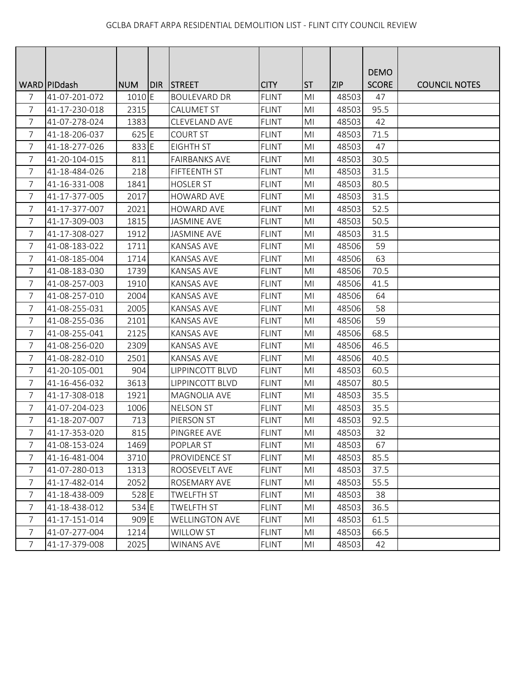|                |                |                   |       |                       |              |                |            | <b>DEMO</b>  |                      |
|----------------|----------------|-------------------|-------|-----------------------|--------------|----------------|------------|--------------|----------------------|
|                | WARD   PIDdash | <b>NUM</b>        | DIR I | <b>STREET</b>         | <b>CITY</b>  | <b>ST</b>      | <b>ZIP</b> | <b>SCORE</b> | <b>COUNCIL NOTES</b> |
| 7              | 41-07-201-072  | 1010E             |       | <b>BOULEVARD DR</b>   | <b>FLINT</b> | MI             | 48503      | 47           |                      |
| 7              | 41-17-230-018  | 2315              |       | <b>CALUMET ST</b>     | <b>FLINT</b> | M <sub>l</sub> | 48503      | 95.5         |                      |
| 7              | 41-07-278-024  | 1383              |       | CLEVELAND AVE         | <b>FLINT</b> | MI             | 48503      | 42           |                      |
| $\overline{7}$ | 41-18-206-037  | 625 E             |       | <b>COURT ST</b>       | <b>FLINT</b> | MI             | 48503      | 71.5         |                      |
| 7              | 41-18-277-026  | 833 E             |       | <b>EIGHTH ST</b>      | <b>FLINT</b> | M <sub>l</sub> | 48503      | 47           |                      |
| 7              | 41-20-104-015  | 811               |       | <b>FAIRBANKS AVE</b>  | <b>FLINT</b> | MI             | 48503      | 30.5         |                      |
| $\overline{7}$ | 41-18-484-026  | 218               |       | <b>FIFTEENTH ST</b>   | <b>FLINT</b> | M <sub>l</sub> | 48503      | 31.5         |                      |
| 7              | 41-16-331-008  | 1841              |       | <b>HOSLER ST</b>      | <b>FLINT</b> | MI             | 48503      | 80.5         |                      |
| 7              | 41-17-377-005  | 2017              |       | <b>HOWARD AVE</b>     | <b>FLINT</b> | M <sub>l</sub> | 48503      | 31.5         |                      |
| 7              | 41-17-377-007  | 2021              |       | <b>HOWARD AVE</b>     | <b>FLINT</b> | M <sub>l</sub> | 48503      | 52.5         |                      |
| $\overline{7}$ | 41-17-309-003  | 1815              |       | <b>JASMINE AVE</b>    | <b>FLINT</b> | MI             | 48503      | 50.5         |                      |
| 7              | 41-17-308-027  | 1912              |       | <b>JASMINE AVE</b>    | <b>FLINT</b> | M <sub>l</sub> | 48503      | 31.5         |                      |
| 7              | 41-08-183-022  | 1711              |       | <b>KANSAS AVE</b>     | <b>FLINT</b> | MI             | 48506      | 59           |                      |
| 7              | 41-08-185-004  | 1714              |       | <b>KANSAS AVE</b>     | <b>FLINT</b> | MI             | 48506      | 63           |                      |
| 7              | 41-08-183-030  | 1739              |       | <b>KANSAS AVE</b>     | <b>FLINT</b> | M <sub>l</sub> | 48506      | 70.5         |                      |
| 7              | 41-08-257-003  | 1910              |       | <b>KANSAS AVE</b>     | <b>FLINT</b> | MI             | 48506      | 41.5         |                      |
| $\overline{7}$ | 41-08-257-010  | 2004              |       | <b>KANSAS AVE</b>     | <b>FLINT</b> | M <sub>l</sub> | 48506      | 64           |                      |
| 7              | 41-08-255-031  | 2005              |       | <b>KANSAS AVE</b>     | <b>FLINT</b> | MI             | 48506      | 58           |                      |
| $\overline{7}$ | 41-08-255-036  | 2101              |       | <b>KANSAS AVE</b>     | <b>FLINT</b> | MI             | 48506      | 59           |                      |
| 7              | 41-08-255-041  | 2125              |       | <b>KANSAS AVE</b>     | <b>FLINT</b> | MI             | 48506      | 68.5         |                      |
| 7              | 41-08-256-020  | 2309              |       | <b>KANSAS AVE</b>     | <b>FLINT</b> | MI             | 48506      | 46.5         |                      |
| $\overline{7}$ | 41-08-282-010  | 2501              |       | <b>KANSAS AVE</b>     | <b>FLINT</b> | M <sub>l</sub> | 48506      | 40.5         |                      |
| 7              | 41-20-105-001  | 904               |       | LIPPINCOTT BLVD       | <b>FLINT</b> | MI             | 48503      | 60.5         |                      |
| 7              | 41-16-456-032  | 3613              |       | LIPPINCOTT BLVD       | <b>FLINT</b> | M <sub>l</sub> | 48507      | 80.5         |                      |
| 7              | 41-17-308-018  | 1921              |       | MAGNOLIA AVE          | <b>FLINT</b> | MI             | 48503      | 35.5         |                      |
| 7              | 41-07-204-023  | 1006              |       | <b>NELSON ST</b>      | <b>FLINT</b> | MI             | 48503      | 35.5         |                      |
| 7              | 41-18-207-007  | 713               |       | PIERSON ST            | <b>FLINT</b> | MI             | 48503      | 92.5         |                      |
| 7              | 41-17-353-020  | 815               |       | PINGREE AVE           | <b>FLINT</b> | M <sub>l</sub> | 48503      | 32           |                      |
| 7              | 41-08-153-024  | 1469              |       | POPLAR ST             | <b>FLINT</b> | MI             | 48503      | 67           |                      |
| 7              | 41-16-481-004  | 3710              |       | PROVIDENCE ST         | <b>FLINT</b> | MI             | 48503      | 85.5         |                      |
| 7              | 41-07-280-013  | 1313              |       | ROOSEVELT AVE         | <b>FLINT</b> | MI             | 48503      | 37.5         |                      |
| 7              | 41-17-482-014  | 2052              |       | ROSEMARY AVE          | <b>FLINT</b> | MI             | 48503      | 55.5         |                      |
| 7              | 41-18-438-009  | 528 E             |       | <b>TWELFTH ST</b>     | <b>FLINT</b> | M <sub>l</sub> | 48503      | 38           |                      |
| $\overline{7}$ | 41-18-438-012  | $534 \, \text{E}$ |       | <b>TWELFTH ST</b>     | <b>FLINT</b> | M <sub>l</sub> | 48503      | 36.5         |                      |
| 7              | 41-17-151-014  | 909 E             |       | <b>WELLINGTON AVE</b> | <b>FLINT</b> | MI             | 48503      | 61.5         |                      |
| 7              | 41-07-277-004  | 1214              |       | <b>WILLOW ST</b>      | <b>FLINT</b> | MI             | 48503      | 66.5         |                      |
| 7              | 41-17-379-008  | 2025              |       | <b>WINANS AVE</b>     | <b>FLINT</b> | MI             | 48503      | 42           |                      |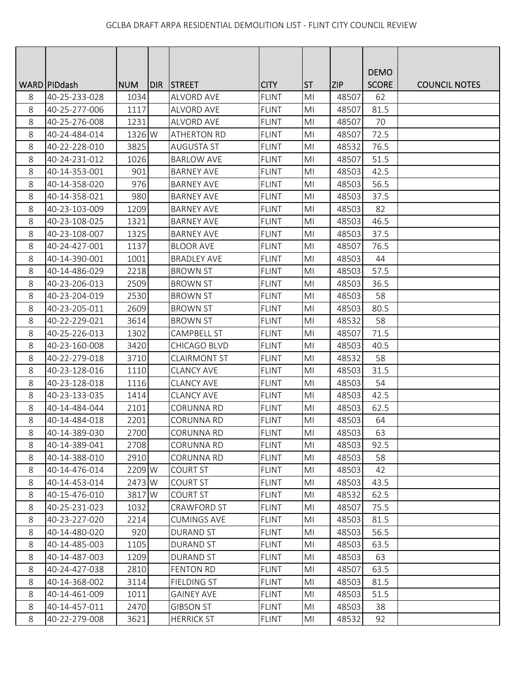|   |                 |            |     |                     |              |                |            | <b>DEMO</b>  |                      |
|---|-----------------|------------|-----|---------------------|--------------|----------------|------------|--------------|----------------------|
|   | WARD   PID dash | <b>NUM</b> | DIR | <b>STREET</b>       | <b>CITY</b>  | <b>ST</b>      | <b>ZIP</b> | <b>SCORE</b> | <b>COUNCIL NOTES</b> |
| 8 | 40-25-233-028   | 1034       |     | <b>ALVORD AVE</b>   | <b>FLINT</b> | M <sub>l</sub> | 48507      | 62           |                      |
| 8 | 40-25-277-006   | 1117       |     | <b>ALVORD AVE</b>   | <b>FLINT</b> | M <sub>l</sub> | 48507      | 81.5         |                      |
| 8 | 40-25-276-008   | 1231       |     | <b>ALVORD AVE</b>   | <b>FLINT</b> | MI             | 48507      | 70           |                      |
| 8 | 40-24-484-014   | 1326 W     |     | <b>ATHERTON RD</b>  | <b>FLINT</b> | MI             | 48507      | 72.5         |                      |
| 8 | 40-22-228-010   | 3825       |     | <b>AUGUSTA ST</b>   | <b>FLINT</b> | M <sub>l</sub> | 48532      | 76.5         |                      |
| 8 | 40-24-231-012   | 1026       |     | <b>BARLOW AVE</b>   | <b>FLINT</b> | MI             | 48507      | 51.5         |                      |
| 8 | 40-14-353-001   | 901        |     | <b>BARNEY AVE</b>   | <b>FLINT</b> | M <sub>l</sub> | 48503      | 42.5         |                      |
| 8 | 40-14-358-020   | 976        |     | <b>BARNEY AVE</b>   | <b>FLINT</b> | M <sub>l</sub> | 48503      | 56.5         |                      |
| 8 | 40-14-358-021   | 980        |     | <b>BARNEY AVE</b>   | <b>FLINT</b> | M <sub>l</sub> | 48503      | 37.5         |                      |
| 8 | 40-23-103-009   | 1209       |     | <b>BARNEY AVE</b>   | <b>FLINT</b> | MI             | 48503      | 82           |                      |
| 8 | 40-23-108-025   | 1321       |     | <b>BARNEY AVE</b>   | <b>FLINT</b> | MI             | 48503      | 46.5         |                      |
| 8 | 40-23-108-007   | 1325       |     | <b>BARNEY AVE</b>   | <b>FLINT</b> | M <sub>l</sub> | 48503      | 37.5         |                      |
| 8 | 40-24-427-001   | 1137       |     | <b>BLOOR AVE</b>    | <b>FLINT</b> | M <sub>l</sub> | 48507      | 76.5         |                      |
| 8 | 40-14-390-001   | 1001       |     | <b>BRADLEY AVE</b>  | <b>FLINT</b> | M <sub>l</sub> | 48503      | 44           |                      |
| 8 | 40-14-486-029   | 2218       |     | <b>BROWN ST</b>     | <b>FLINT</b> | MI             | 48503      | 57.5         |                      |
| 8 | 40-23-206-013   | 2509       |     | <b>BROWN ST</b>     | <b>FLINT</b> | MI             | 48503      | 36.5         |                      |
| 8 | 40-23-204-019   | 2530       |     | <b>BROWN ST</b>     | <b>FLINT</b> | M <sub>l</sub> | 48503      | 58           |                      |
| 8 | 40-23-205-011   | 2609       |     | <b>BROWN ST</b>     | <b>FLINT</b> | MI             | 48503      | 80.5         |                      |
| 8 | 40-22-229-021   | 3614       |     | <b>BROWN ST</b>     | <b>FLINT</b> | M <sub>l</sub> | 48532      | 58           |                      |
| 8 | 40-25-226-013   | 1302       |     | <b>CAMPBELL ST</b>  | <b>FLINT</b> | M <sub>l</sub> | 48507      | 71.5         |                      |
| 8 | 40-23-160-008   | 3420       |     | CHICAGO BLVD        | <b>FLINT</b> | MI             | 48503      | 40.5         |                      |
| 8 | 40-22-279-018   | 3710       |     | <b>CLAIRMONT ST</b> | <b>FLINT</b> | MI             | 48532      | 58           |                      |
| 8 | 40-23-128-016   | 1110       |     | <b>CLANCY AVE</b>   | <b>FLINT</b> | MI             | 48503      | 31.5         |                      |
| 8 | 40-23-128-018   | 1116       |     | <b>CLANCY AVE</b>   | <b>FLINT</b> | M <sub>l</sub> | 48503      | 54           |                      |
| 8 | 40-23-133-035   | 1414       |     | <b>CLANCY AVE</b>   | <b>FLINT</b> | M <sub>l</sub> | 48503      | 42.5         |                      |
| 8 | 40-14-484-044   | 2101       |     | <b>CORUNNA RD</b>   | <b>FLINT</b> | M <sub>l</sub> | 48503      | 62.5         |                      |
| 8 | 40-14-484-018   | 2201       |     | <b>CORUNNA RD</b>   | <b>FLINT</b> | M <sub>l</sub> | 48503      | 64           |                      |
| 8 | 40-14-389-030   | 2700       |     | <b>CORUNNA RD</b>   | <b>FLINT</b> | MI             | 48503      | 63           |                      |
| 8 | 40-14-389-041   | 2708       |     | <b>CORUNNA RD</b>   | <b>FLINT</b> | M <sub>l</sub> | 48503      | 92.5         |                      |
| 8 | 40-14-388-010   | 2910       |     | CORUNNA RD          | <b>FLINT</b> | MI             | 48503      | 58           |                      |
| 8 | 40-14-476-014   | 2209 W     |     | <b>COURT ST</b>     | <b>FLINT</b> | M <sub>l</sub> | 48503      | 42           |                      |
| 8 | 40-14-453-014   | 2473 W     |     | <b>COURT ST</b>     | <b>FLINT</b> | MI             | 48503      | 43.5         |                      |
| 8 | 40-15-476-010   | 3817 W     |     | <b>COURT ST</b>     | <b>FLINT</b> | M <sub>l</sub> | 48532      | 62.5         |                      |
| 8 | 40-25-231-023   | 1032       |     | CRAWFORD ST         | <b>FLINT</b> | M <sub>l</sub> | 48507      | 75.5         |                      |
| 8 | 40-23-227-020   | 2214       |     | <b>CUMINGS AVE</b>  | <b>FLINT</b> | MI             | 48503      | 81.5         |                      |
| 8 | 40-14-480-020   | 920        |     | <b>DURAND ST</b>    | <b>FLINT</b> | MI             | 48503      | 56.5         |                      |
| 8 | 40-14-485-003   | 1105       |     | <b>DURAND ST</b>    | <b>FLINT</b> | MI             | 48503      | 63.5         |                      |
| 8 | 40-14-487-003   | 1209       |     | <b>DURAND ST</b>    | <b>FLINT</b> | M <sub>l</sub> | 48503      | 63           |                      |
| 8 | 40-24-427-038   | 2810       |     | <b>FENTON RD</b>    | <b>FLINT</b> | MI             | 48507      | 63.5         |                      |
| 8 | 40-14-368-002   | 3114       |     | <b>FIELDING ST</b>  | <b>FLINT</b> | MI             | 48503      | 81.5         |                      |
| 8 | 40-14-461-009   | 1011       |     | <b>GAINEY AVE</b>   | <b>FLINT</b> | M <sub>l</sub> | 48503      | 51.5         |                      |
| 8 | 40-14-457-011   | 2470       |     | <b>GIBSON ST</b>    | <b>FLINT</b> | MI             | 48503      | 38           |                      |
| 8 | 40-22-279-008   | 3621       |     | <b>HERRICK ST</b>   | <b>FLINT</b> | MI             | 48532      | 92           |                      |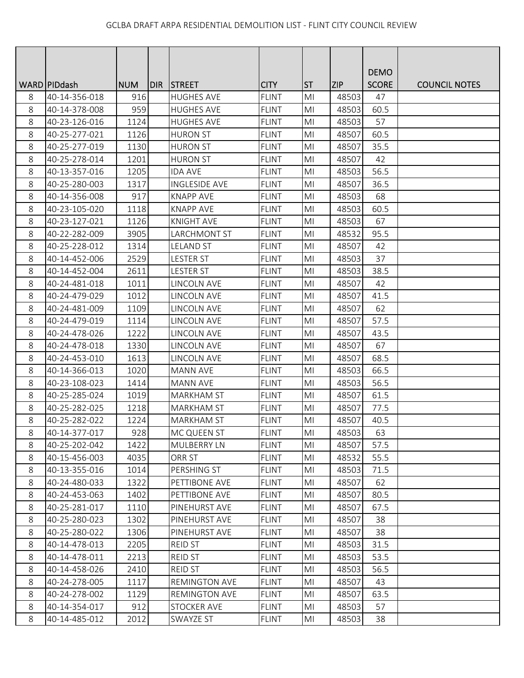|   |                 |            |     |                      |              |                |            | <b>DEMO</b>  |                      |
|---|-----------------|------------|-----|----------------------|--------------|----------------|------------|--------------|----------------------|
|   | WARD   PID dash | <b>NUM</b> | DIR | <b>STREET</b>        | <b>CITY</b>  | <b>ST</b>      | <b>ZIP</b> | <b>SCORE</b> | <b>COUNCIL NOTES</b> |
| 8 | 40-14-356-018   | 916        |     | <b>HUGHES AVE</b>    | <b>FLINT</b> | M <sub>l</sub> | 48503      | 47           |                      |
| 8 | 40-14-378-008   | 959        |     | <b>HUGHES AVE</b>    | <b>FLINT</b> | MI             | 48503      | 60.5         |                      |
| 8 | 40-23-126-016   | 1124       |     | <b>HUGHES AVE</b>    | <b>FLINT</b> | MI             | 48503      | 57           |                      |
| 8 | 40-25-277-021   | 1126       |     | <b>HURON ST</b>      | <b>FLINT</b> | MI             | 48507      | 60.5         |                      |
| 8 | 40-25-277-019   | 1130       |     | <b>HURON ST</b>      | <b>FLINT</b> | M <sub>l</sub> | 48507      | 35.5         |                      |
| 8 | 40-25-278-014   | 1201       |     | <b>HURON ST</b>      | <b>FLINT</b> | MI             | 48507      | 42           |                      |
| 8 | 40-13-357-016   | 1205       |     | <b>IDA AVE</b>       | <b>FLINT</b> | M <sub>l</sub> | 48503      | 56.5         |                      |
| 8 | 40-25-280-003   | 1317       |     | <b>INGLESIDE AVE</b> | <b>FLINT</b> | MI             | 48507      | 36.5         |                      |
| 8 | 40-14-356-008   | 917        |     | <b>KNAPP AVE</b>     | <b>FLINT</b> | M <sub>l</sub> | 48503      | 68           |                      |
| 8 | 40-23-105-020   | 1118       |     | <b>KNAPP AVE</b>     | <b>FLINT</b> | M <sub>l</sub> | 48503      | 60.5         |                      |
| 8 | 40-23-127-021   | 1126       |     | <b>KNIGHT AVE</b>    | <b>FLINT</b> | MI             | 48503      | 67           |                      |
| 8 | 40-22-282-009   | 3905       |     | LARCHMONT ST         | <b>FLINT</b> | M <sub>l</sub> | 48532      | 95.5         |                      |
| 8 | 40-25-228-012   | 1314       |     | <b>LELAND ST</b>     | <b>FLINT</b> | M <sub>l</sub> | 48507      | 42           |                      |
| 8 | 40-14-452-006   | 2529       |     | <b>LESTER ST</b>     | <b>FLINT</b> | M <sub>l</sub> | 48503      | 37           |                      |
| 8 | 40-14-452-004   | 2611       |     | <b>LESTER ST</b>     | <b>FLINT</b> | MI             | 48503      | 38.5         |                      |
| 8 | 40-24-481-018   | 1011       |     | LINCOLN AVE          | <b>FLINT</b> | MI             | 48507      | 42           |                      |
| 8 | 40-24-479-029   | 1012       |     | LINCOLN AVE          | <b>FLINT</b> | M <sub>l</sub> | 48507      | 41.5         |                      |
| 8 | 40-24-481-009   | 1109       |     | LINCOLN AVE          | <b>FLINT</b> | MI             | 48507      | 62           |                      |
| 8 | 40-24-479-019   | 1114       |     | LINCOLN AVE          | <b>FLINT</b> | M <sub>l</sub> | 48507      | 57.5         |                      |
| 8 | 40-24-478-026   | 1222       |     | LINCOLN AVE          | <b>FLINT</b> | M <sub>l</sub> | 48507      | 43.5         |                      |
| 8 | 40-24-478-018   | 1330       |     | LINCOLN AVE          | <b>FLINT</b> | MI             | 48507      | 67           |                      |
| 8 | 40-24-453-010   | 1613       |     | LINCOLN AVE          | <b>FLINT</b> | MI             | 48507      | 68.5         |                      |
| 8 | 40-14-366-013   | 1020       |     | <b>MANN AVE</b>      | <b>FLINT</b> | MI             | 48503      | 66.5         |                      |
| 8 | 40-23-108-023   | 1414       |     | <b>MANN AVE</b>      | <b>FLINT</b> | M <sub>l</sub> | 48503      | 56.5         |                      |
| 8 | 40-25-285-024   | 1019       |     | <b>MARKHAM ST</b>    | <b>FLINT</b> | M <sub>l</sub> | 48507      | 61.5         |                      |
| 8 | 40-25-282-025   | 1218       |     | <b>MARKHAM ST</b>    | <b>FLINT</b> | M <sub>l</sub> | 48507      | 77.5         |                      |
| 8 | 40-25-282-022   | 1224       |     | <b>MARKHAM ST</b>    | <b>FLINT</b> | M <sub>l</sub> | 48507      | 40.5         |                      |
| 8 | 40-14-377-017   | 928        |     | MC QUEEN ST          | FLINT        | MI             | 48503      | 63           |                      |
| 8 | 40-25-202-042   | 1422       |     | <b>MULBERRY LN</b>   | <b>FLINT</b> | MI             | 48507      | 57.5         |                      |
| 8 | 40-15-456-003   | 4035       |     | ORR ST               | <b>FLINT</b> | MI             | 48532      | 55.5         |                      |
| 8 | 40-13-355-016   | 1014       |     | PERSHING ST          | <b>FLINT</b> | M <sub>l</sub> | 48503      | 71.5         |                      |
| 8 | 40-24-480-033   | 1322       |     | PETTIBONE AVE        | <b>FLINT</b> | MI             | 48507      | 62           |                      |
| 8 | 40-24-453-063   | 1402       |     | PETTIBONE AVE        | <b>FLINT</b> | M <sub>l</sub> | 48507      | 80.5         |                      |
| 8 | 40-25-281-017   | 1110       |     | PINEHURST AVE        | <b>FLINT</b> | MI             | 48507      | 67.5         |                      |
| 8 | 40-25-280-023   | 1302       |     | PINEHURST AVE        | <b>FLINT</b> | MI             | 48507      | 38           |                      |
| 8 | 40-25-280-022   | 1306       |     | PINEHURST AVE        | <b>FLINT</b> | MI             | 48507      | 38           |                      |
| 8 | 40-14-478-013   | 2205       |     | <b>REID ST</b>       | <b>FLINT</b> | MI             | 48503      | 31.5         |                      |
| 8 | 40-14-478-011   | 2213       |     | REID ST              | <b>FLINT</b> | M <sub>l</sub> | 48503      | 53.5         |                      |
| 8 | 40-14-458-026   | 2410       |     | <b>REID ST</b>       | <b>FLINT</b> | M <sub>l</sub> | 48503      | 56.5         |                      |
| 8 | 40-24-278-005   | 1117       |     | <b>REMINGTON AVE</b> | <b>FLINT</b> | MI             | 48507      | 43           |                      |
| 8 | 40-24-278-002   | 1129       |     | <b>REMINGTON AVE</b> | <b>FLINT</b> | M <sub>l</sub> | 48507      | 63.5         |                      |
| 8 | 40-14-354-017   | 912        |     | <b>STOCKER AVE</b>   | <b>FLINT</b> | MI             | 48503      | 57           |                      |
| 8 | 40-14-485-012   | 2012       |     | SWAYZE ST            | <b>FLINT</b> | MI             | 48503      | 38           |                      |
|   |                 |            |     |                      |              |                |            |              |                      |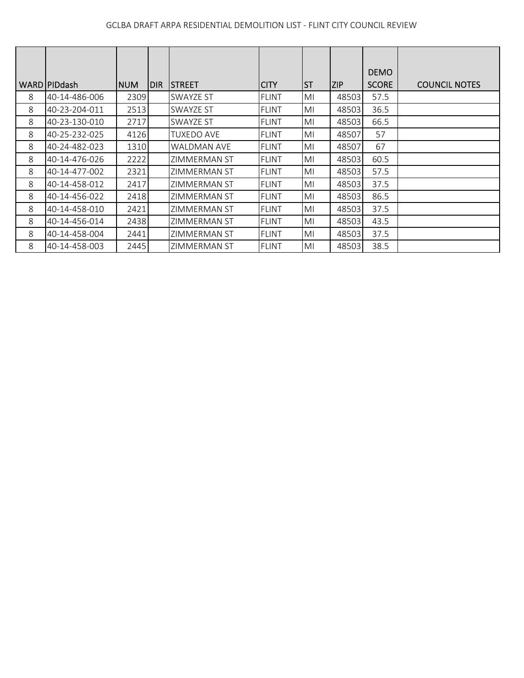|   |                     |             |     |                     |              |           |       | <b>DEMO</b>  |                      |
|---|---------------------|-------------|-----|---------------------|--------------|-----------|-------|--------------|----------------------|
|   | <b>WARDIPIDdash</b> | <b>INUM</b> | DIR | ISTREET             | ICITY        | <b>ST</b> | ZIP   | <b>SCORE</b> | <b>COUNCIL NOTES</b> |
| 8 | 40-14-486-006       | 2309        |     | <b>SWAYZE ST</b>    | <b>FLINT</b> | MI        | 48503 | 57.5         |                      |
| 8 | 40-23-204-011       | 2513        |     | SWAYZE ST           | <b>FLINT</b> | MI        | 48503 | 36.5         |                      |
| 8 | 40-23-130-010       | 2717        |     | <b>SWAYZE ST</b>    | <b>FLINT</b> | MI        | 48503 | 66.5         |                      |
| 8 | 40-25-232-025       | 4126        |     | <b>TUXEDO AVE</b>   | <b>FLINT</b> | MI        | 48507 | 57           |                      |
| 8 | 40-24-482-023       | 1310        |     | WALDMAN AVE         | <b>FLINT</b> | MI        | 48507 | 67           |                      |
| 8 | 40-14-476-026       | 2222        |     | ZIMMERMAN ST        | <b>FLINT</b> | MI        | 48503 | 60.5         |                      |
| 8 | 40-14-477-002       | 2321        |     | <b>ZIMMERMAN ST</b> | <b>FLINT</b> | MI        | 48503 | 57.5         |                      |
| 8 | 40-14-458-012       | 2417        |     | <b>ZIMMERMAN ST</b> | <b>FLINT</b> | MI        | 48503 | 37.5         |                      |
| 8 | 40-14-456-022       | 2418        |     | ZIMMERMAN ST        | <b>FLINT</b> | MI        | 48503 | 86.5         |                      |
| 8 | 40-14-458-010       | 2421        |     | ZIMMERMAN ST        | <b>FLINT</b> | MI        | 48503 | 37.5         |                      |
| 8 | 40-14-456-014       | 2438        |     | ZIMMERMAN ST        | <b>FLINT</b> | MI        | 48503 | 43.5         |                      |
| 8 | 40-14-458-004       | 2441        |     | <b>ZIMMERMAN ST</b> | <b>FLINT</b> | MI        | 48503 | 37.5         |                      |
| 8 | 40-14-458-003       | 2445        |     | ZIMMERMAN ST        | <b>FLINT</b> | MI        | 48503 | 38.5         |                      |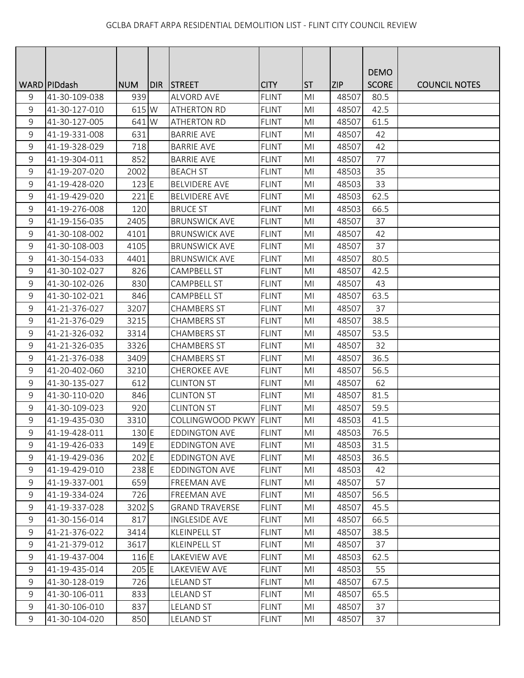|                |                 |                 |            |                       |              |                |            | <b>DEMO</b>  |                      |
|----------------|-----------------|-----------------|------------|-----------------------|--------------|----------------|------------|--------------|----------------------|
|                | WARD   PID dash | <b>NUM</b>      | <b>DIR</b> | <b>STREET</b>         | <b>CITY</b>  | <b>ST</b>      | <b>ZIP</b> | <b>SCORE</b> | <b>COUNCIL NOTES</b> |
| 9              | 41-30-109-038   | 939             |            | <b>ALVORD AVE</b>     | <b>FLINT</b> | M <sub>l</sub> | 48507      | 80.5         |                      |
| 9              | 41-30-127-010   | 615 W           |            | <b>ATHERTON RD</b>    | <b>FLINT</b> | M <sub>l</sub> | 48507      | 42.5         |                      |
| 9              | 41-30-127-005   | 641 W           |            | <b>ATHERTON RD</b>    | <b>FLINT</b> | MI             | 48507      | 61.5         |                      |
| 9              | 41-19-331-008   | 631             |            | <b>BARRIE AVE</b>     | <b>FLINT</b> | MI             | 48507      | 42           |                      |
| 9              | 41-19-328-029   | 718             |            | <b>BARRIE AVE</b>     | <b>FLINT</b> | M <sub>l</sub> | 48507      | 42           |                      |
| 9              | 41-19-304-011   | 852             |            | <b>BARRIE AVE</b>     | <b>FLINT</b> | MI             | 48507      | 77           |                      |
| 9              | 41-19-207-020   | 2002            |            | <b>BEACH ST</b>       | <b>FLINT</b> | M <sub>l</sub> | 48503      | 35           |                      |
| $\mathsf 9$    | 41-19-428-020   | $123$ E         |            | <b>BELVIDERE AVE</b>  | <b>FLINT</b> | M <sub>l</sub> | 48503      | 33           |                      |
| 9              | 41-19-429-020   | $221$ E         |            | <b>BELVIDERE AVE</b>  | <b>FLINT</b> | M <sub>l</sub> | 48503      | 62.5         |                      |
| 9              | 41-19-276-008   | 120             |            | <b>BRUCE ST</b>       | <b>FLINT</b> | MI             | 48503      | 66.5         |                      |
| 9              | 41-19-156-035   | 2405            |            | <b>BRUNSWICK AVE</b>  | <b>FLINT</b> | MI             | 48507      | 37           |                      |
| $\mathsf 9$    | 41-30-108-002   | 4101            |            | <b>BRUNSWICK AVE</b>  | <b>FLINT</b> | M <sub>l</sub> | 48507      | 42           |                      |
| $\mathsf 9$    | 41-30-108-003   | 4105            |            | <b>BRUNSWICK AVE</b>  | <b>FLINT</b> | MI             | 48507      | 37           |                      |
| 9              | 41-30-154-033   | 4401            |            | <b>BRUNSWICK AVE</b>  | <b>FLINT</b> | M <sub>l</sub> | 48507      | 80.5         |                      |
| 9              | 41-30-102-027   | 826             |            | <b>CAMPBELL ST</b>    | <b>FLINT</b> | MI             | 48507      | 42.5         |                      |
| 9              | 41-30-102-026   | 830             |            | <b>CAMPBELL ST</b>    | <b>FLINT</b> | MI             | 48507      | 43           |                      |
| 9              | 41-30-102-021   | 846             |            | <b>CAMPBELL ST</b>    | <b>FLINT</b> | MI             | 48507      | 63.5         |                      |
| 9              | 41-21-376-027   | 3207            |            | <b>CHAMBERS ST</b>    | <b>FLINT</b> | MI             | 48507      | 37           |                      |
| 9              | 41-21-376-029   | 3215            |            | <b>CHAMBERS ST</b>    | <b>FLINT</b> | M <sub>l</sub> | 48507      | 38.5         |                      |
| $\mathsf 9$    | 41-21-326-032   | 3314            |            | <b>CHAMBERS ST</b>    | <b>FLINT</b> | M <sub>l</sub> | 48507      | 53.5         |                      |
| 9              | 41-21-326-035   | 3326            |            | <b>CHAMBERS ST</b>    | <b>FLINT</b> | MI             | 48507      | 32           |                      |
| 9              | 41-21-376-038   | 3409            |            | <b>CHAMBERS ST</b>    | <b>FLINT</b> | M <sub>l</sub> | 48507      | 36.5         |                      |
| 9              | 41-20-402-060   | 3210            |            | <b>CHEROKEE AVE</b>   | <b>FLINT</b> | MI             | 48507      | 56.5         |                      |
| 9              | 41-30-135-027   | 612             |            | <b>CLINTON ST</b>     | <b>FLINT</b> | M <sub>l</sub> | 48507      | 62           |                      |
| $\mathsf 9$    | 41-30-110-020   | 846             |            | <b>CLINTON ST</b>     | <b>FLINT</b> | MI             | 48507      | 81.5         |                      |
| $\mathsf 9$    | 41-30-109-023   | 920             |            | <b>CLINTON ST</b>     | <b>FLINT</b> | M <sub>l</sub> | 48507      | 59.5         |                      |
| 9              | 41-19-435-030   | 3310            |            | COLLINGWOOD PKWY      | <b>FLINT</b> | MI             | 48503      | 41.5         |                      |
| 9              | 41-19-428-011   | 130 E           |            | <b>EDDINGTON AVE</b>  | <b>FLINT</b> | MI             | 48503      | 76.5         |                      |
| 9              | 41-19-426-033   | 149 E           |            | <b>EDDINGTON AVE</b>  | <b>FLINT</b> | MI             | 48503      | 31.5         |                      |
| 9              | 41-19-429-036   | $202$ E         |            | <b>EDDINGTON AVE</b>  | <b>FLINT</b> | MI             | 48503      | 36.5         |                      |
| $\mathsf 9$    | 41-19-429-010   | 238 E           |            | <b>EDDINGTON AVE</b>  | <b>FLINT</b> | M <sub>l</sub> | 48503      | 42           |                      |
| 9              | 41-19-337-001   | 659             |            | <b>FREEMAN AVE</b>    | <b>FLINT</b> | MI             | 48507      | 57           |                      |
| 9              | 41-19-334-024   | 726             |            | FREEMAN AVE           | <b>FLINT</b> | M <sub>l</sub> | 48507      | 56.5         |                      |
| $\mathsf 9$    | 41-19-337-028   | 3202 S          |            | <b>GRAND TRAVERSE</b> | <b>FLINT</b> | M <sub>l</sub> | 48507      | 45.5         |                      |
| 9              | 41-30-156-014   | 817             |            | <b>INGLESIDE AVE</b>  | <b>FLINT</b> | MI             | 48507      | 66.5         |                      |
| 9              | 41-21-376-022   | 3414            |            | <b>KLEINPELL ST</b>   | <b>FLINT</b> | MI             | 48507      | 38.5         |                      |
| $\mathsf 9$    | 41-21-379-012   | 3617            |            | <b>KLEINPELL ST</b>   | <b>FLINT</b> | MI             | 48507      | 37           |                      |
| $\overline{9}$ | 41-19-437-004   | 116 E           |            | LAKEVIEW AVE          | <b>FLINT</b> | MI             | 48503      | 62.5         |                      |
| 9              | 41-19-435-014   | $205 \text{ E}$ |            | LAKEVIEW AVE          | <b>FLINT</b> | MI             | 48503      | 55           |                      |
| 9              | 41-30-128-019   | 726             |            | <b>LELAND ST</b>      | <b>FLINT</b> | MI             | 48507      | 67.5         |                      |
| 9              | 41-30-106-011   | 833             |            | <b>LELAND ST</b>      | <b>FLINT</b> | MI             | 48507      | 65.5         |                      |
| 9              | 41-30-106-010   | 837             |            | <b>LELAND ST</b>      | <b>FLINT</b> | MI             | 48507      | 37           |                      |
| 9              | 41-30-104-020   | 850             |            | <b>LELAND ST</b>      | <b>FLINT</b> | MI             | 48507      | 37           |                      |